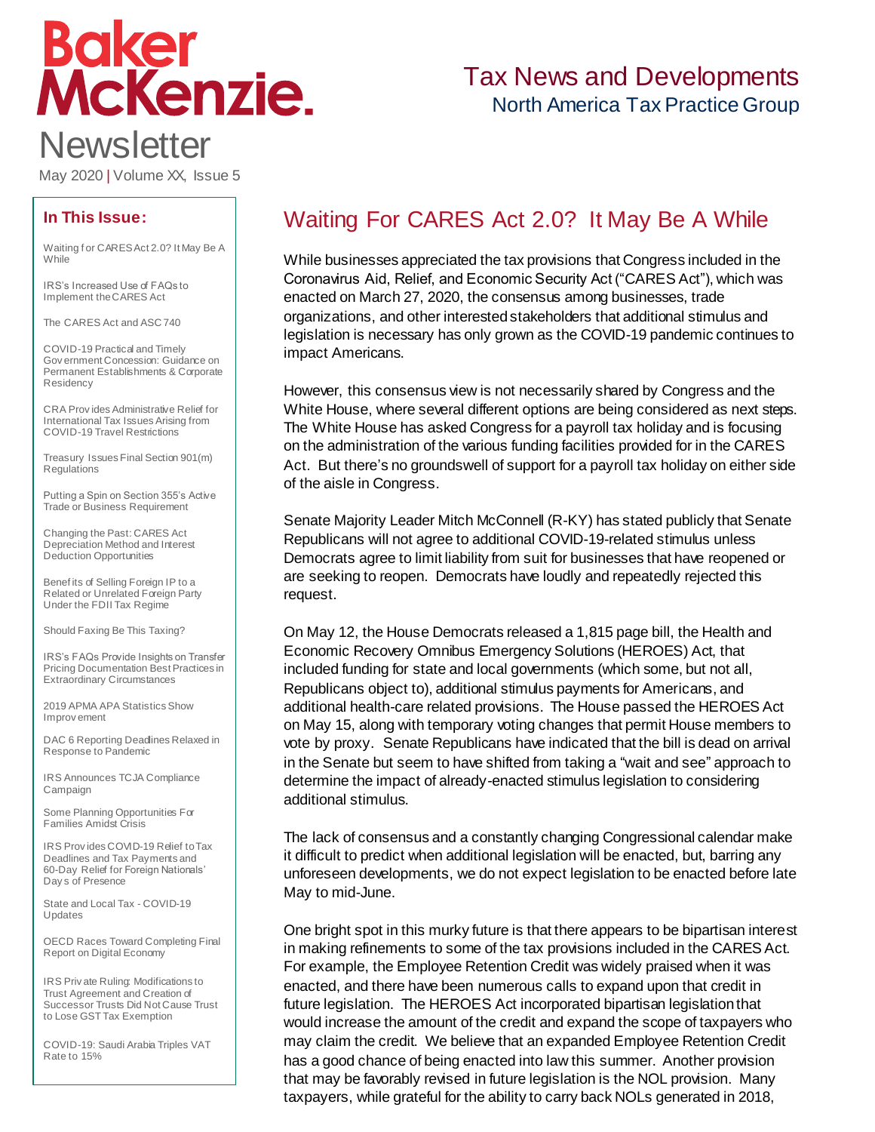# **Boker<br>McKenzie. Newsletter**

# Tax News and Developments North America Tax Practice Group

May 2020 | Volume XX, Issue 5

### **In This Issue:**

[Waiting f or CARES Act 2.0? It May Be A](#page-0-0)  **[While](#page-0-0)** 

[IRS's Increased Use of FAQs to](#page-1-0)  [Implement the CARES Act](#page-1-0)

[The CARES Act and ASC 740](#page-3-0)

[COVID-19 Practical and Timely](#page-6-0)  [Gov ernment Concession: Guidance on](#page-6-0)  [Permanent Establishments & Corporate](#page-6-0)  **[Residency](#page-6-0)** 

[CRA Prov ides Administrative Relief for](#page-11-0)  [International Tax Issues Arising from](#page-11-0)  [COVID-19 Travel Restrictions](#page-11-0)

[Treasury Issues Final Section 901\(m\)](#page-14-0)  [Regulations](#page-14-0)

[Putting a Spin on Section 355's Active](#page-17-0)  [Trade or Business Requirement](#page-17-0)

[Changing the Past: CARES Act](#page-19-0)  [Depreciation Method and Interest](#page-19-0)  [Deduction Opportunities](#page-19-0)

[Benef its of Selling Foreign IP to a](#page-24-0)  [Related or Unrelated Foreign Party](#page-24-0)  [Under the FDII Tax Regime](#page-24-0)

[Should Faxing Be This Taxing?](#page-26-0)

[IRS's FAQs Provide Insights on Transfer](#page-29-0)  [Pricing Documentation Best Practices in](#page-29-0)  [Extraordinary Circumstances](#page-29-0)

[2019 APMA APA Statistics Show](#page-32-0)  [Improv ement](#page-32-0)

[DAC 6 Reporting Deadlines Relaxed in](#page-34-0)  [Response to Pandemic](#page-34-0)

[IRS Announces TCJA Compliance](#page-35-0)  [Campaign](#page-35-0)

[Some Planning Opportunities For](#page-36-0)  [Families Amidst Crisis](#page-36-0)

[IRS Prov ides COVID-19 Relief to Tax](#page-36-1)  [Deadlines and Tax Payments and](#page-36-1)  60-Day Relief for [Foreign Nationals'](#page-36-1)  [Day s of Presence](#page-36-1)

[State and Local Tax -](#page-37-0) COVID-19 [Updates](#page-37-0)

[OECD Races Toward Completing Final](#page-37-1)  [Report on Digital Economy](#page-37-1)

[IRS Priv ate Ruling: Modifications to](#page-38-0)  [Trust Agreement and Creation of](#page-38-0)  [Successor Trusts Did Not Cause Trust](#page-38-0)  [to Lose GST Tax Exemption](#page-38-0)

[COVID-19: Saudi Arabia Triples VAT](#page-39-0)  [Rate to 15%](#page-39-0)

# <span id="page-0-0"></span>Waiting For CARES Act 2.0? It May Be A While

While businesses appreciated the tax provisions that Congress included in the Coronavirus Aid, Relief, and Economic Security Act ("CARES Act"), which was enacted on March 27, 2020, the consensus among businesses, trade organizations, and other interested stakeholders that additional stimulus and legislation is necessary has only grown as the COVID-19 pandemic continues to impact Americans.

However, this consensus view is not necessarily shared by Congress and the White House, where several different options are being considered as next steps. The White House has asked Congress for a payroll tax holiday and is focusing on the administration of the various funding facilities provided for in the CARES Act. But there's no groundswell of support for a payroll tax holiday on either side of the aisle in Congress.

Senate Majority Leader Mitch McConnell (R-KY) has stated publicly that Senate Republicans will not agree to additional COVID-19-related stimulus unless Democrats agree to limit liability from suit for businesses that have reopened or are seeking to reopen. Democrats have loudly and repeatedly rejected this request.

On May 12, the House Democrats released a 1,815 page bill, the Health and Economic Recovery Omnibus Emergency Solutions (HEROES) Act, that included funding for state and local governments (which some, but not all, Republicans object to), additional stimulus payments for Americans, and additional health-care related provisions. The House passed the HEROES Act on May 15, along with temporary voting changes that permit House members to vote by proxy. Senate Republicans have indicated that the bill is dead on arrival in the Senate but seem to have shifted from taking a "wait and see" approach to determine the impact of already-enacted stimulus legislation to considering additional stimulus.

The lack of consensus and a constantly changing Congressional calendar make it difficult to predict when additional legislation will be enacted, but, barring any unforeseen developments, we do not expect legislation to be enacted before late May to mid-June.

One bright spot in this murky future is that there appears to be bipartisan interest in making refinements to some of the tax provisions included in the CARES Act. For example, the Employee Retention Credit was widely praised when it was enacted, and there have been numerous calls to expand upon that credit in future legislation. The HEROES Act incorporated bipartisan legislation that would increase the amount of the credit and expand the scope of taxpayers who may claim the credit. We believe that an expanded Employee Retention Credit has a good chance of being enacted into law this summer. Another provision that may be favorably revised in future legislation is the NOL provision. Many taxpayers, while grateful for the ability to carry back NOLs generated in 2018,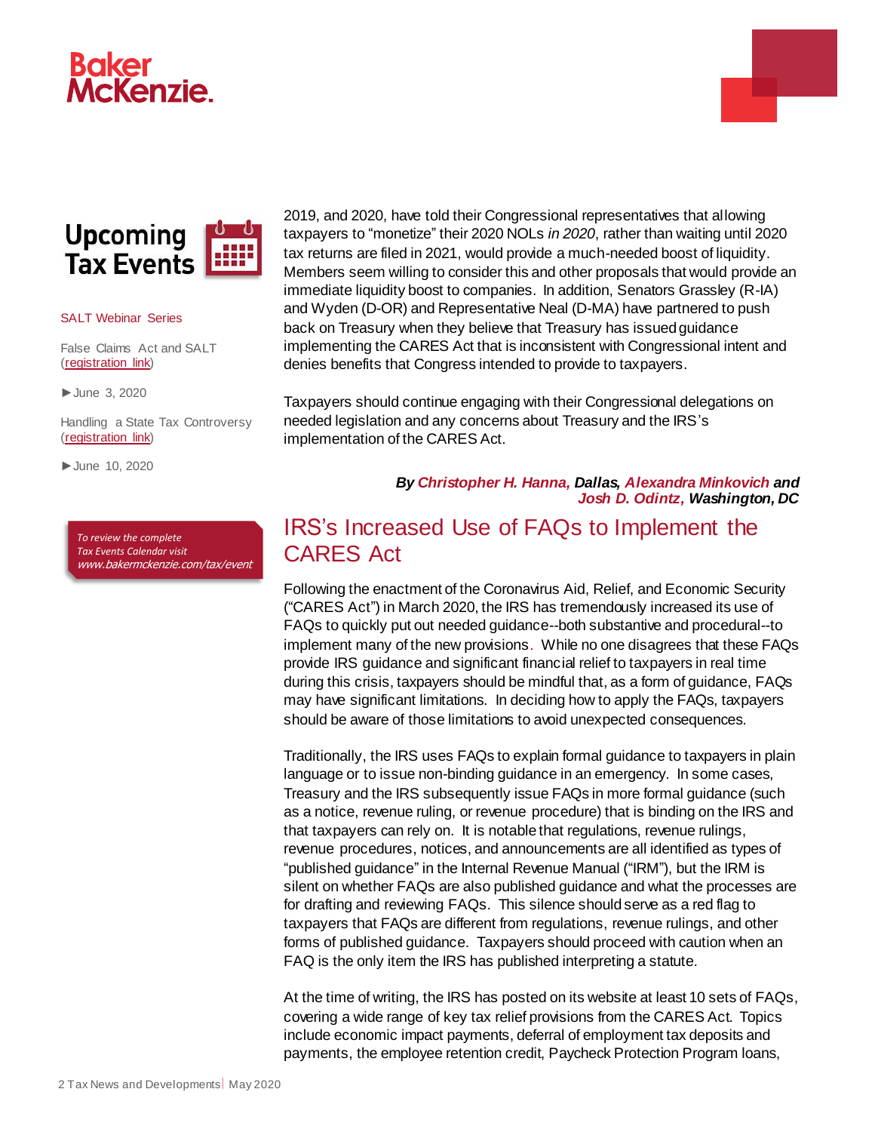





#### SALT Webinar Series

False Claims Act and SALT [\(registration link\)](https://bakerxchange.com/s/6c9e9c15ce53e3ce00be691b1b3c3e0efe689d53/h=7398bf7bbb3d727e00bd28267520f163e1c8107f)

►June 3, 2020

Handling a State Tax Controversy [\(registration](https://bakerxchange.com/s/0a2eff50677179651d4f860bcde29c6775b06e5c/h=7398bf7bbb3d727e00bd28267520f163e1c8107f) link)

►June 10, 2020

*To review the complete Tax Events Calendar visit*  [www.bakermckenzie.com/tax/event](http://www.bakermckenzie.com/tax/event) 2019, and 2020, have told their Congressional representatives that allowing taxpayers to "monetize" their 2020 NOLs *in 2020*, rather than waiting until 2020 tax returns are filed in 2021, would provide a much-needed boost of liquidity. Members seem willing to consider this and other proposals that would provide an immediate liquidity boost to companies. In addition, Senators Grassley (R-IA) and Wyden (D-OR) and Representative Neal (D-MA) have partnered to push back on Treasury when they believe that Treasury has issued guidance implementing the CARES Act that is inconsistent with Congressional intent and denies benefits that Congress intended to provide to taxpayers.

Taxpayers should continue engaging with their Congressional delegations on needed legislation and any concerns about Treasury and the IRS's implementation of the CARES Act.

#### *By [Christopher](https://www.bakermckenzie.com/en/people/h/hanna-christopher) H. Hanna, Dallas, [Alexandra Minkovich](https://www.bakermckenzie.com/en/people/m/minkovich-alexandra) and [Josh D. Odintz,](https://www.bakermckenzie.com/en/people/o/odintz-joshua-d) Washington, DC*

## <span id="page-1-0"></span>IRS's Increased Use of FAQs to Implement the CARES Act

Following the enactment of the Coronavirus Aid, Relief, and Economic Security ("CARES Act") in March 2020, the IRS has tremendously increased its use of FAQs to quickly put out needed guidance--both substantive and procedural--to implement many of the new provisions. While no one disagrees that these FAQs provide IRS guidance and significant financial relief to taxpayers in real time during this crisis, taxpayers should be mindful that, as a form of guidance, FAQs may have significant limitations. In deciding how to apply the FAQs, taxpayers should be aware of those limitations to avoid unexpected consequences.

Traditionally, the IRS uses FAQs to explain formal guidance to taxpayers in plain language or to issue non-binding guidance in an emergency. In some cases, Treasury and the IRS subsequently issue FAQs in more formal guidance (such as a notice, revenue ruling, or revenue procedure) that is binding on the IRS and that taxpayers can rely on. It is notable that regulations, revenue rulings, revenue procedures, notices, and announcements are all identified as types of "published guidance" in the Internal Revenue Manual ("IRM"), but the IRM is silent on whether FAQs are also published guidance and what the processes are for drafting and reviewing FAQs. This silence should serve as a red flag to taxpayers that FAQs are different from regulations, revenue rulings, and other forms of published guidance. Taxpayers should proceed with caution when an FAQ is the only item the IRS has published interpreting a statute.

At the time of writing, the IRS has posted on its website at least 10 sets of FAQs, covering a wide range of key tax relief provisions from the CARES Act. Topics include economic impact payments, deferral of employment tax deposits and payments, the employee retention credit, Paycheck Protection Program loans,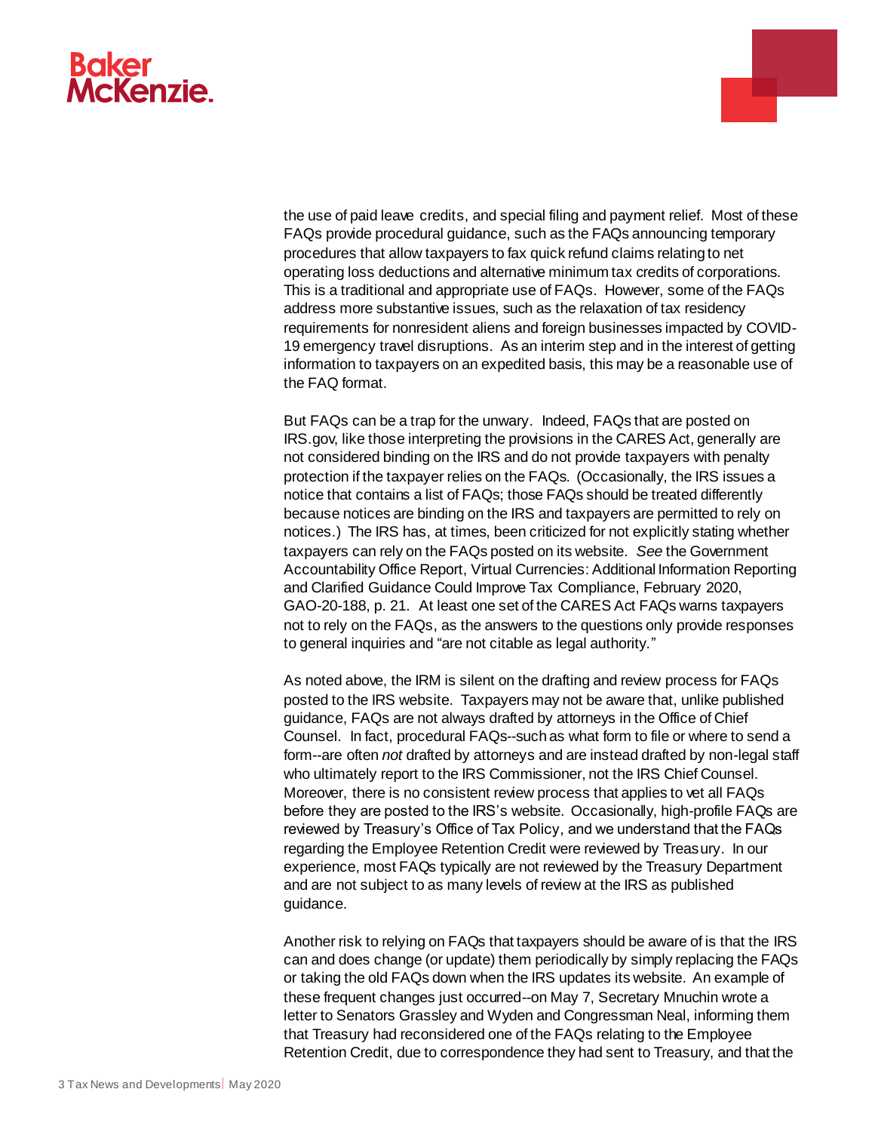

the use of paid leave credits, and special filing and payment relief. Most of these FAQs provide procedural guidance, such as the FAQs announcing temporary procedures that allow taxpayers to fax quick refund claims relating to net operating loss deductions and alternative minimum tax credits of corporations. This is a traditional and appropriate use of FAQs. However, some of the FAQs address more substantive issues, such as the relaxation of tax residency requirements for nonresident aliens and foreign businesses impacted by COVID-19 emergency travel disruptions. As an interim step and in the interest of getting information to taxpayers on an expedited basis, this may be a reasonable use of the FAQ format.

But FAQs can be a trap for the unwary. Indeed, FAQs that are posted on IRS.gov, like those interpreting the provisions in the CARES Act, generally are not considered binding on the IRS and do not provide taxpayers with penalty protection if the taxpayer relies on the FAQs. (Occasionally, the IRS issues a notice that contains a list of FAQs; those FAQs should be treated differently because notices are binding on the IRS and taxpayers are permitted to rely on notices.) The IRS has, at times, been criticized for not explicitly stating whether taxpayers can rely on the FAQs posted on its website. *See* the Government Accountability Office Report, Virtual Currencies: Additional Information Reporting and Clarified Guidance Could Improve Tax Compliance, February 2020, GAO-20-188, p. 21. At least one set of the CARES Act FAQs warns taxpayers not to rely on the FAQs, as the answers to the questions only provide responses to general inquiries and "are not citable as legal authority."

As noted above, the IRM is silent on the drafting and review process for FAQs posted to the IRS website. Taxpayers may not be aware that, unlike published guidance, FAQs are not always drafted by attorneys in the Office of Chief Counsel. In fact, procedural FAQs--such as what form to file or where to send a form--are often *not* drafted by attorneys and are instead drafted by non-legal staff who ultimately report to the IRS Commissioner, not the IRS Chief Counsel. Moreover, there is no consistent review process that applies to vet all FAQs before they are posted to the IRS's website. Occasionally, high-profile FAQs are reviewed by Treasury's Office of Tax Policy, and we understand that the FAQs regarding the Employee Retention Credit were reviewed by Treasury. In our experience, most FAQs typically are not reviewed by the Treasury Department and are not subject to as many levels of review at the IRS as published guidance.

Another risk to relying on FAQs that taxpayers should be aware of is that the IRS can and does change (or update) them periodically by simply replacing the FAQs or taking the old FAQs down when the IRS updates its website. An example of these frequent changes just occurred--on May 7, Secretary Mnuchin wrote a letter to Senators Grassley and Wyden and Congressman Neal, informing them that Treasury had reconsidered one of the FAQs relating to the Employee Retention Credit, due to correspondence they had sent to Treasury, and that the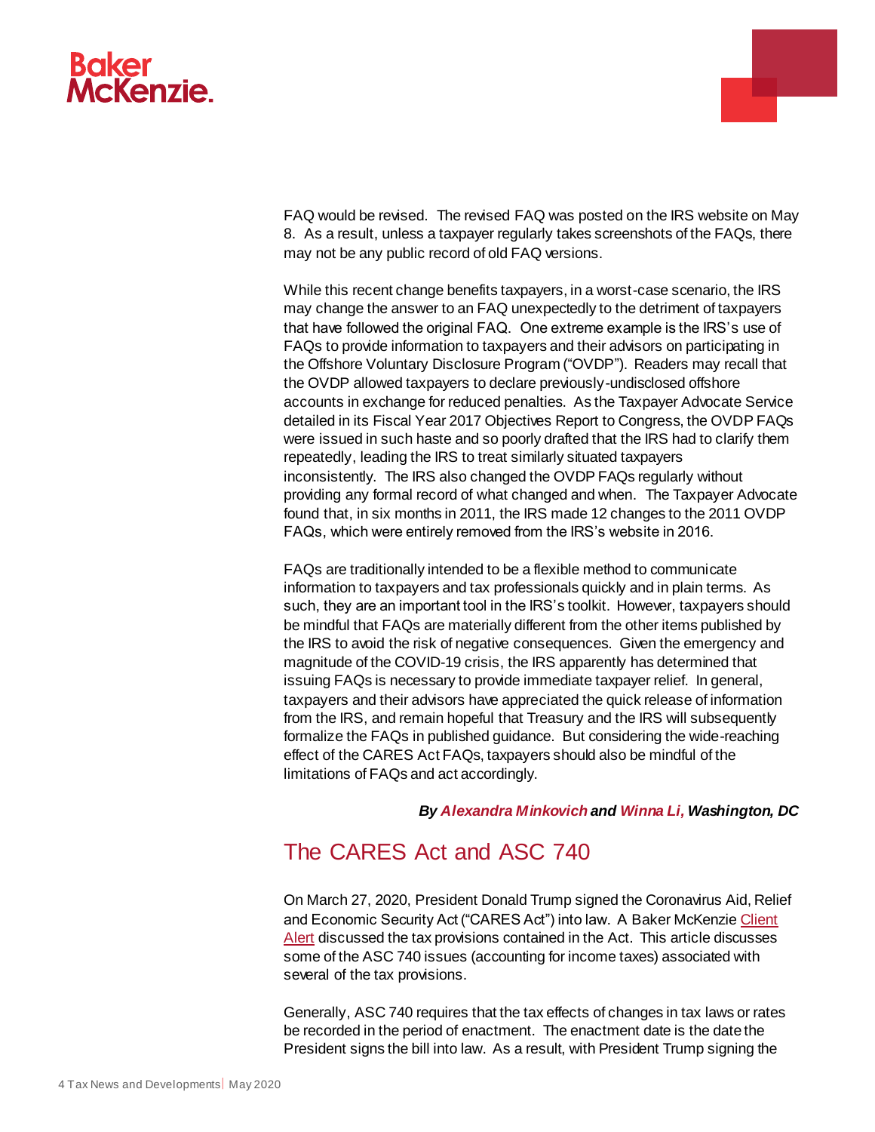



FAQ would be revised. The revised FAQ was posted on the IRS website on May 8. As a result, unless a taxpayer regularly takes screenshots of the FAQs, there may not be any public record of old FAQ versions.

While this recent change benefits taxpayers, in a worst-case scenario, the IRS may change the answer to an FAQ unexpectedly to the detriment of taxpayers that have followed the original FAQ. One extreme example is the IRS's use of FAQs to provide information to taxpayers and their advisors on participating in the Offshore Voluntary Disclosure Program ("OVDP"). Readers may recall that the OVDP allowed taxpayers to declare previously-undisclosed offshore accounts in exchange for reduced penalties. As the Taxpayer Advocate Service detailed in its Fiscal Year 2017 Objectives Report to Congress, the OVDP FAQs were issued in such haste and so poorly drafted that the IRS had to clarify them repeatedly, leading the IRS to treat similarly situated taxpayers inconsistently. The IRS also changed the OVDP FAQs regularly without providing any formal record of what changed and when. The Taxpayer Advocate found that, in six months in 2011, the IRS made 12 changes to the 2011 OVDP FAQs, which were entirely removed from the IRS's website in 2016.

FAQs are traditionally intended to be a flexible method to communicate information to taxpayers and tax professionals quickly and in plain terms. As such, they are an important tool in the IRS's toolkit. However, taxpayers should be mindful that FAQs are materially different from the other items published by the IRS to avoid the risk of negative consequences. Given the emergency and magnitude of the COVID-19 crisis, the IRS apparently has determined that issuing FAQs is necessary to provide immediate taxpayer relief. In general, taxpayers and their advisors have appreciated the quick release of information from the IRS, and remain hopeful that Treasury and the IRS will subsequently formalize the FAQs in published guidance. But considering the wide-reaching effect of the CARES Act FAQs, taxpayers should also be mindful of the limitations of FAQs and act accordingly.

#### *By [Alexandra Minkovich](https://www.bakermckenzie.com/en/people/m/minkovich-alexandra) and [Winna Li,](https://www.bakermckenzie.com/en/people/l/li-winna) Washington, DC*

# <span id="page-3-0"></span>The CARES Act and ASC 740

On March 27, 2020, President Donald Trump signed the Coronavirus Aid, Relief and Economic Security Act ("CARES Act") into law. A Baker McKenzie Client [Alert](https://www.bakermckenzie.com/en/insight/publications/2020/03/update-senate-passes-coronavirus-bill) discussed the tax provisions contained in the Act. This article discusses some of the ASC 740 issues (accounting for income taxes) associated with several of the tax provisions.

Generally, ASC 740 requires that the tax effects of changes in tax laws or rates be recorded in the period of enactment. The enactment date is the date the President signs the bill into law. As a result, with President Trump signing the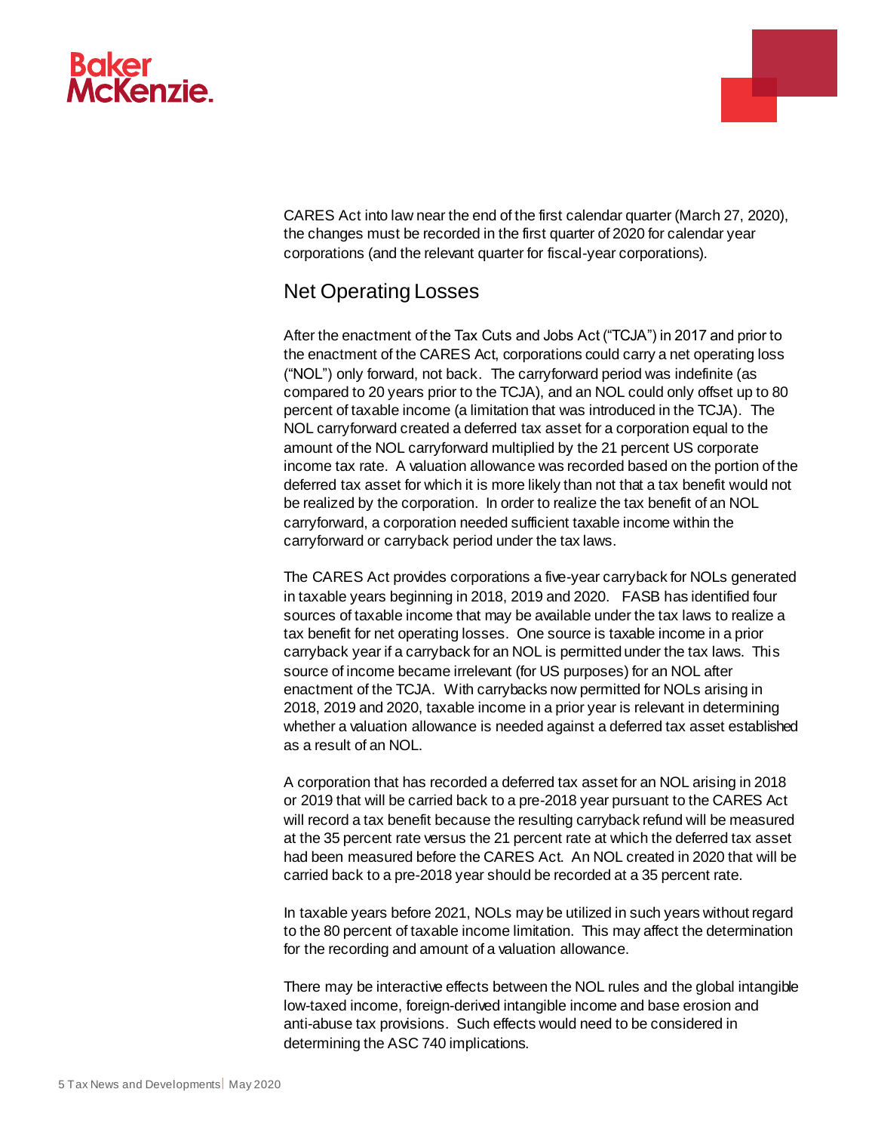

CARES Act into law near the end of the first calendar quarter (March 27, 2020), the changes must be recorded in the first quarter of 2020 for calendar year corporations (and the relevant quarter for fiscal-year corporations).

÷

## Net Operating Losses

After the enactment of the Tax Cuts and Jobs Act ("TCJA") in 2017 and prior to the enactment of the CARES Act, corporations could carry a net operating loss ("NOL") only forward, not back. The carryforward period was indefinite (as compared to 20 years prior to the TCJA), and an NOL could only offset up to 80 percent of taxable income (a limitation that was introduced in the TCJA). The NOL carryforward created a deferred tax asset for a corporation equal to the amount of the NOL carryforward multiplied by the 21 percent US corporate income tax rate. A valuation allowance was recorded based on the portion of the deferred tax asset for which it is more likely than not that a tax benefit would not be realized by the corporation. In order to realize the tax benefit of an NOL carryforward, a corporation needed sufficient taxable income within the carryforward or carryback period under the tax laws.

The CARES Act provides corporations a five-year carryback for NOLs generated in taxable years beginning in 2018, 2019 and 2020. FASB has identified four sources of taxable income that may be available under the tax laws to realize a tax benefit for net operating losses. One source is taxable income in a prior carryback year if a carryback for an NOL is permitted under the tax laws. This source of income became irrelevant (for US purposes) for an NOL after enactment of the TCJA. With carrybacks now permitted for NOLs arising in 2018, 2019 and 2020, taxable income in a prior year is relevant in determining whether a valuation allowance is needed against a deferred tax asset established as a result of an NOL.

A corporation that has recorded a deferred tax asset for an NOL arising in 2018 or 2019 that will be carried back to a pre-2018 year pursuant to the CARES Act will record a tax benefit because the resulting carryback refund will be measured at the 35 percent rate versus the 21 percent rate at which the deferred tax asset had been measured before the CARES Act. An NOL created in 2020 that will be carried back to a pre-2018 year should be recorded at a 35 percent rate.

In taxable years before 2021, NOLs may be utilized in such years without regard to the 80 percent of taxable income limitation. This may affect the determination for the recording and amount of a valuation allowance.

There may be interactive effects between the NOL rules and the global intangible low-taxed income, foreign-derived intangible income and base erosion and anti-abuse tax provisions. Such effects would need to be considered in determining the ASC 740 implications.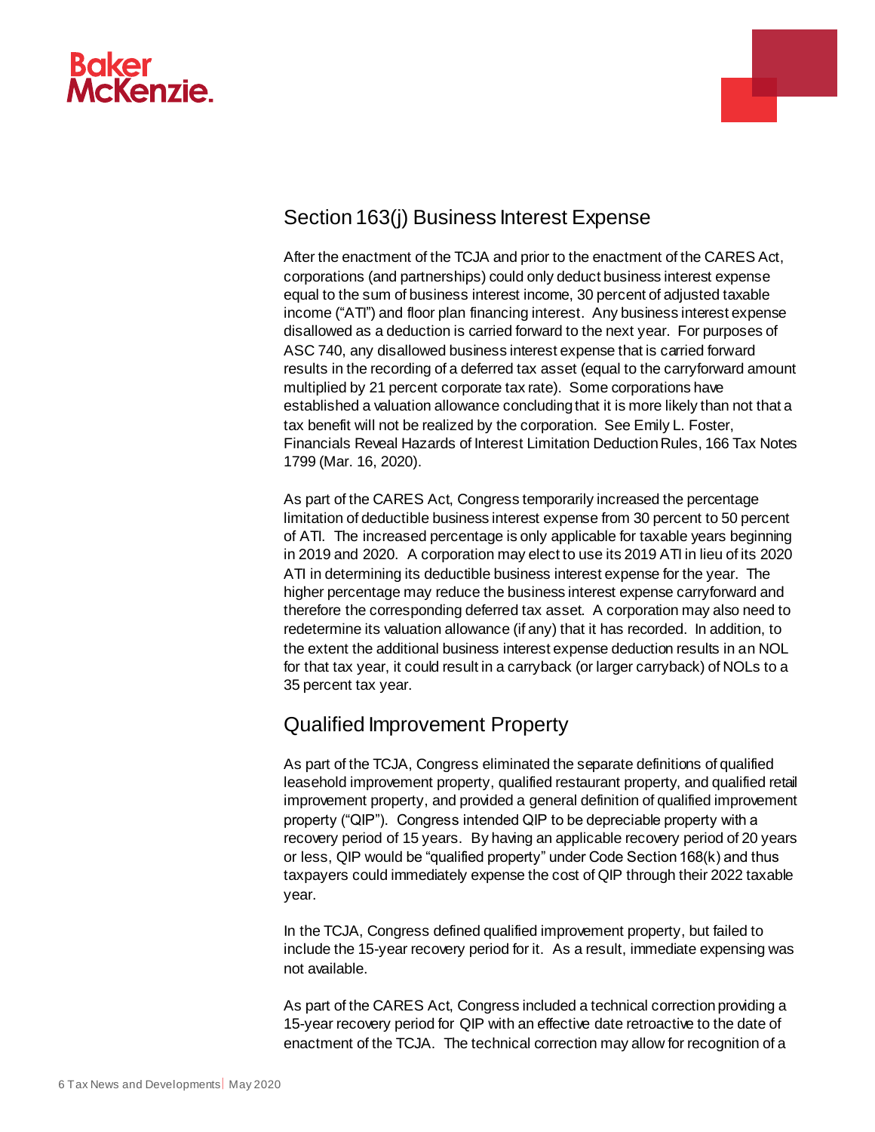



# Section 163(j) Business Interest Expense

After the enactment of the TCJA and prior to the enactment of the CARES Act, corporations (and partnerships) could only deduct business interest expense equal to the sum of business interest income, 30 percent of adjusted taxable income ("ATI") and floor plan financing interest. Any business interest expense disallowed as a deduction is carried forward to the next year. For purposes of ASC 740, any disallowed business interest expense that is carried forward results in the recording of a deferred tax asset (equal to the carryforward amount multiplied by 21 percent corporate tax rate). Some corporations have established a valuation allowance concluding that it is more likely than not that a tax benefit will not be realized by the corporation. See Emily L. Foster, Financials Reveal Hazards of Interest Limitation Deduction Rules, 166 Tax Notes 1799 (Mar. 16, 2020).

As part of the CARES Act, Congress temporarily increased the percentage limitation of deductible business interest expense from 30 percent to 50 percent of ATI. The increased percentage is only applicable for taxable years beginning in 2019 and 2020. A corporation may elect to use its 2019 ATI in lieu of its 2020 ATI in determining its deductible business interest expense for the year. The higher percentage may reduce the business interest expense carryforward and therefore the corresponding deferred tax asset. A corporation may also need to redetermine its valuation allowance (if any) that it has recorded. In addition, to the extent the additional business interest expense deduction results in an NOL for that tax year, it could result in a carryback (or larger carryback) of NOLs to a 35 percent tax year.

## Qualified Improvement Property

As part of the TCJA, Congress eliminated the separate definitions of qualified leasehold improvement property, qualified restaurant property, and qualified retail improvement property, and provided a general definition of qualified improvement property ("QIP"). Congress intended QIP to be depreciable property with a recovery period of 15 years. By having an applicable recovery period of 20 years or less, QIP would be "qualified property" under Code Section 168(k) and thus taxpayers could immediately expense the cost of QIP through their 2022 taxable year.

In the TCJA, Congress defined qualified improvement property, but failed to include the 15-year recovery period for it. As a result, immediate expensing was not available.

As part of the CARES Act, Congress included a technical correction providing a 15-year recovery period for QIP with an effective date retroactive to the date of enactment of the TCJA. The technical correction may allow for recognition of a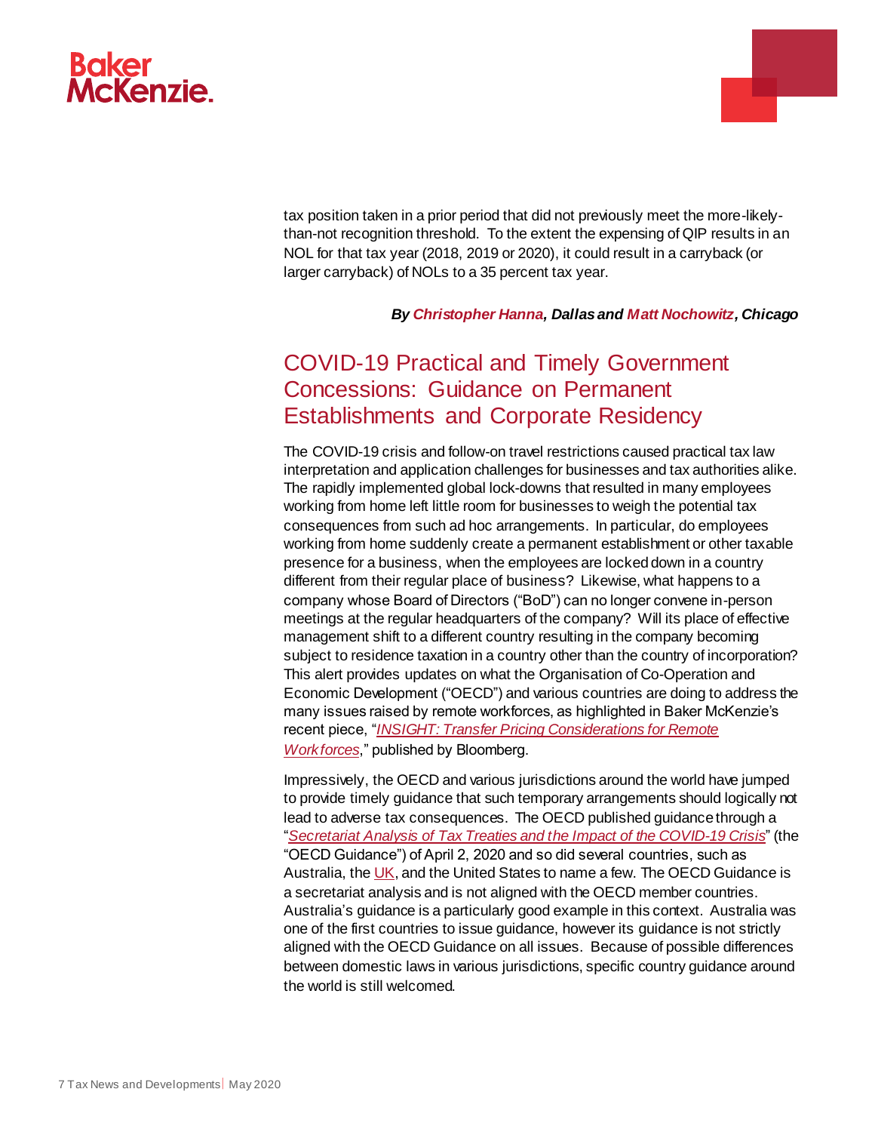# **Ackenzie**

tax position taken in a prior period that did not previously meet the more-likelythan-not recognition threshold. To the extent the expensing of QIP results in an NOL for that tax year (2018, 2019 or 2020), it could result in a carryback (or larger carryback) of NOLs to a 35 percent tax year.

#### *By [Christopher Hanna,](https://www.bakermckenzie.com/en/people/h/hanna-christopher) Dallas and [Matt Nochowitz,](https://www.bakermckenzie.com/en/people/n/nochowitz-matthew) Chicago*

# <span id="page-6-0"></span>COVID-19 Practical and Timely Government Concessions: Guidance on Permanent Establishments and Corporate Residency

The COVID-19 crisis and follow-on travel restrictions caused practical tax law interpretation and application challenges for businesses and tax authorities alike. The rapidly implemented global lock-downs that resulted in many employees working from home left little room for businesses to weigh the potential tax consequences from such ad hoc arrangements. In particular, do employees working from home suddenly create a permanent establishment or other taxable presence for a business, when the employees are locked down in a country different from their regular place of business? Likewise, what happens to a company whose Board of Directors ("BoD") can no longer convene in-person meetings at the regular headquarters of the company? Will its place of effective management shift to a different country resulting in the company becoming subject to residence taxation in a country other than the country of incorporation? This alert provides updates on what the Organisation of Co-Operation and Economic Development ("OECD") and various countries are doing to address the many issues raised by remote workforces, as highlighted in Baker McKenzie's recent piece, "*[INSIGHT: Transfer Pricing Considerations for Remote](https://news.bloombergtax.com/daily-tax-report/insight-49)  [Workforces](https://news.bloombergtax.com/daily-tax-report/insight-49)*," published by Bloomberg.

Impressively, the OECD and various jurisdictions around the world have jumped to provide timely guidance that such temporary arrangements should logically not lead to adverse tax consequences. The OECD published guidance through a "*[Secretariat Analysis of Tax Treaties and the Impact of the COVID-19 Crisis](https://read.oecd-ilibrary.org/view/?ref=127_127237-vsdagpp2t3&title=OECD-Secretariat-analysis-of-tax-treaties-and-the-impact-of-the-COVID-19-Crisis)*" (the "OECD Guidance") of April 2, 2020 and so did several countries, such as Australia, th[e UK](https://www.gov.uk/hmrc-internal-manuals/residence-domicile-and-remittance-basis/rdrm13200), and the United States to name a few. The OECD Guidance is a secretariat analysis and is not aligned with the OECD member countries. Australia's guidance is a particularly good example in this context. Australia was one of the first countries to issue guidance, however its guidance is not strictly aligned with the OECD Guidance on all issues. Because of possible differences between domestic laws in various jurisdictions, specific country guidance around the world is still welcomed.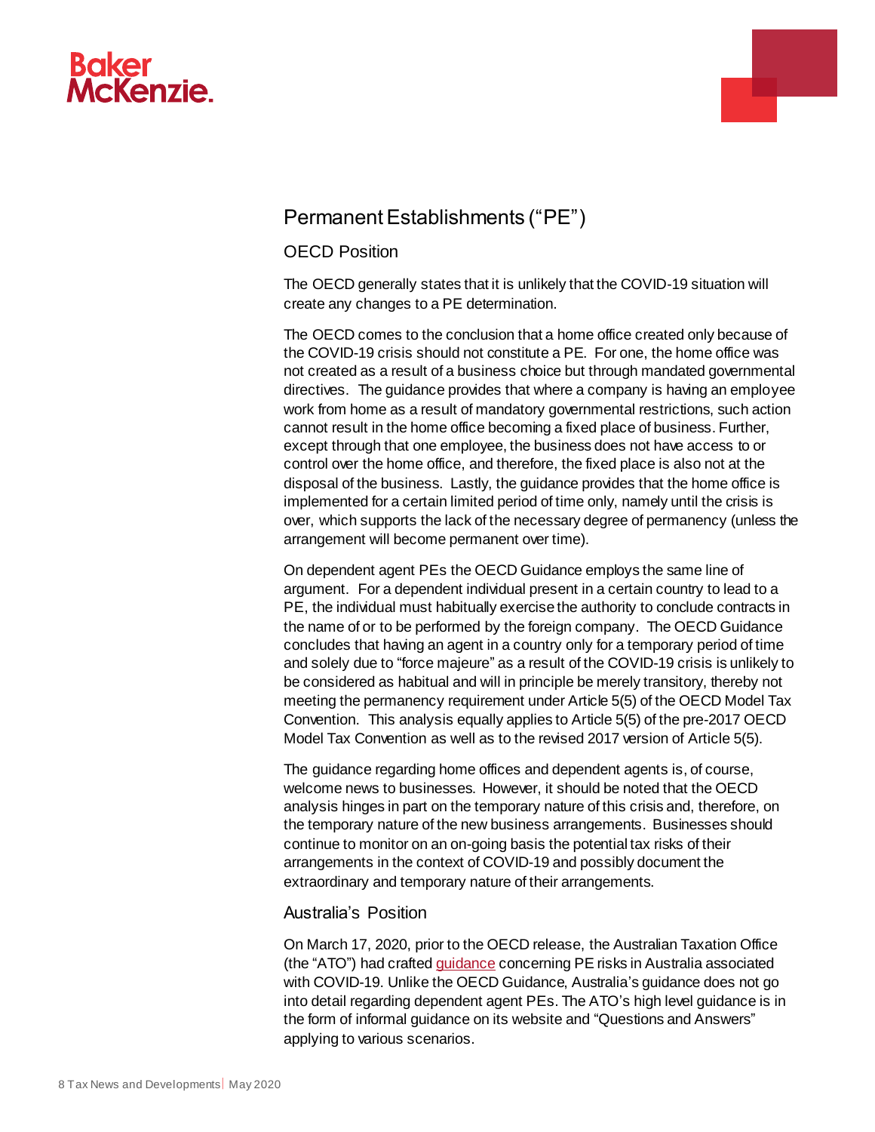



## Permanent Establishments ("PE")

#### OECD Position

The OECD generally states that it is unlikely that the COVID-19 situation will create any changes to a PE determination.

The OECD comes to the conclusion that a home office created only because of the COVID-19 crisis should not constitute a PE. For one, the home office was not created as a result of a business choice but through mandated governmental directives. The guidance provides that where a company is having an employee work from home as a result of mandatory governmental restrictions, such action cannot result in the home office becoming a fixed place of business. Further, except through that one employee, the business does not have access to or control over the home office, and therefore, the fixed place is also not at the disposal of the business. Lastly, the guidance provides that the home office is implemented for a certain limited period of time only, namely until the crisis is over, which supports the lack of the necessary degree of permanency (unless the arrangement will become permanent over time).

On dependent agent PEs the OECD Guidance employs the same line of argument. For a dependent individual present in a certain country to lead to a PE, the individual must habitually exercise the authority to conclude contracts in the name of or to be performed by the foreign company. The OECD Guidance concludes that having an agent in a country only for a temporary period of time and solely due to "force majeure" as a result of the COVID-19 crisis is unlikely to be considered as habitual and will in principle be merely transitory, thereby not meeting the permanency requirement under Article 5(5) of the OECD Model Tax Convention. This analysis equally applies to Article 5(5) of the pre-2017 OECD Model Tax Convention as well as to the revised 2017 version of Article 5(5).

The guidance regarding home offices and dependent agents is, of course, welcome news to businesses. However, it should be noted that the OECD analysis hinges in part on the temporary nature of this crisis and, therefore, on the temporary nature of the new business arrangements. Businesses should continue to monitor on an on-going basis the potential tax risks of their arrangements in the context of COVID-19 and possibly document the extraordinary and temporary nature of their arrangements.

#### Australia's Position

On March 17, 2020, prior to the OECD release, the Australian Taxation Office (the "ATO") had crafte[d guidance](https://www.ato.gov.au/General/COVID-19/COVID-19-frequently-asked-questions/International-business-frequently-asked-questions/) concerning PE risks in Australia associated with COVID-19. Unlike the OECD Guidance, Australia's guidance does not go into detail regarding dependent agent PEs. The ATO's high level guidance is in the form of informal guidance on its website and "Questions and Answers" applying to various scenarios.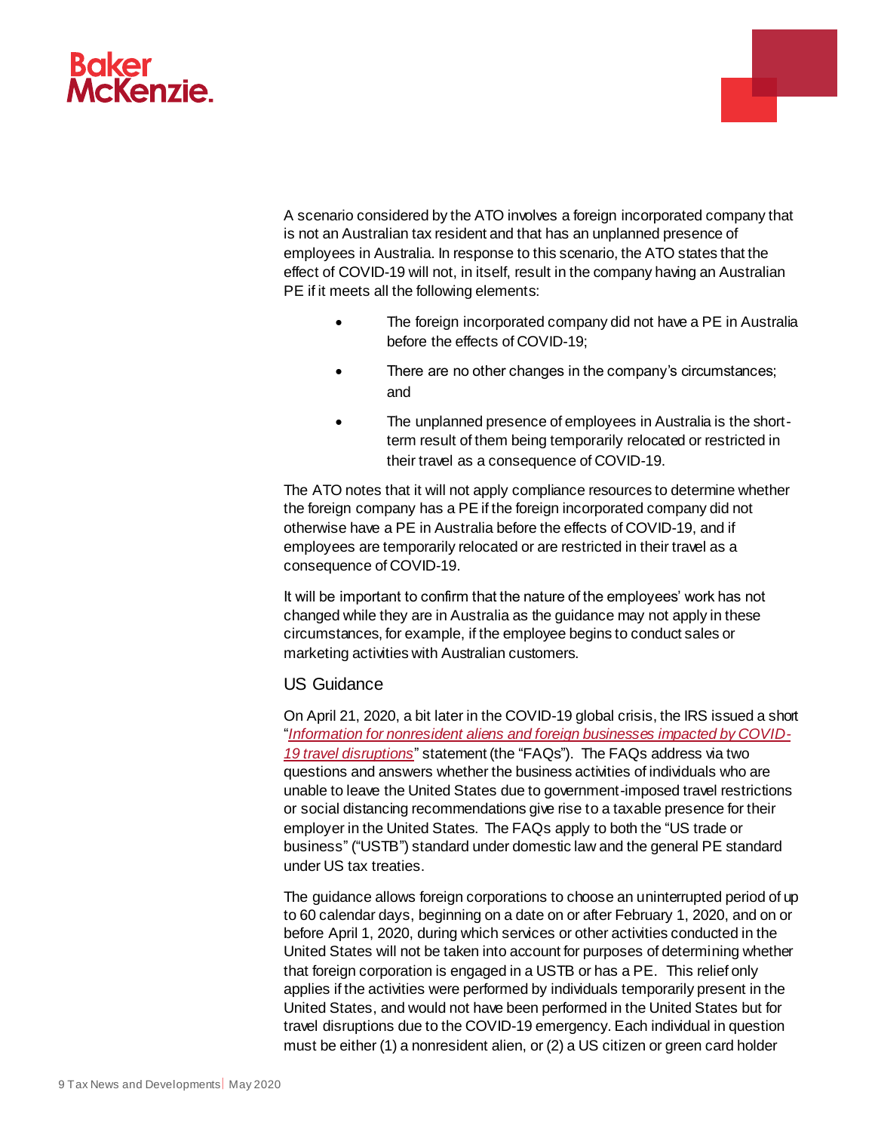

A scenario considered by the ATO involves a foreign incorporated company that is not an Australian tax resident and that has an unplanned presence of employees in Australia. In response to this scenario, the ATO states that the effect of COVID-19 will not, in itself, result in the company having an Australian PE if it meets all the following elements:

- The foreign incorporated company did not have a PE in Australia before the effects of COVID-19;
- There are no other changes in the company's circumstances; and
- The unplanned presence of employees in Australia is the shortterm result of them being temporarily relocated or restricted in their travel as a consequence of COVID-19.

The ATO notes that it will not apply compliance resources to determine whether the foreign company has a PE if the foreign incorporated company did not otherwise have a PE in Australia before the effects of COVID-19, and if employees are temporarily relocated or are restricted in their travel as a consequence of COVID-19.

It will be important to confirm that the nature of the employees' work has not changed while they are in Australia as the guidance may not apply in these circumstances, for example, if the employee begins to conduct sales or marketing activities with Australian customers.

#### US Guidance

On April 21, 2020, a bit later in the COVID-19 global crisis, the IRS issued a short "*[Information for nonresident aliens and foreign businesses impacted by COVID-](https://www.irs.gov/newsroom/information-for-nonresident-aliens-and-foreign-businesses-impacted-by-covid-19-travel-disruptions)[19 travel disruptions](https://www.irs.gov/newsroom/information-for-nonresident-aliens-and-foreign-businesses-impacted-by-covid-19-travel-disruptions)*" statement (the "FAQs"). The FAQs address via two questions and answers whether the business activities of individuals who are unable to leave the United States due to government-imposed travel restrictions or social distancing recommendations give rise to a taxable presence for their employer in the United States. The FAQs apply to both the "US trade or business" ("USTB") standard under domestic law and the general PE standard under US tax treaties.

The guidance allows foreign corporations to choose an uninterrupted period of up to 60 calendar days, beginning on a date on or after February 1, 2020, and on or before April 1, 2020, during which services or other activities conducted in the United States will not be taken into account for purposes of determining whether that foreign corporation is engaged in a USTB or has a PE. This relief only applies if the activities were performed by individuals temporarily present in the United States, and would not have been performed in the United States but for travel disruptions due to the COVID-19 emergency. Each individual in question must be either (1) a nonresident alien, or (2) a US citizen or green card holder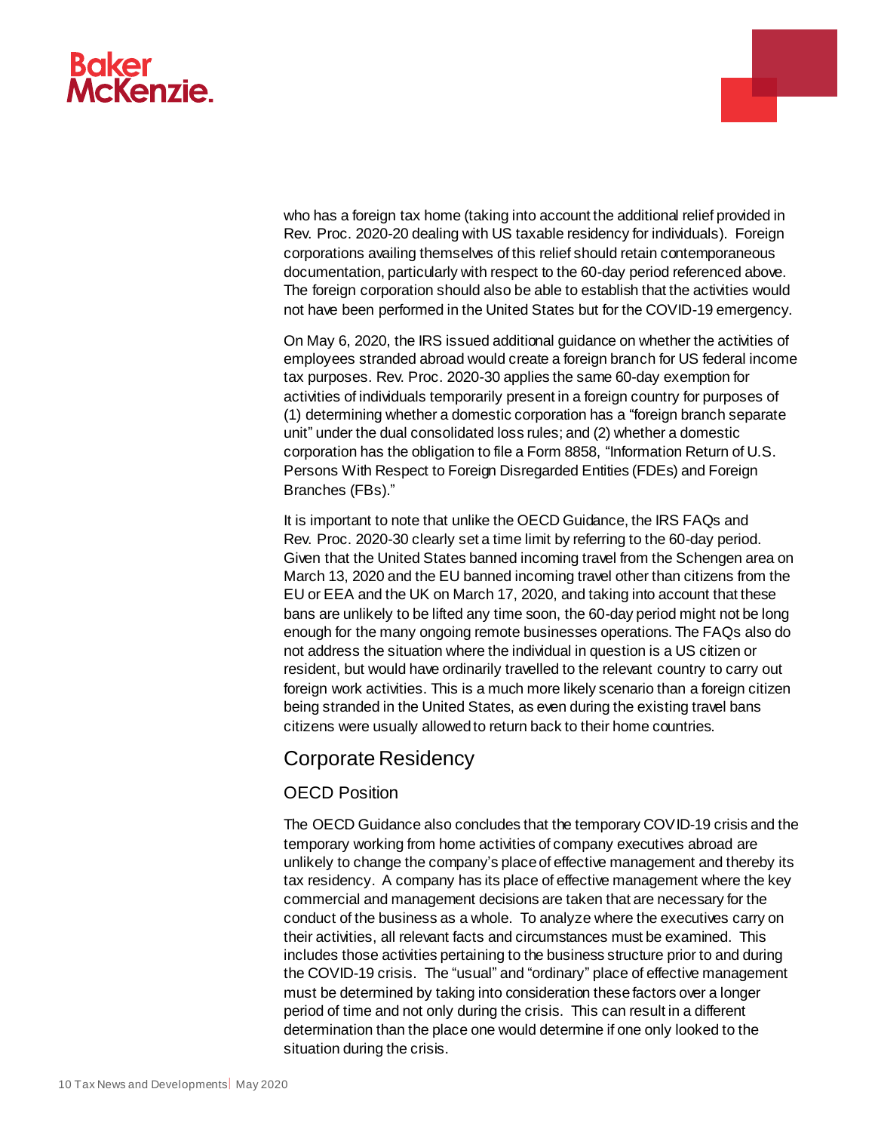# **Baker McKenzie.**

who has a foreign tax home (taking into account the additional relief provided in Rev. Proc. 2020-20 dealing with US taxable residency for individuals). Foreign corporations availing themselves of this relief should retain contemporaneous documentation, particularly with respect to the 60-day period referenced above. The foreign corporation should also be able to establish that the activities would not have been performed in the United States but for the COVID-19 emergency.

a.

On May 6, 2020, the IRS issued additional guidance on whether the activities of employees stranded abroad would create a foreign branch for US federal income tax purposes. Rev. Proc. 2020-30 applies the same 60-day exemption for activities of individuals temporarily present in a foreign country for purposes of (1) determining whether a domestic corporation has a "foreign branch separate unit" under the dual consolidated loss rules; and (2) whether a domestic corporation has the obligation to file a Form 8858, "Information Return of U.S. Persons With Respect to Foreign Disregarded Entities (FDEs) and Foreign Branches (FBs)."

It is important to note that unlike the OECD Guidance, the IRS FAQs and Rev. Proc. 2020-30 clearly set a time limit by referring to the 60-day period. Given that the United States banned incoming travel from the Schengen area on March 13, 2020 and the EU banned incoming travel other than citizens from the EU or EEA and the UK on March 17, 2020, and taking into account that these bans are unlikely to be lifted any time soon, the 60-day period might not be long enough for the many ongoing remote businesses operations. The FAQs also do not address the situation where the individual in question is a US citizen or resident, but would have ordinarily travelled to the relevant country to carry out foreign work activities. This is a much more likely scenario than a foreign citizen being stranded in the United States, as even during the existing travel bans citizens were usually allowed to return back to their home countries.

#### Corporate Residency

#### OECD Position

The OECD Guidance also concludes that the temporary COVID-19 crisis and the temporary working from home activities of company executives abroad are unlikely to change the company's place of effective management and thereby its tax residency. A company has its place of effective management where the key commercial and management decisions are taken that are necessary for the conduct of the business as a whole. To analyze where the executives carry on their activities, all relevant facts and circumstances must be examined. This includes those activities pertaining to the business structure prior to and during the COVID-19 crisis. The "usual" and "ordinary" place of effective management must be determined by taking into consideration these factors over a longer period of time and not only during the crisis. This can result in a different determination than the place one would determine if one only looked to the situation during the crisis.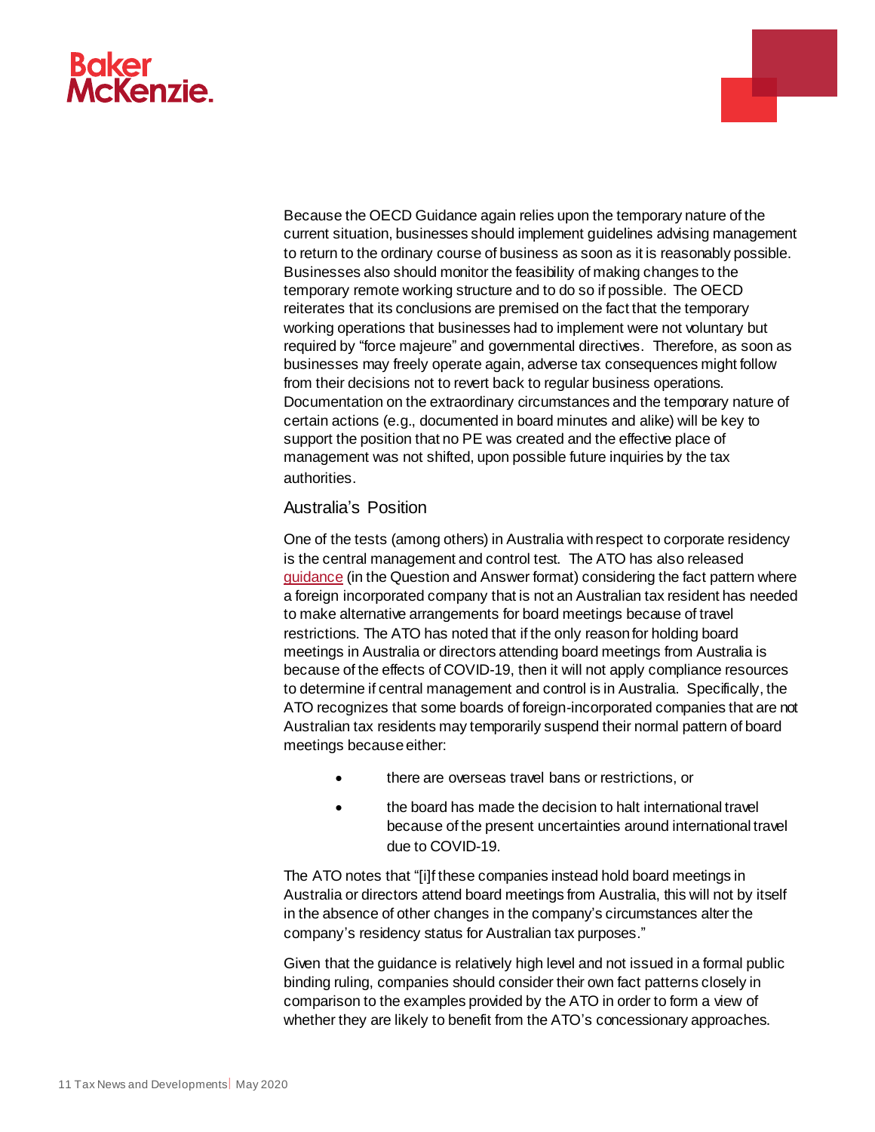

Because the OECD Guidance again relies upon the temporary nature of the current situation, businesses should implement guidelines advising management to return to the ordinary course of business as soon as it is reasonably possible. Businesses also should monitor the feasibility of making changes to the temporary remote working structure and to do so if possible. The OECD reiterates that its conclusions are premised on the fact that the temporary working operations that businesses had to implement were not voluntary but required by "force majeure" and governmental directives. Therefore, as soon as businesses may freely operate again, adverse tax consequences might follow from their decisions not to revert back to regular business operations. Documentation on the extraordinary circumstances and the temporary nature of certain actions (e.g., documented in board minutes and alike) will be key to support the position that no PE was created and the effective place of management was not shifted, upon possible future inquiries by the tax authorities.

a.

#### Australia's Position

One of the tests (among others) in Australia with respect to corporate residency is the central management and control test. The ATO has also released [guidance](https://www.ato.gov.au/General/COVID-19/COVID-19-frequently-asked-questions/International-business-frequently-asked-questions/#CentralmanagementandcontrolCMC) (in the Question and Answer format) considering the fact pattern where a foreign incorporated company that is not an Australian tax resident has needed to make alternative arrangements for board meetings because of travel restrictions. The ATO has noted that if the only reason for holding board meetings in Australia or directors attending board meetings from Australia is because of the effects of COVID-19, then it will not apply compliance resources to determine if central management and control is in Australia. Specifically, the ATO recognizes that some boards of foreign-incorporated companies that are not Australian tax residents may temporarily suspend their normal pattern of board meetings because either:

- there are overseas travel bans or restrictions, or
- the board has made the decision to halt international travel because of the present uncertainties around international travel due to COVID-19.

The ATO notes that "[i]f these companies instead hold board meetings in Australia or directors attend board meetings from Australia, this will not by itself in the absence of other changes in the company's circumstances alter the company's residency status for Australian tax purposes*.*"

Given that the guidance is relatively high level and not issued in a formal public binding ruling, companies should consider their own fact patterns closely in comparison to the examples provided by the ATO in order to form a view of whether they are likely to benefit from the ATO's concessionary approaches.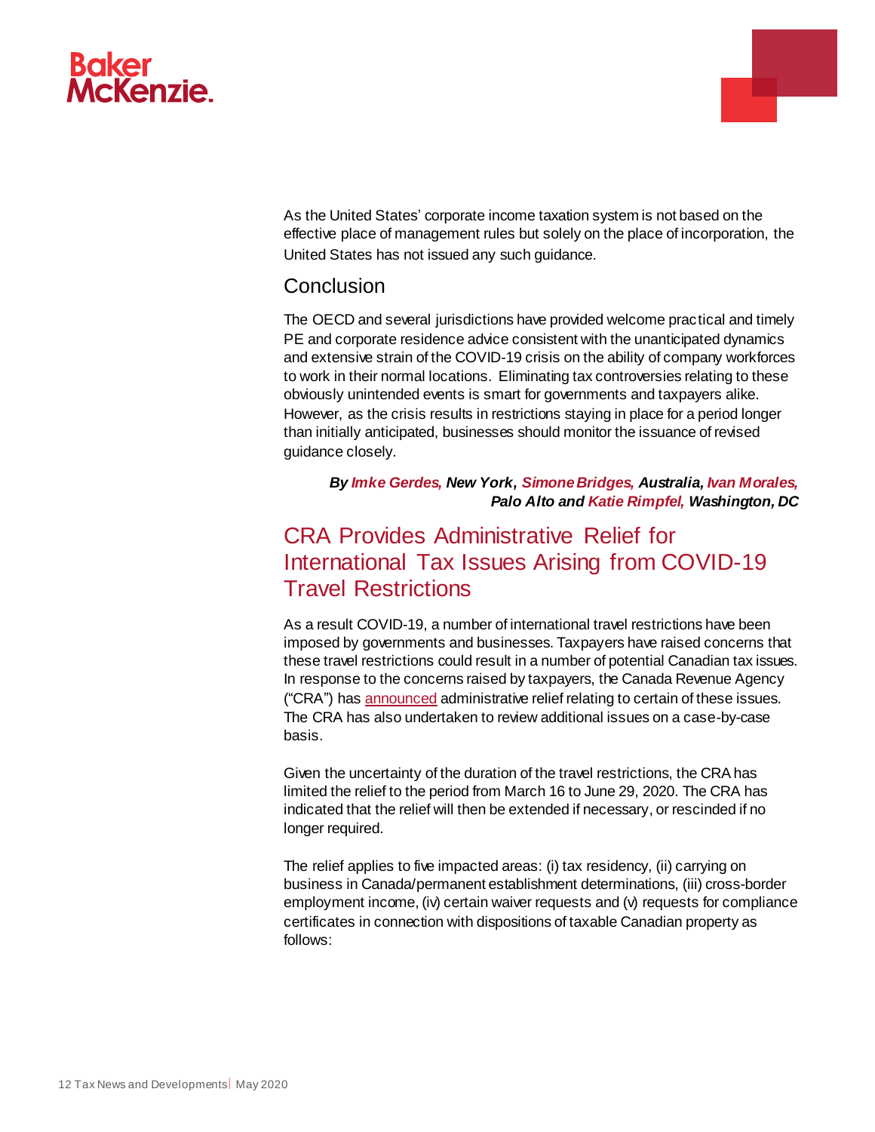

As the United States' corporate income taxation system is not based on the effective place of management rules but solely on the place of incorporation, the United States has not issued any such guidance.

a.

#### Conclusion

The OECD and several jurisdictions have provided welcome practical and timely PE and corporate residence advice consistent with the unanticipated dynamics and extensive strain of the COVID-19 crisis on the ability of company workforces to work in their normal locations. Eliminating tax controversies relating to these obviously unintended events is smart for governments and taxpayers alike. However, as the crisis results in restrictions staying in place for a period longer than initially anticipated, businesses should monitor the issuance of revised guidance closely.

*By [Imke Gerdes,](https://www.bakermckenzie.com/en/people/g/gerdes-imke) New York, [Simone Bridges,](https://www.bakermckenzie.com/en/people/b/bridges-simone) Australia[, Ivan Morales,](https://www.bakermckenzie.com/en/people/m/morales-ivan-a) Palo Alto and [Katie Rimpfel,](https://www.bakermckenzie.com/en/people/r/rimpfel-kathryn) Washington, DC*

# <span id="page-11-0"></span>CRA Provides Administrative Relief for International Tax Issues Arising from COVID-19 Travel Restrictions

As a result COVID-19, a number of international travel restrictions have been imposed by governments and businesses. Taxpayers have raised concerns that these travel restrictions could result in a number of potential Canadian tax issues. In response to the concerns raised by taxpayers, the Canada Revenue Agency ("CRA") ha[s announced](https://www.canada.ca/en/revenue-agency/campaigns/covid-19-update/guidance-international-income-tax-issues.html) administrative relief relating to certain of these issues. The CRA has also undertaken to review additional issues on a case-by-case basis.

Given the uncertainty of the duration of the travel restrictions, the CRA has limited the relief to the period from March 16 to June 29, 2020. The CRA has indicated that the relief will then be extended if necessary, or rescinded if no longer required.

The relief applies to five impacted areas: (i) tax residency, (ii) carrying on business in Canada/permanent establishment determinations, (iii) cross-border employment income, (iv) certain waiver requests and (v) requests for compliance certificates in connection with dispositions of taxable Canadian property as follows: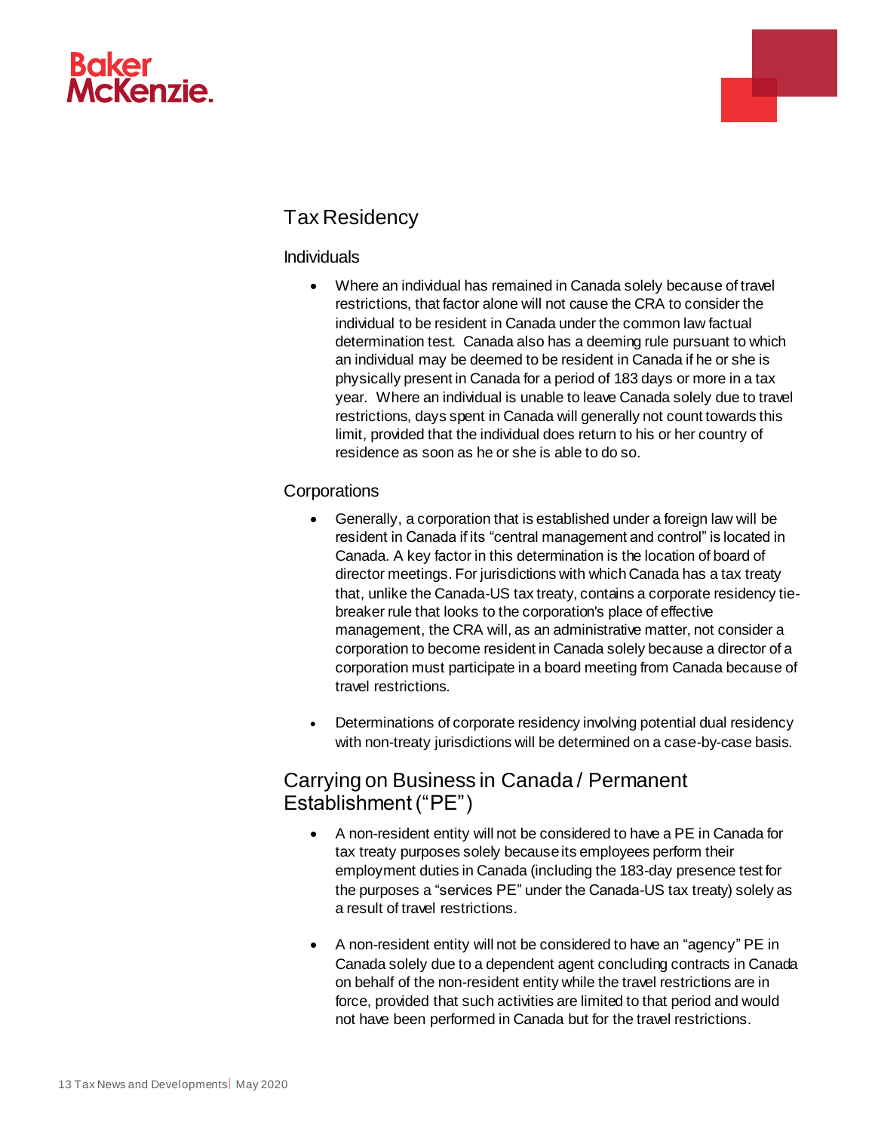



# Tax Residency

#### Individuals

 Where an individual has remained in Canada solely because of travel restrictions, that factor alone will not cause the CRA to consider the individual to be resident in Canada under the common law factual determination test. Canada also has a deeming rule pursuant to which an individual may be deemed to be resident in Canada if he or she is physically present in Canada for a period of 183 days or more in a tax year. Where an individual is unable to leave Canada solely due to travel restrictions, days spent in Canada will generally not count towards this limit, provided that the individual does return to his or her country of residence as soon as he or she is able to do so.

#### **Corporations**

- Generally, a corporation that is established under a foreign law will be resident in Canada if its "central management and control" is located in Canada. A key factor in this determination is the location of board of director meetings. For jurisdictions with which Canada has a tax treaty that, unlike the Canada-US tax treaty, contains a corporate residency tiebreaker rule that looks to the corporation's place of effective management, the CRA will, as an administrative matter, not consider a corporation to become resident in Canada solely because a director of a corporation must participate in a board meeting from Canada because of travel restrictions.
- Determinations of corporate residency involving potential dual residency with non-treaty jurisdictions will be determined on a case-by-case basis.

### Carrying on Business in Canada / Permanent Establishment ("PE")

- A non-resident entity will not be considered to have a PE in Canada for tax treaty purposes solely because its employees perform their employment duties in Canada (including the 183-day presence test for the purposes a "services PE" under the Canada-US tax treaty) solely as a result of travel restrictions.
- A non-resident entity will not be considered to have an "agency" PE in Canada solely due to a dependent agent concluding contracts in Canada on behalf of the non-resident entity while the travel restrictions are in force, provided that such activities are limited to that period and would not have been performed in Canada but for the travel restrictions.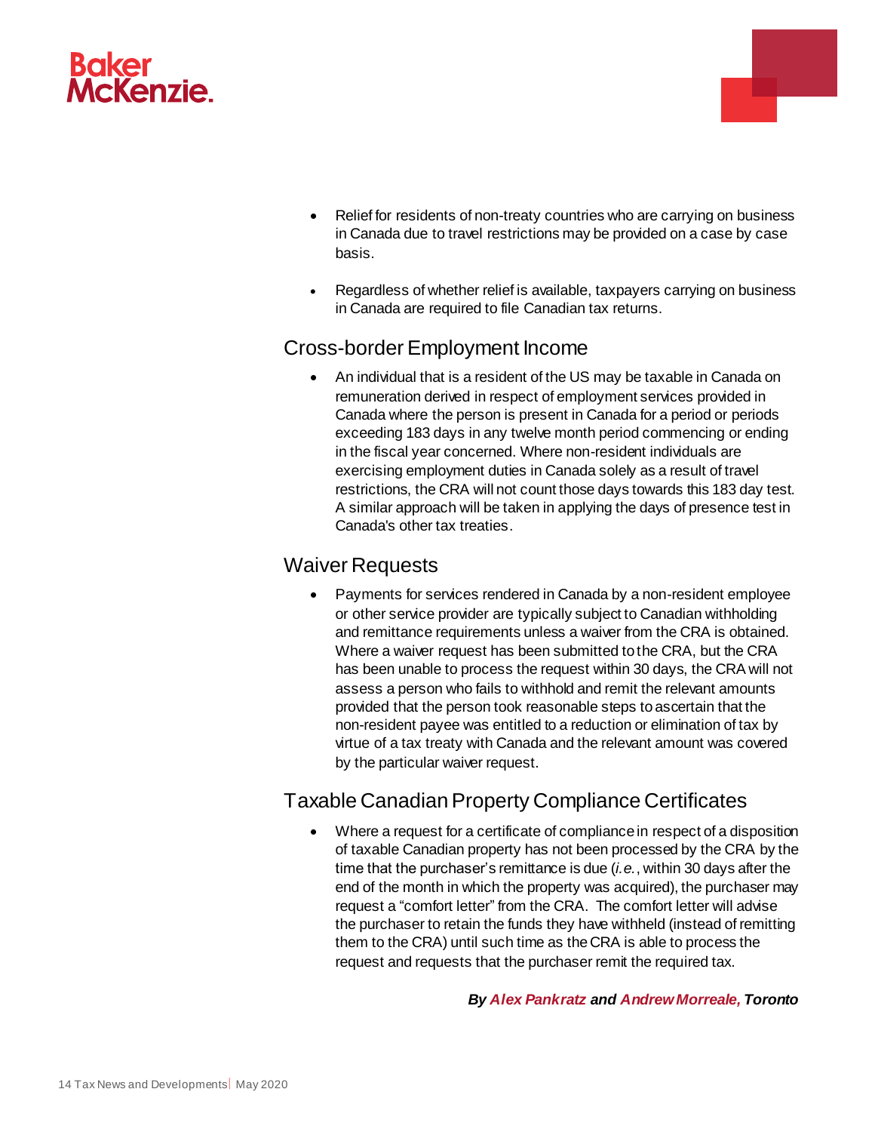

 Relief for residents of non-treaty countries who are carrying on business in Canada due to travel restrictions may be provided on a case by case basis.

e este de la provi

 Regardless of whether relief is available, taxpayers carrying on business in Canada are required to file Canadian tax returns.

### Cross-border Employment Income

 An individual that is a resident of the US may be taxable in Canada on remuneration derived in respect of employment services provided in Canada where the person is present in Canada for a period or periods exceeding 183 days in any twelve month period commencing or ending in the fiscal year concerned. Where non-resident individuals are exercising employment duties in Canada solely as a result of travel restrictions, the CRA will not count those days towards this 183 day test. A similar approach will be taken in applying the days of presence test in Canada's other tax treaties.

#### Waiver Requests

 Payments for services rendered in Canada by a non-resident employee or other service provider are typically subject to Canadian withholding and remittance requirements unless a waiver from the CRA is obtained. Where a waiver request has been submitted to the CRA, but the CRA has been unable to process the request within 30 days, the CRA will not assess a person who fails to withhold and remit the relevant amounts provided that the person took reasonable steps to ascertain that the non-resident payee was entitled to a reduction or elimination of tax by virtue of a tax treaty with Canada and the relevant amount was covered by the particular waiver request.

## Taxable Canadian Property Compliance Certificates

 Where a request for a certificate of compliance in respect of a disposition of taxable Canadian property has not been processed by the CRA by the time that the purchaser's remittance is due (*i.e.*, within 30 days after the end of the month in which the property was acquired), the purchaser may request a "comfort letter" from the CRA. The comfort letter will advise the purchaser to retain the funds they have withheld (instead of remitting them to the CRA) until such time as the CRA is able to process the request and requests that the purchaser remit the required tax.

#### *By [Alex Pankratz](https://www.bakermckenzie.com/en/people/p/pankratz-alex) and [Andrew Morreale,](https://www.bakermckenzie.com/en/people/m/morreale-andrew) Toronto*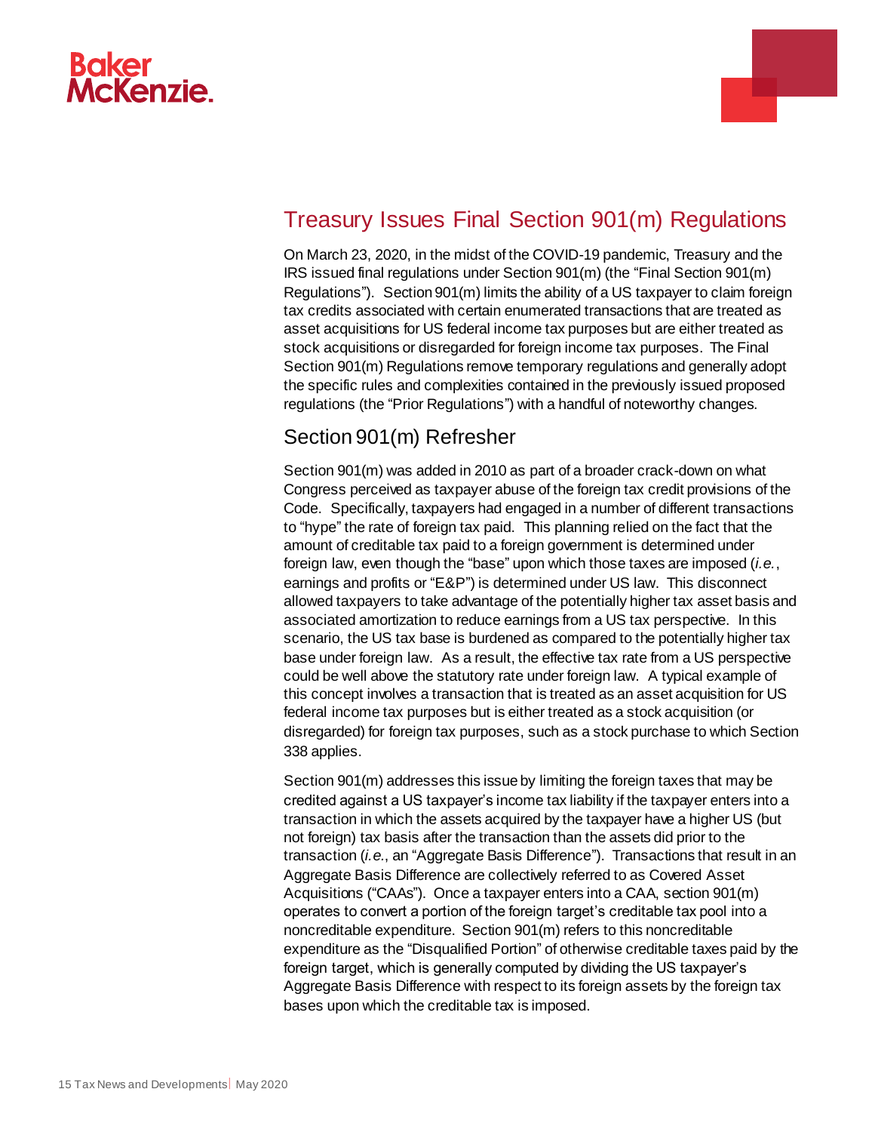



# <span id="page-14-0"></span>Treasury Issues Final Section 901(m) Regulations

On March 23, 2020, in the midst of the COVID-19 pandemic, Treasury and the IRS issued final regulations under Section 901(m) (the "Final Section 901(m) Regulations"). Section 901(m) limits the ability of a US taxpayer to claim foreign tax credits associated with certain enumerated transactions that are treated as asset acquisitions for US federal income tax purposes but are either treated as stock acquisitions or disregarded for foreign income tax purposes. The Final Section 901(m) Regulations remove temporary regulations and generally adopt the specific rules and complexities contained in the previously issued proposed regulations (the "Prior Regulations") with a handful of noteworthy changes.

## Section 901(m) Refresher

Section 901(m) was added in 2010 as part of a broader crack-down on what Congress perceived as taxpayer abuse of the foreign tax credit provisions of the Code. Specifically, taxpayers had engaged in a number of different transactions to "hype" the rate of foreign tax paid. This planning relied on the fact that the amount of creditable tax paid to a foreign government is determined under foreign law, even though the "base" upon which those taxes are imposed (*i.e.*, earnings and profits or "E&P") is determined under US law. This disconnect allowed taxpayers to take advantage of the potentially higher tax asset basis and associated amortization to reduce earnings from a US tax perspective. In this scenario, the US tax base is burdened as compared to the potentially higher tax base under foreign law. As a result, the effective tax rate from a US perspective could be well above the statutory rate under foreign law. A typical example of this concept involves a transaction that is treated as an asset acquisition for US federal income tax purposes but is either treated as a stock acquisition (or disregarded) for foreign tax purposes, such as a stock purchase to which Section 338 applies.

Section 901(m) addresses this issue by limiting the foreign taxes that may be credited against a US taxpayer's income tax liability if the taxpayer enters into a transaction in which the assets acquired by the taxpayer have a higher US (but not foreign) tax basis after the transaction than the assets did prior to the transaction (*i.e.*, an "Aggregate Basis Difference"). Transactions that result in an Aggregate Basis Difference are collectively referred to as Covered Asset Acquisitions ("CAAs"). Once a taxpayer enters into a CAA, section 901(m) operates to convert a portion of the foreign target's creditable tax pool into a noncreditable expenditure. Section 901(m) refers to this noncreditable expenditure as the "Disqualified Portion" of otherwise creditable taxes paid by the foreign target, which is generally computed by dividing the US taxpayer's Aggregate Basis Difference with respect to its foreign assets by the foreign tax bases upon which the creditable tax is imposed.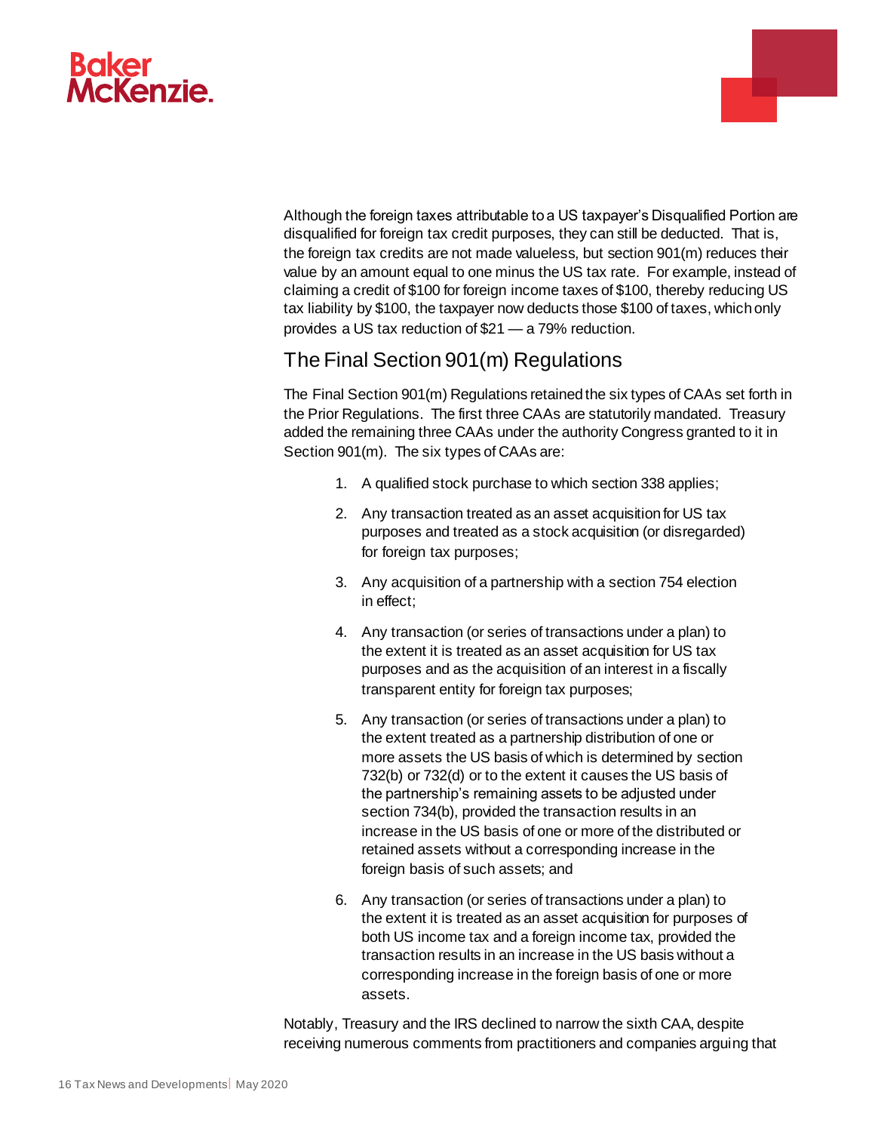



Although the foreign taxes attributable to a US taxpayer's Disqualified Portion are disqualified for foreign tax credit purposes, they can still be deducted. That is, the foreign tax credits are not made valueless, but section 901(m) reduces their value by an amount equal to one minus the US tax rate. For example, instead of claiming a credit of \$100 for foreign income taxes of \$100, thereby reducing US tax liability by \$100, the taxpayer now deducts those \$100 of taxes, which only provides a US tax reduction of \$21 — a 79% reduction.

## The Final Section 901(m) Regulations

The Final Section 901(m) Regulations retained the six types of CAAs set forth in the Prior Regulations. The first three CAAs are statutorily mandated. Treasury added the remaining three CAAs under the authority Congress granted to it in Section 901(m). The six types of CAAs are:

- 1. A qualified stock purchase to which section 338 applies;
- 2. Any transaction treated as an asset acquisition for US tax purposes and treated as a stock acquisition (or disregarded) for foreign tax purposes;
- 3. Any acquisition of a partnership with a section 754 election in effect;
- 4. Any transaction (or series of transactions under a plan) to the extent it is treated as an asset acquisition for US tax purposes and as the acquisition of an interest in a fiscally transparent entity for foreign tax purposes;
- 5. Any transaction (or series of transactions under a plan) to the extent treated as a partnership distribution of one or more assets the US basis of which is determined by section 732(b) or 732(d) or to the extent it causes the US basis of the partnership's remaining assets to be adjusted under section 734(b), provided the transaction results in an increase in the US basis of one or more of the distributed or retained assets without a corresponding increase in the foreign basis of such assets; and
- 6. Any transaction (or series of transactions under a plan) to the extent it is treated as an asset acquisition for purposes of both US income tax and a foreign income tax, provided the transaction results in an increase in the US basis without a corresponding increase in the foreign basis of one or more assets.

Notably, Treasury and the IRS declined to narrow the sixth CAA, despite receiving numerous comments from practitioners and companies arguing that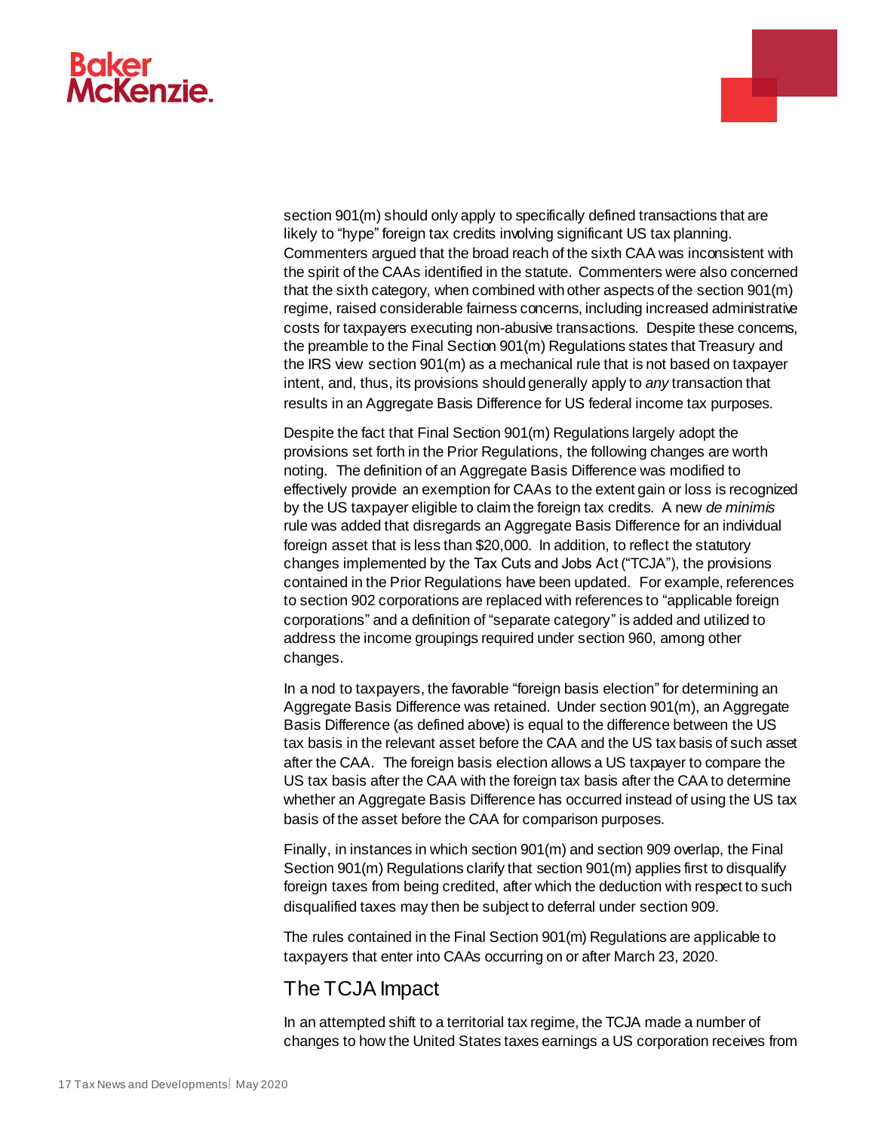

section 901(m) should only apply to specifically defined transactions that are likely to "hype" foreign tax credits involving significant US tax planning. Commenters argued that the broad reach of the sixth CAA was inconsistent with the spirit of the CAAs identified in the statute. Commenters were also concerned that the sixth category, when combined with other aspects of the section 901(m) regime, raised considerable fairness concerns, including increased administrative costs for taxpayers executing non-abusive transactions. Despite these concerns, the preamble to the Final Section 901(m) Regulations states that Treasury and the IRS view section 901(m) as a mechanical rule that is not based on taxpayer intent, and, thus, its provisions should generally apply to *any* transaction that results in an Aggregate Basis Difference for US federal income tax purposes.

a.

Despite the fact that Final Section 901(m) Regulations largely adopt the provisions set forth in the Prior Regulations, the following changes are worth noting. The definition of an Aggregate Basis Difference was modified to effectively provide an exemption for CAAs to the extent gain or loss is recognized by the US taxpayer eligible to claim the foreign tax credits. A new *de minimis*  rule was added that disregards an Aggregate Basis Difference for an individual foreign asset that is less than \$20,000. In addition, to reflect the statutory changes implemented by the Tax Cuts and Jobs Act ("TCJA"), the provisions contained in the Prior Regulations have been updated. For example, references to section 902 corporations are replaced with references to "applicable foreign corporations" and a definition of "separate category" is added and utilized to address the income groupings required under section 960, among other changes.

In a nod to taxpayers, the favorable "foreign basis election" for determining an Aggregate Basis Difference was retained. Under section 901(m), an Aggregate Basis Difference (as defined above) is equal to the difference between the US tax basis in the relevant asset before the CAA and the US tax basis of such asset after the CAA. The foreign basis election allows a US taxpayer to compare the US tax basis after the CAA with the foreign tax basis after the CAA to determine whether an Aggregate Basis Difference has occurred instead of using the US tax basis of the asset before the CAA for comparison purposes.

Finally, in instances in which section 901(m) and section 909 overlap, the Final Section 901(m) Regulations clarify that section 901(m) applies first to disqualify foreign taxes from being credited, after which the deduction with respect to such disqualified taxes may then be subject to deferral under section 909.

The rules contained in the Final Section 901(m) Regulations are applicable to taxpayers that enter into CAAs occurring on or after March 23, 2020.

## The TCJA Impact

In an attempted shift to a territorial tax regime, the TCJA made a number of changes to how the United States taxes earnings a US corporation receives from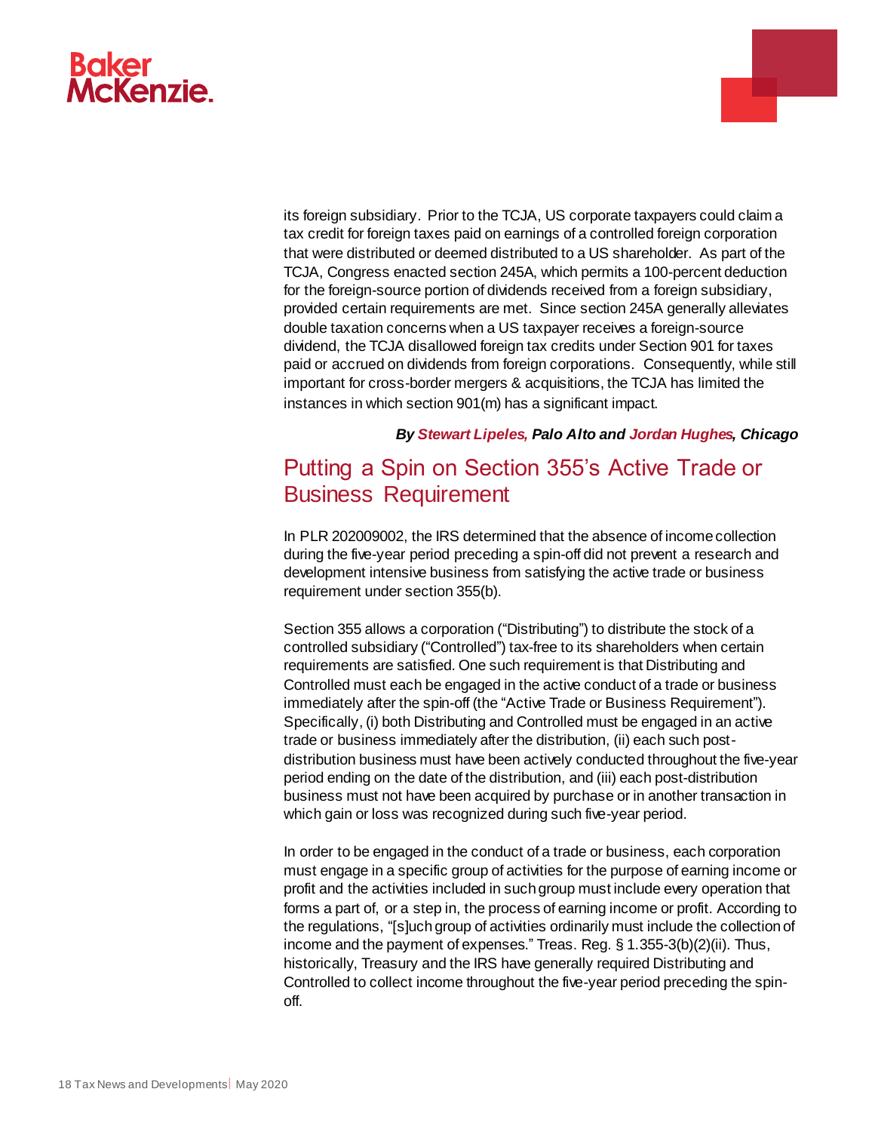

its foreign subsidiary. Prior to the TCJA, US corporate taxpayers could claim a tax credit for foreign taxes paid on earnings of a controlled foreign corporation that were distributed or deemed distributed to a US shareholder. As part of the TCJA, Congress enacted section 245A, which permits a 100-percent deduction for the foreign-source portion of dividends received from a foreign subsidiary, provided certain requirements are met. Since section 245A generally alleviates double taxation concerns when a US taxpayer receives a foreign-source dividend, the TCJA disallowed foreign tax credits under Section 901 for taxes paid or accrued on dividends from foreign corporations. Consequently, while still important for cross-border mergers & acquisitions, the TCJA has limited the instances in which section 901(m) has a significant impact.

#### *By [Stewart Lipeles,](https://www.bakermckenzie.com/en/people/l/lipeles-stewart-r) Palo Alto and [Jordan Hughes,](https://www.bakermckenzie.com/en/people/h/hughes-jordan) Chicago*

a.

# <span id="page-17-0"></span>Putting a Spin on Section 355's Active Trade or Business Requirement

In PLR 202009002, the IRS determined that the absence of income collection during the five-year period preceding a spin-off did not prevent a research and development intensive business from satisfying the active trade or business requirement under section 355(b).

Section 355 allows a corporation ("Distributing") to distribute the stock of a controlled subsidiary ("Controlled") tax-free to its shareholders when certain requirements are satisfied. One such requirement is that Distributing and Controlled must each be engaged in the active conduct of a trade or business immediately after the spin-off (the "Active Trade or Business Requirement"). Specifically, (i) both Distributing and Controlled must be engaged in an active trade or business immediately after the distribution, (ii) each such postdistribution business must have been actively conducted throughout the five-year period ending on the date of the distribution, and (iii) each post-distribution business must not have been acquired by purchase or in another transaction in which gain or loss was recognized during such five-year period.

In order to be engaged in the conduct of a trade or business, each corporation must engage in a specific group of activities for the purpose of earning income or profit and the activities included in such group must include every operation that forms a part of, or a step in, the process of earning income or profit. According to the regulations, "[s]uch group of activities ordinarily must include the collection of income and the payment of expenses." Treas. Reg. § 1.355-3(b)(2)(ii). Thus, historically, Treasury and the IRS have generally required Distributing and Controlled to collect income throughout the five-year period preceding the spinoff.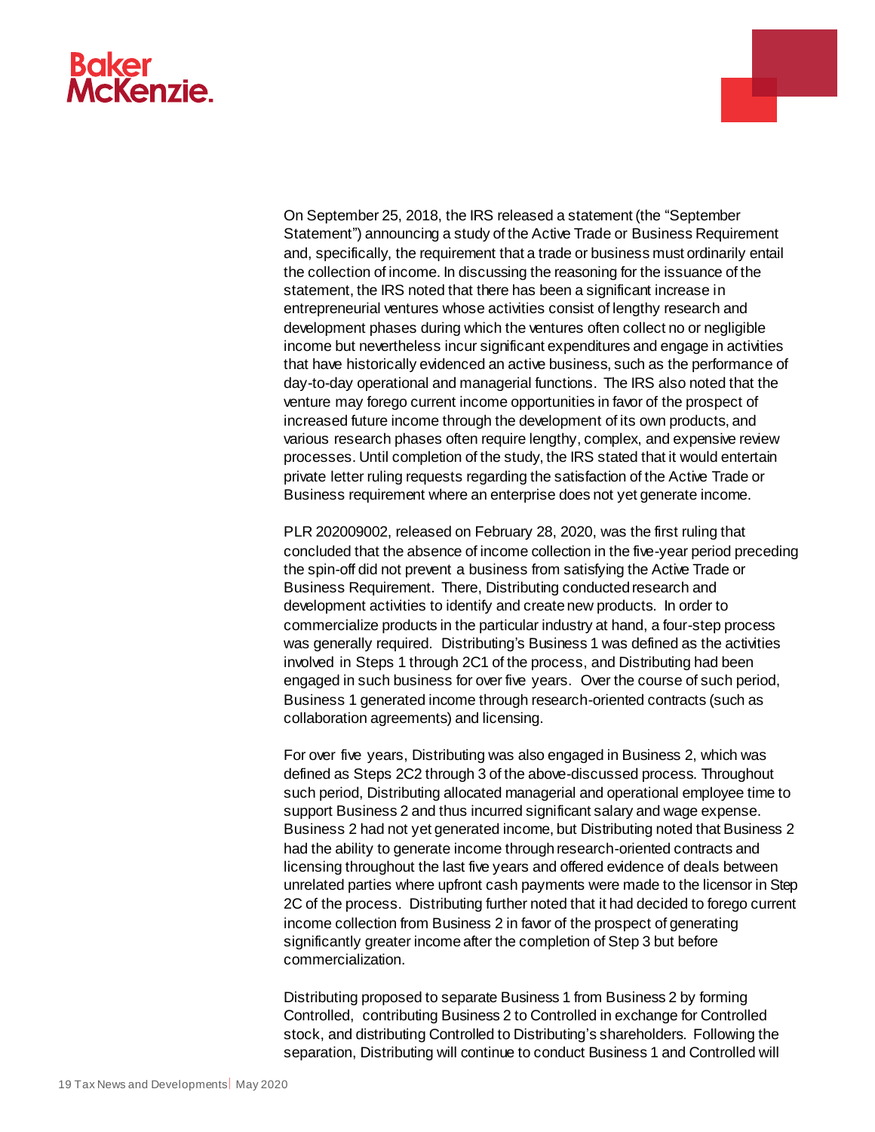# McKenzie.



PLR 202009002, released on February 28, 2020, was the first ruling that concluded that the absence of income collection in the five-year period preceding the spin-off did not prevent a business from satisfying the Active Trade or Business Requirement. There, Distributing conducted research and development activities to identify and create new products. In order to commercialize products in the particular industry at hand, a four-step process was generally required. Distributing's Business 1 was defined as the activities involved in Steps 1 through 2C1 of the process, and Distributing had been engaged in such business for over five years. Over the course of such period, Business 1 generated income through research-oriented contracts (such as collaboration agreements) and licensing.

For over five years, Distributing was also engaged in Business 2, which was defined as Steps 2C2 through 3 of the above-discussed process. Throughout such period, Distributing allocated managerial and operational employee time to support Business 2 and thus incurred significant salary and wage expense. Business 2 had not yet generated income, but Distributing noted that Business 2 had the ability to generate income through research-oriented contracts and licensing throughout the last five years and offered evidence of deals between unrelated parties where upfront cash payments were made to the licensor in Step 2C of the process. Distributing further noted that it had decided to forego current income collection from Business 2 in favor of the prospect of generating significantly greater income after the completion of Step 3 but before commercialization.

Distributing proposed to separate Business 1 from Business 2 by forming Controlled, contributing Business 2 to Controlled in exchange for Controlled stock, and distributing Controlled to Distributing's shareholders. Following the separation, Distributing will continue to conduct Business 1 and Controlled will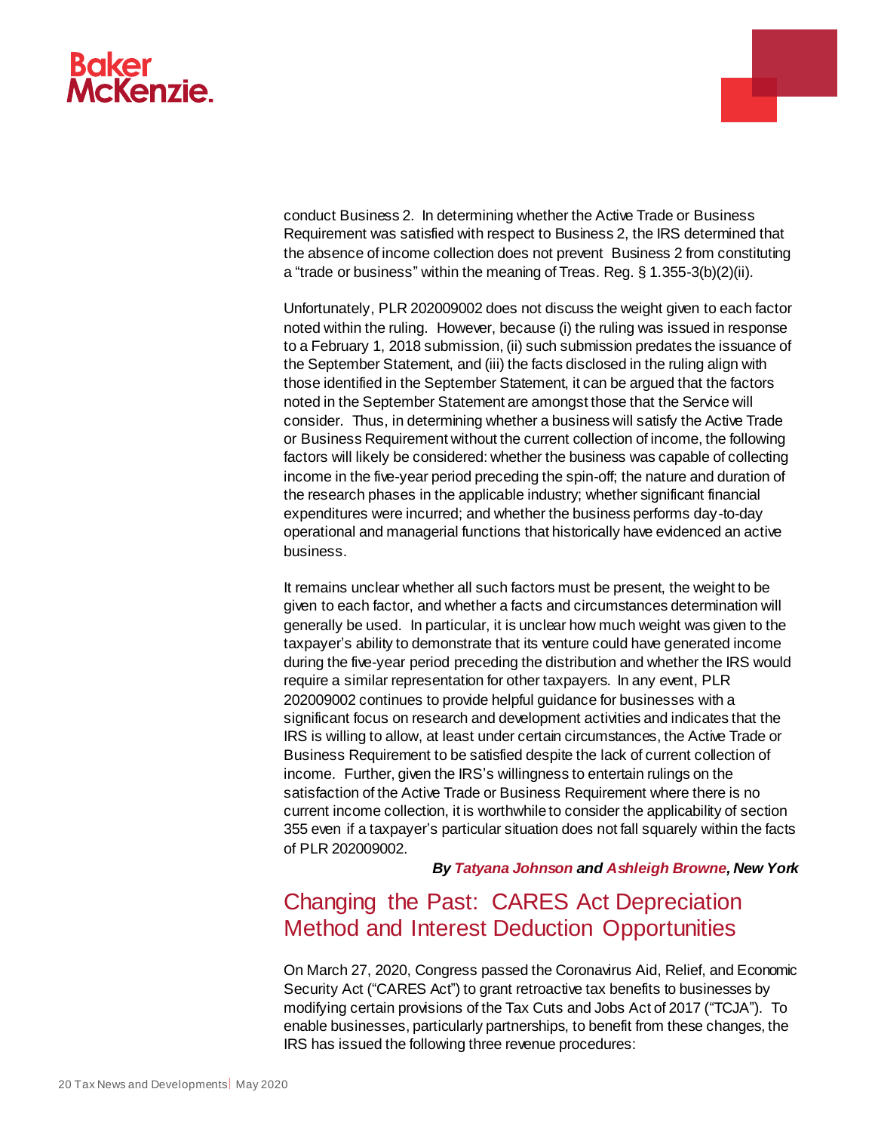# McKenzie.

conduct Business 2. In determining whether the Active Trade or Business Requirement was satisfied with respect to Business 2, the IRS determined that the absence of income collection does not prevent Business 2 from constituting a "trade or business" within the meaning of Treas. Reg. § 1.355-3(b)(2)(ii).

Unfortunately, PLR 202009002 does not discuss the weight given to each factor noted within the ruling. However, because (i) the ruling was issued in response to a February 1, 2018 submission, (ii) such submission predates the issuance of the September Statement, and (iii) the facts disclosed in the ruling align with those identified in the September Statement, it can be argued that the factors noted in the September Statement are amongst those that the Service will consider. Thus, in determining whether a business will satisfy the Active Trade or Business Requirement without the current collection of income, the following factors will likely be considered: whether the business was capable of collecting income in the five-year period preceding the spin-off; the nature and duration of the research phases in the applicable industry; whether significant financial expenditures were incurred; and whether the business performs day-to-day operational and managerial functions that historically have evidenced an active business.

It remains unclear whether all such factors must be present, the weight to be given to each factor, and whether a facts and circumstances determination will generally be used. In particular, it is unclear how much weight was given to the taxpayer's ability to demonstrate that its venture could have generated income during the five-year period preceding the distribution and whether the IRS would require a similar representation for other taxpayers. In any event, PLR 202009002 continues to provide helpful guidance for businesses with a significant focus on research and development activities and indicates that the IRS is willing to allow, at least under certain circumstances, the Active Trade or Business Requirement to be satisfied despite the lack of current collection of income. Further, given the IRS's willingness to entertain rulings on the satisfaction of the Active Trade or Business Requirement where there is no current income collection, it is worthwhile to consider the applicability of section 355 even if a taxpayer's particular situation does not fall squarely within the facts of PLR 202009002.

*By [Tatyana Johnson](https://www.bakermckenzie.com/en/people/j/johnson-tatyana) and [Ashleigh Browne,](https://www.bakermckenzie.com/en/people/b/browne-ashleigh) New York* 

# <span id="page-19-0"></span>Changing the Past: CARES Act Depreciation Method and Interest Deduction Opportunities

On March 27, 2020, Congress passed the Coronavirus Aid, Relief, and Economic Security Act ("CARES Act") to grant retroactive tax benefits to businesses by modifying certain provisions of the Tax Cuts and Jobs Act of 2017 ("TCJA"). To enable businesses, particularly partnerships, to benefit from these changes, the IRS has issued the following three revenue procedures: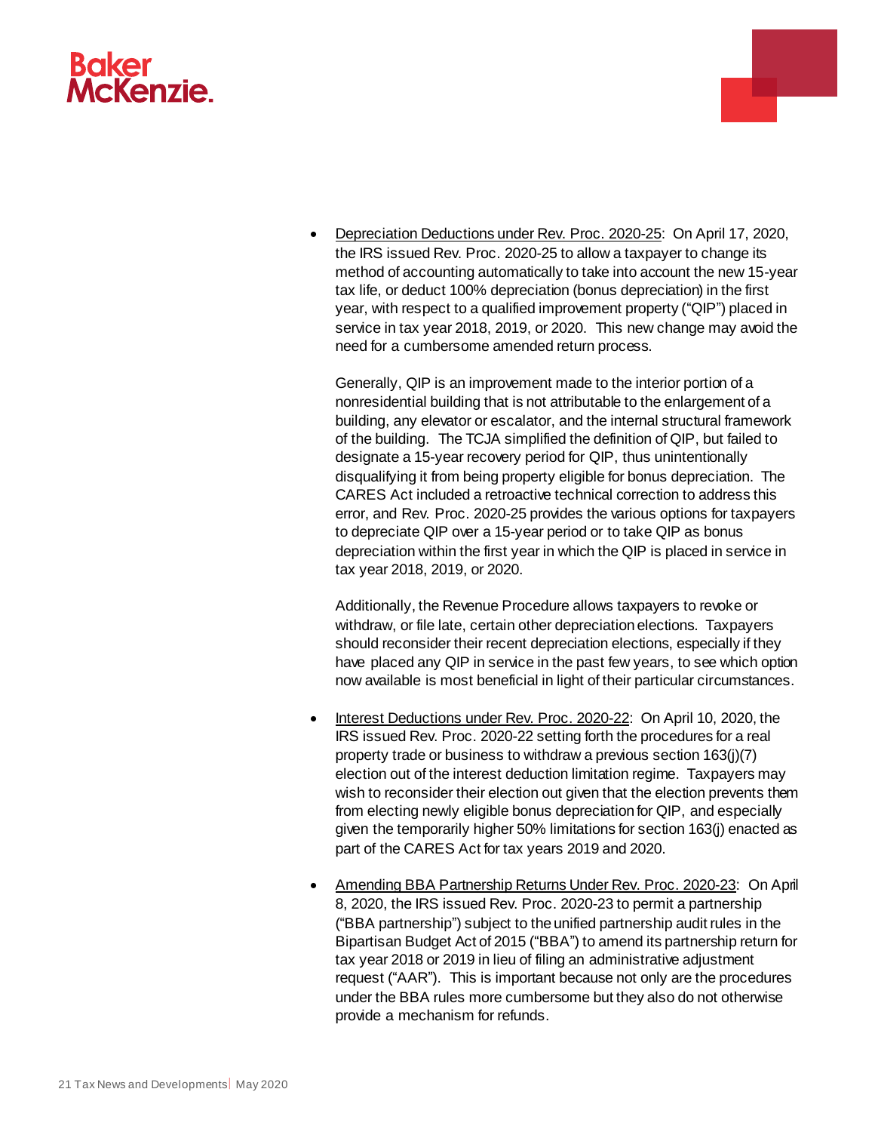# **McKenzie**



Generally, QIP is an improvement made to the interior portion of a nonresidential building that is not attributable to the enlargement of a building, any elevator or escalator, and the internal structural framework of the building. The TCJA simplified the definition of QIP, but failed to designate a 15-year recovery period for QIP, thus unintentionally disqualifying it from being property eligible for bonus depreciation. The CARES Act included a retroactive technical correction to address this error, and Rev. Proc. 2020-25 provides the various options for taxpayers to depreciate QIP over a 15-year period or to take QIP as bonus depreciation within the first year in which the QIP is placed in service in tax year 2018, 2019, or 2020.

Additionally, the Revenue Procedure allows taxpayers to revoke or withdraw, or file late, certain other depreciation elections. Taxpayers should reconsider their recent depreciation elections, especially if they have placed any QIP in service in the past few years, to see which option now available is most beneficial in light of their particular circumstances.

- Interest Deductions under Rev. Proc. 2020-22: On April 10, 2020, the IRS issued Rev. Proc. 2020-22 setting forth the procedures for a real property trade or business to withdraw a previous section 163(j)(7) election out of the interest deduction limitation regime. Taxpayers may wish to reconsider their election out given that the election prevents them from electing newly eligible bonus depreciation for QIP, and especially given the temporarily higher 50% limitations for section 163(j) enacted as part of the CARES Act for tax years 2019 and 2020.
- Amending BBA Partnership Returns Under Rev. Proc. 2020-23: On April 8, 2020, the IRS issued Rev. Proc. 2020-23 to permit a partnership ("BBA partnership") subject to the unified partnership audit rules in the Bipartisan Budget Act of 2015 ("BBA") to amend its partnership return for tax year 2018 or 2019 in lieu of filing an administrative adjustment request ("AAR"). This is important because not only are the procedures under the BBA rules more cumbersome but they also do not otherwise provide a mechanism for refunds.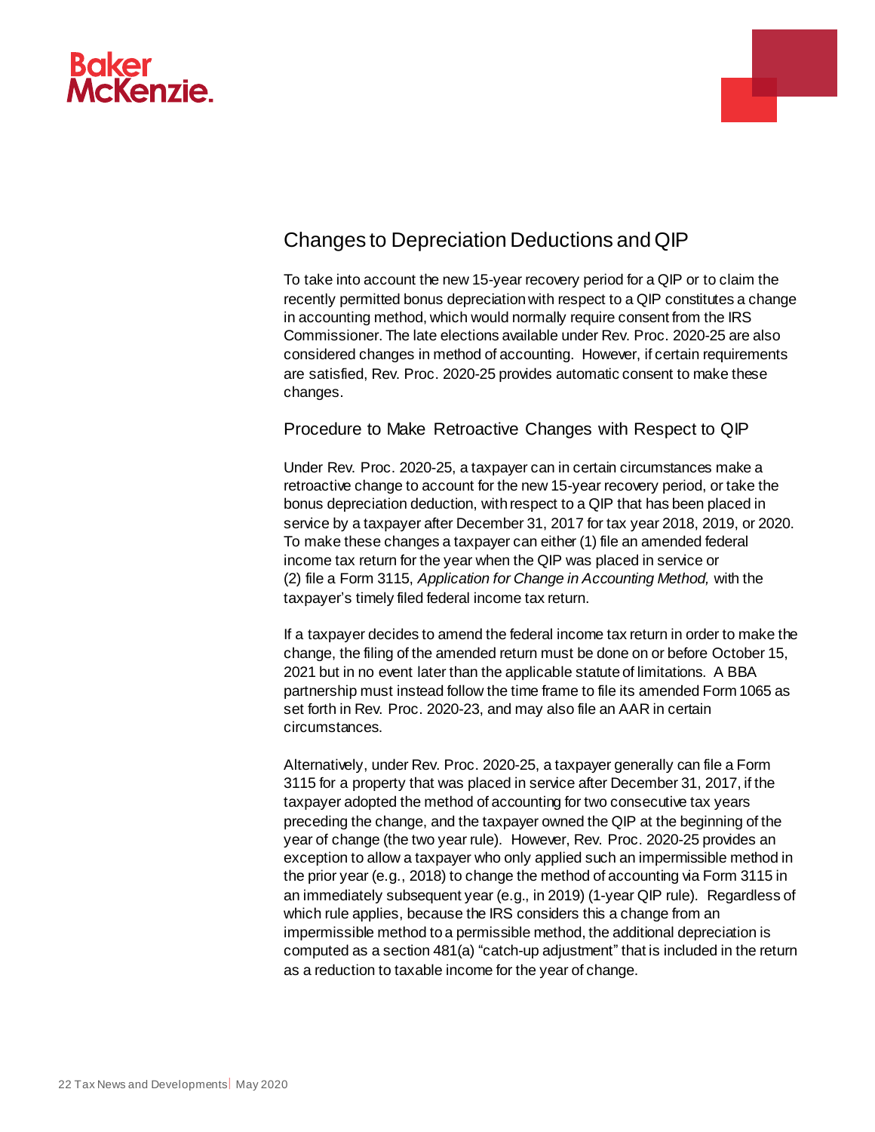



## Changes to Depreciation Deductions and QIP

To take into account the new 15-year recovery period for a QIP or to claim the recently permitted bonus depreciation with respect to a QIP constitutes a change in accounting method, which would normally require consent from the IRS Commissioner. The late elections available under Rev. Proc. 2020-25 are also considered changes in method of accounting. However, if certain requirements are satisfied, Rev. Proc. 2020-25 provides automatic consent to make these changes.

#### Procedure to Make Retroactive Changes with Respect to QIP

Under Rev. Proc. 2020-25, a taxpayer can in certain circumstances make a retroactive change to account for the new 15-year recovery period, or take the bonus depreciation deduction, with respect to a QIP that has been placed in service by a taxpayer after December 31, 2017 for tax year 2018, 2019, or 2020. To make these changes a taxpayer can either (1) file an amended federal income tax return for the year when the QIP was placed in service or (2) file a Form 3115, *Application for Change in Accounting Method,* with the taxpayer's timely filed federal income tax return.

If a taxpayer decides to amend the federal income tax return in order to make the change, the filing of the amended return must be done on or before October 15, 2021 but in no event later than the applicable statute of limitations. A BBA partnership must instead follow the time frame to file its amended Form 1065 as set forth in Rev. Proc. 2020-23, and may also file an AAR in certain circumstances.

Alternatively, under Rev. Proc. 2020-25, a taxpayer generally can file a Form 3115 for a property that was placed in service after December 31, 2017, if the taxpayer adopted the method of accounting for two consecutive tax years preceding the change, and the taxpayer owned the QIP at the beginning of the year of change (the two year rule). However, Rev. Proc. 2020-25 provides an exception to allow a taxpayer who only applied such an impermissible method in the prior year (e.g., 2018) to change the method of accounting via Form 3115 in an immediately subsequent year (e.g., in 2019) (1-year QIP rule). Regardless of which rule applies, because the IRS considers this a change from an impermissible method to a permissible method, the additional depreciation is computed as a section 481(a) "catch-up adjustment" that is included in the return as a reduction to taxable income for the year of change.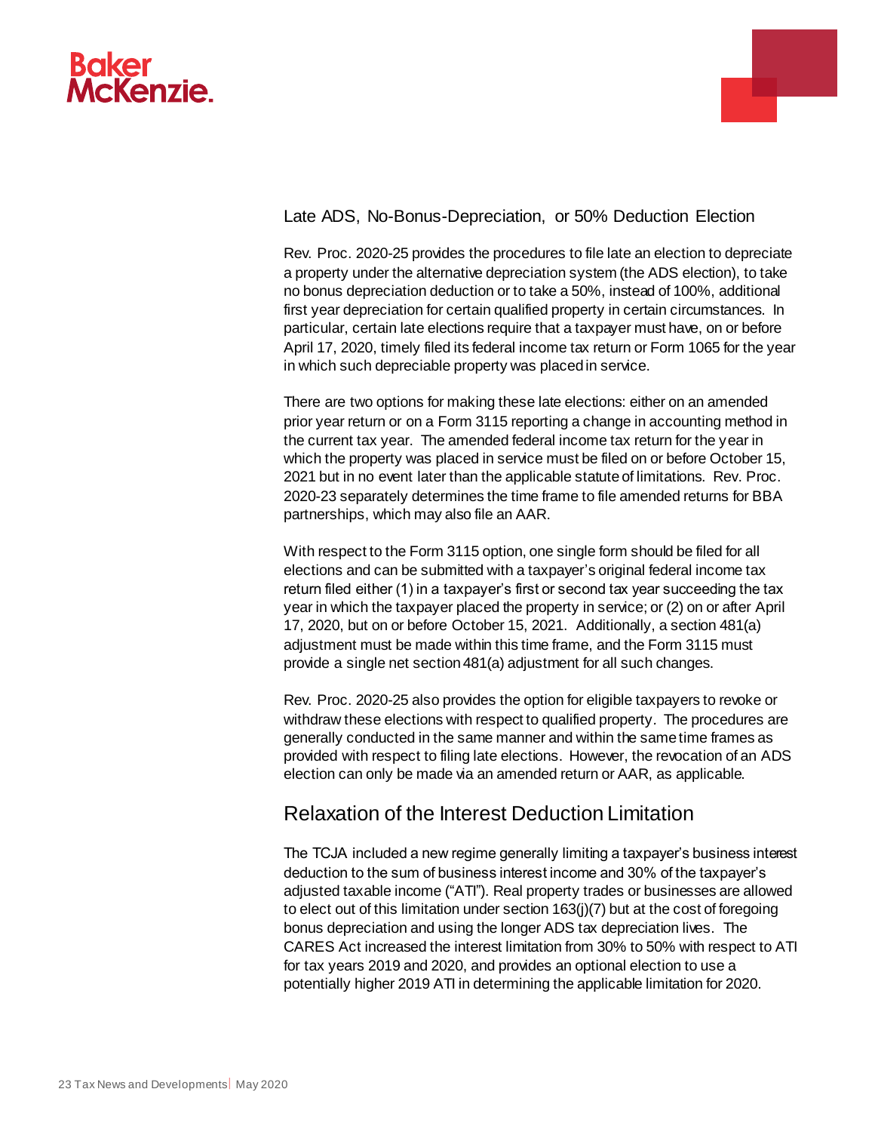



Late ADS, No-Bonus-Depreciation, or 50% Deduction Election

Rev. Proc. 2020-25 provides the procedures to file late an election to depreciate a property under the alternative depreciation system (the ADS election), to take no bonus depreciation deduction or to take a 50%, instead of 100%, additional first year depreciation for certain qualified property in certain circumstances. In particular, certain late elections require that a taxpayer must have, on or before April 17, 2020, timely filed its federal income tax return or Form 1065 for the year in which such depreciable property was placed in service.

There are two options for making these late elections: either on an amended prior year return or on a Form 3115 reporting a change in accounting method in the current tax year. The amended federal income tax return for the year in which the property was placed in service must be filed on or before October 15, 2021 but in no event later than the applicable statute of limitations. Rev. Proc. 2020-23 separately determines the time frame to file amended returns for BBA partnerships, which may also file an AAR.

With respect to the Form 3115 option, one single form should be filed for all elections and can be submitted with a taxpayer's original federal income tax return filed either (1) in a taxpayer's first or second tax year succeeding the tax year in which the taxpayer placed the property in service; or (2) on or after April 17, 2020, but on or before October 15, 2021. Additionally, a section 481(a) adjustment must be made within this time frame, and the Form 3115 must provide a single net section 481(a) adjustment for all such changes.

Rev. Proc. 2020-25 also provides the option for eligible taxpayers to revoke or withdraw these elections with respect to qualified property*.* The procedures are generally conducted in the same manner and within the same time frames as provided with respect to filing late elections. However, the revocation of an ADS election can only be made via an amended return or AAR, as applicable.

## Relaxation of the Interest Deduction Limitation

The TCJA included a new regime generally limiting a taxpayer's business interest deduction to the sum of business interest income and 30% of the taxpayer's adjusted taxable income ("ATI"). Real property trades or businesses are allowed to elect out of this limitation under section 163(j)(7) but at the cost of foregoing bonus depreciation and using the longer ADS tax depreciation lives. The CARES Act increased the interest limitation from 30% to 50% with respect to ATI for tax years 2019 and 2020, and provides an optional election to use a potentially higher 2019 ATI in determining the applicable limitation for 2020.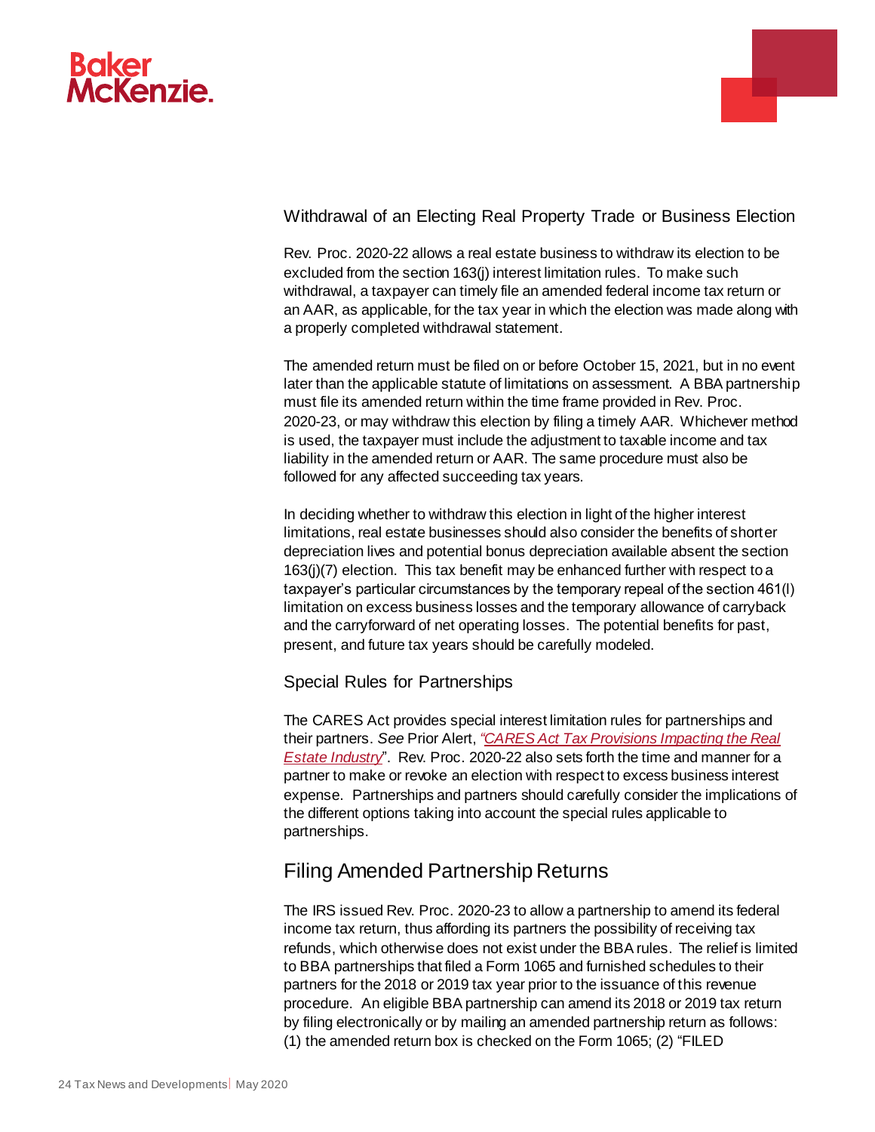



#### Withdrawal of an Electing Real Property Trade or Business Election

Rev. Proc. 2020-22 allows a real estate business to withdraw its election to be excluded from the section 163(j) interest limitation rules. To make such withdrawal, a taxpayer can timely file an amended federal income tax return or an AAR, as applicable, for the tax year in which the election was made along with a properly completed withdrawal statement.

The amended return must be filed on or before October 15, 2021, but in no event later than the applicable statute of limitations on assessment. A BBA partnership must file its amended return within the time frame provided in Rev. Proc. 2020-23, or may withdraw this election by filing a timely AAR. Whichever method is used, the taxpayer must include the adjustment to taxable income and tax liability in the amended return or AAR. The same procedure must also be followed for any affected succeeding tax years.

In deciding whether to withdraw this election in light of the higher interest limitations, real estate businesses should also consider the benefits of shorter depreciation lives and potential bonus depreciation available absent the section 163(j)(7) election. This tax benefit may be enhanced further with respect to a taxpayer's particular circumstances by the temporary repeal of the section 461(l) limitation on excess business losses and the temporary allowance of carryback and the carryforward of net operating losses. The potential benefits for past, present, and future tax years should be carefully modeled.

#### Special Rules for Partnerships

The CARES Act provides special interest limitation rules for partnerships and their partners. *See* Prior Alert, *["CARES Act Tax Provisions Impacting the Real](https://www.bakermckenzie.com/en/insight/publications/2020/04/cares-act-tax-provisions-real-estate)  [Estate Industry](https://www.bakermckenzie.com/en/insight/publications/2020/04/cares-act-tax-provisions-real-estate)*". Rev. Proc. 2020-22 also sets forth the time and manner for a partner to make or revoke an election with respect to excess business interest expense. Partnerships and partners should carefully consider the implications of the different options taking into account the special rules applicable to partnerships.

## Filing Amended Partnership Returns

The IRS issued Rev. Proc. 2020-23 to allow a partnership to amend its federal income tax return, thus affording its partners the possibility of receiving tax refunds, which otherwise does not exist under the BBA rules. The relief is limited to BBA partnerships that filed a Form 1065 and furnished schedules to their partners for the 2018 or 2019 tax year prior to the issuance of this revenue procedure. An eligible BBA partnership can amend its 2018 or 2019 tax return by filing electronically or by mailing an amended partnership return as follows: (1) the amended return box is checked on the Form 1065; (2) "FILED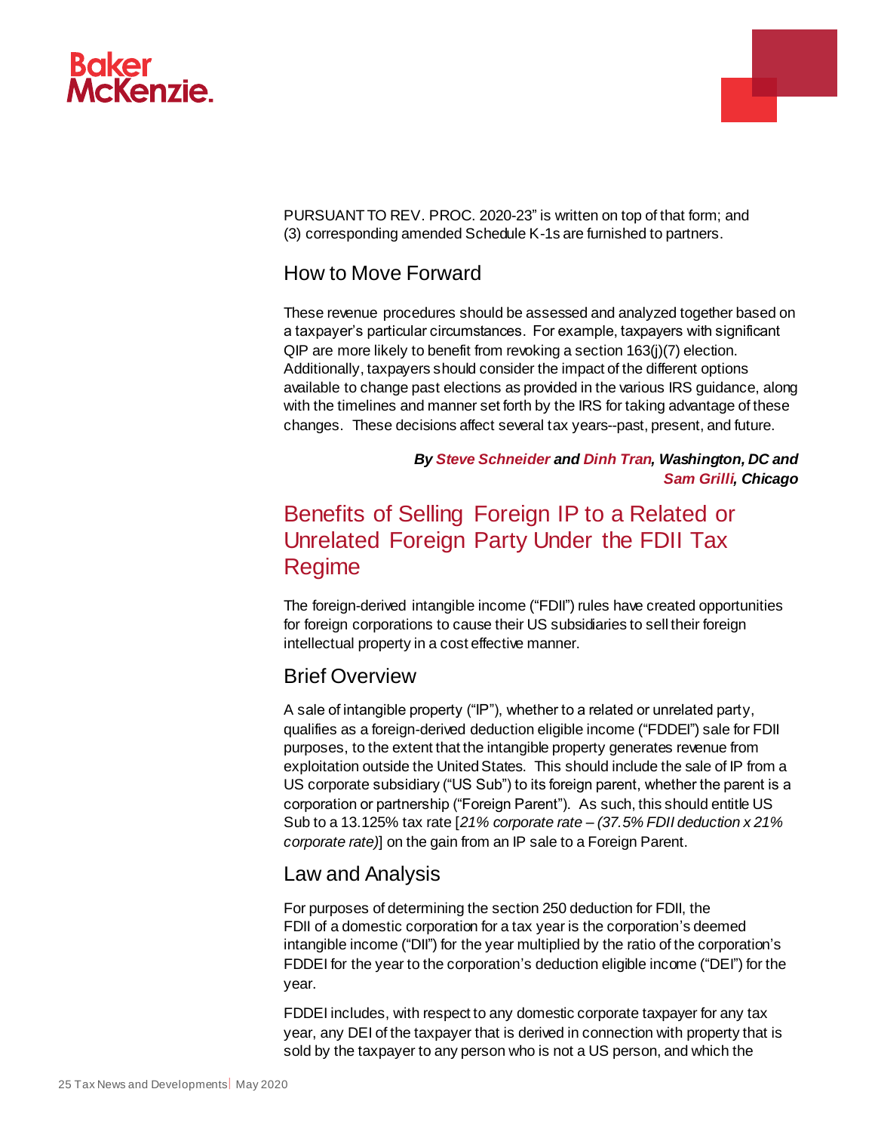

PURSUANT TO REV. PROC. 2020-23" is written on top of that form; and (3) corresponding amended Schedule K-1s are furnished to partners.

### How to Move Forward

These revenue procedures should be assessed and analyzed together based on a taxpayer's particular circumstances. For example, taxpayers with significant QIP are more likely to benefit from revoking a section 163(j)(7) election. Additionally, taxpayers should consider the impact of the different options available to change past elections as provided in the various IRS guidance, along with the timelines and manner set forth by the IRS for taking advantage of these changes. These decisions affect several tax years--past, present, and future.

> *By [Steve Schneider a](https://www.bakermckenzie.com/en/people/s/schneider-steven-r)n[d Dinh Tran,](https://www.bakermckenzie.com/en/people/t/tran-dinh) Washington, DC and [Sam Grilli,](https://www.bakermckenzie.com/en/people/g/grilli-samuel-p) Chicago*

a.

# <span id="page-24-0"></span>Benefits of Selling Foreign IP to a Related or Unrelated Foreign Party Under the FDII Tax Regime

The foreign-derived intangible income ("FDII") rules have created opportunities for foreign corporations to cause their US subsidiaries to sell their foreign intellectual property in a cost effective manner.

#### Brief Overview

A sale of intangible property ("IP"), whether to a related or unrelated party, qualifies as a foreign-derived deduction eligible income ("FDDEI") sale for FDII purposes, to the extent that the intangible property generates revenue from exploitation outside the United States. This should include the sale of IP from a US corporate subsidiary ("US Sub") to its foreign parent, whether the parent is a corporation or partnership ("Foreign Parent"). As such, this should entitle US Sub to a 13.125% tax rate [*21% corporate rate – (37.5% FDII deduction x 21% corporate rate)*] on the gain from an IP sale to a Foreign Parent.

#### Law and Analysis

For purposes of determining the section 250 deduction for FDII, the FDII of a domestic corporation for a tax year is the corporation's deemed intangible income ("DII") for the year multiplied by the ratio of the corporation's FDDEI for the year to the corporation's deduction eligible income ("DEI") for the year.

FDDEI includes, with respect to any domestic corporate taxpayer for any tax year, any DEI of the taxpayer that is derived in connection with property that is sold by the taxpayer to any person who is not a US person, and which the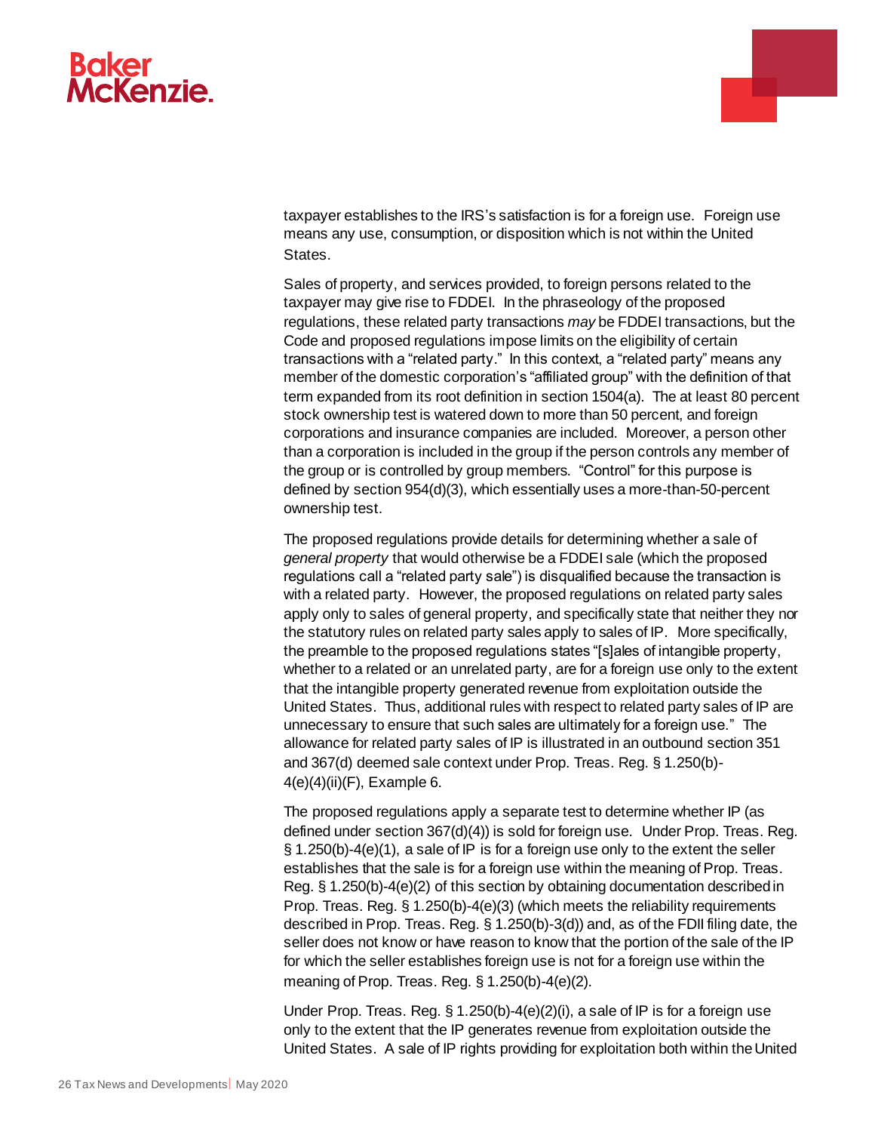

taxpayer establishes to the IRS's satisfaction is for a foreign use. Foreign use means any use, consumption, or disposition which is not within the United States.

Sales of property, and services provided, to foreign persons related to the taxpayer may give rise to FDDEI. In the phraseology of the proposed regulations, these related party transactions *may* be FDDEI transactions, but the Code and proposed regulations impose limits on the eligibility of certain transactions with a "related party." In this context, a "related party" means any member of the domestic corporation's "affiliated group" with the definition of that term expanded from its root definition in section 1504(a). The at least 80 percent stock ownership test is watered down to more than 50 percent, and foreign corporations and insurance companies are included. Moreover, a person other than a corporation is included in the group if the person controls any member of the group or is controlled by group members. "Control" for this purpose is defined by section 954(d)(3), which essentially uses a more-than-50-percent ownership test.

The proposed regulations provide details for determining whether a sale of *general property* that would otherwise be a FDDEI sale (which the proposed regulations call a "related party sale") is disqualified because the transaction is with a related party. However, the proposed regulations on related party sales apply only to sales of general property, and specifically state that neither they nor the statutory rules on related party sales apply to sales of IP. More specifically, the preamble to the proposed regulations states "[s]ales of intangible property, whether to a related or an unrelated party, are for a foreign use only to the extent that the intangible property generated revenue from exploitation outside the United States. Thus, additional rules with respect to related party sales of IP are unnecessary to ensure that such sales are ultimately for a foreign use." The allowance for related party sales of IP is illustrated in an outbound section 351 and 367(d) deemed sale context under Prop. Treas. Reg. § 1.250(b)- 4(e)(4)(ii)(F), Example 6.

The proposed regulations apply a separate test to determine whether IP (as defined under section 367(d)(4)) is sold for foreign use. Under Prop. Treas. Reg. § 1.250(b)-4(e)(1), a sale of IP is for a foreign use only to the extent the seller establishes that the sale is for a foreign use within the meaning of Prop. Treas. Reg. § 1.250(b)-4(e)(2) of this section by obtaining documentation described in Prop. Treas. Reg. § 1.250(b)-4(e)(3) (which meets the reliability requirements described in Prop. Treas. Reg. § 1.250(b)-3(d)) and, as of the FDII filing date, the seller does not know or have reason to know that the portion of the sale of the IP for which the seller establishes foreign use is not for a foreign use within the meaning of Prop. Treas. Reg. § 1.250(b)-4(e)(2).

Under Prop. Treas. Reg. § 1.250(b)-4(e)(2)(i), a sale of IP is for a foreign use only to the extent that the IP generates revenue from exploitation outside the United States. A sale of IP rights providing for exploitation both within the United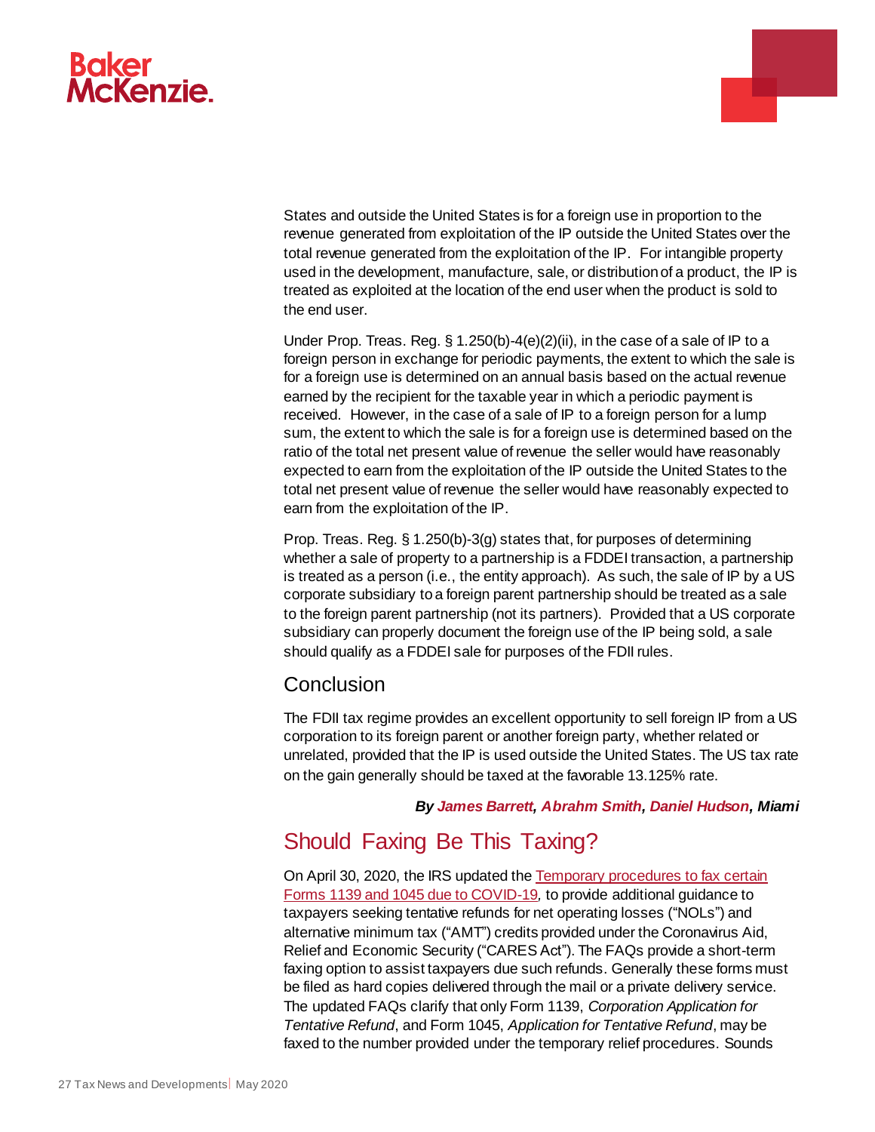

States and outside the United States is for a foreign use in proportion to the revenue generated from exploitation of the IP outside the United States over the total revenue generated from the exploitation of the IP. For intangible property used in the development, manufacture, sale, or distribution of a product, the IP is treated as exploited at the location of the end user when the product is sold to the end user.

Under Prop. Treas. Reg. § 1.250(b)-4(e)(2)(ii), in the case of a sale of IP to a foreign person in exchange for periodic payments, the extent to which the sale is for a foreign use is determined on an annual basis based on the actual revenue earned by the recipient for the taxable year in which a periodic payment is received. However, in the case of a sale of IP to a foreign person for a lump sum, the extent to which the sale is for a foreign use is determined based on the ratio of the total net present value of revenue the seller would have reasonably expected to earn from the exploitation of the IP outside the United States to the total net present value of revenue the seller would have reasonably expected to earn from the exploitation of the IP.

Prop. Treas. Reg. § 1.250(b)-3(g) states that, for purposes of determining whether a sale of property to a partnership is a FDDEI transaction, a partnership is treated as a person (i.e., the entity approach). As such, the sale of IP by a US corporate subsidiary to a foreign parent partnership should be treated as a sale to the foreign parent partnership (not its partners). Provided that a US corporate subsidiary can properly document the foreign use of the IP being sold, a sale should qualify as a FDDEI sale for purposes of the FDII rules.

#### **Conclusion**

The FDII tax regime provides an excellent opportunity to sell foreign IP from a US corporation to its foreign parent or another foreign party, whether related or unrelated, provided that the IP is used outside the United States. The US tax rate on the gain generally should be taxed at the favorable 13.125% rate.

#### *By [James Barrett,](https://www.bakermckenzie.com/en/people/b/barrett-james-h) [Abrahm Smith,](https://www.bakermckenzie.com/en/people/s/smith-abrahm-william) [Daniel Hudson,](https://www.bakermckenzie.com/en/people/h/hudson-daniel-w) Miami*

## <span id="page-26-0"></span>Should Faxing Be This Taxing?

On April 30, 2020, the IRS updated th[e Temporary procedures to fax certain](https://www.irs.gov/newsroom/temporary-procedures-to-fax-certain-forms-1139-and-1045-due-to-covid-19)  [Forms 1139 and 1045 due to COVID-19](https://www.irs.gov/newsroom/temporary-procedures-to-fax-certain-forms-1139-and-1045-due-to-covid-19)*,* to provide additional guidance to taxpayers seeking tentative refunds for net operating losses ("NOLs") and alternative minimum tax ("AMT") credits provided under the Coronavirus Aid, Relief and Economic Security ("CARES Act"). The FAQs provide a short-term faxing option to assist taxpayers due such refunds. Generally these forms must be filed as hard copies delivered through the mail or a private delivery service. The updated FAQs clarify that only Form 1139, *Corporation Application for Tentative Refund*, and Form 1045, *Application for Tentative Refund*, may be faxed to the number provided under the temporary relief procedures. Sounds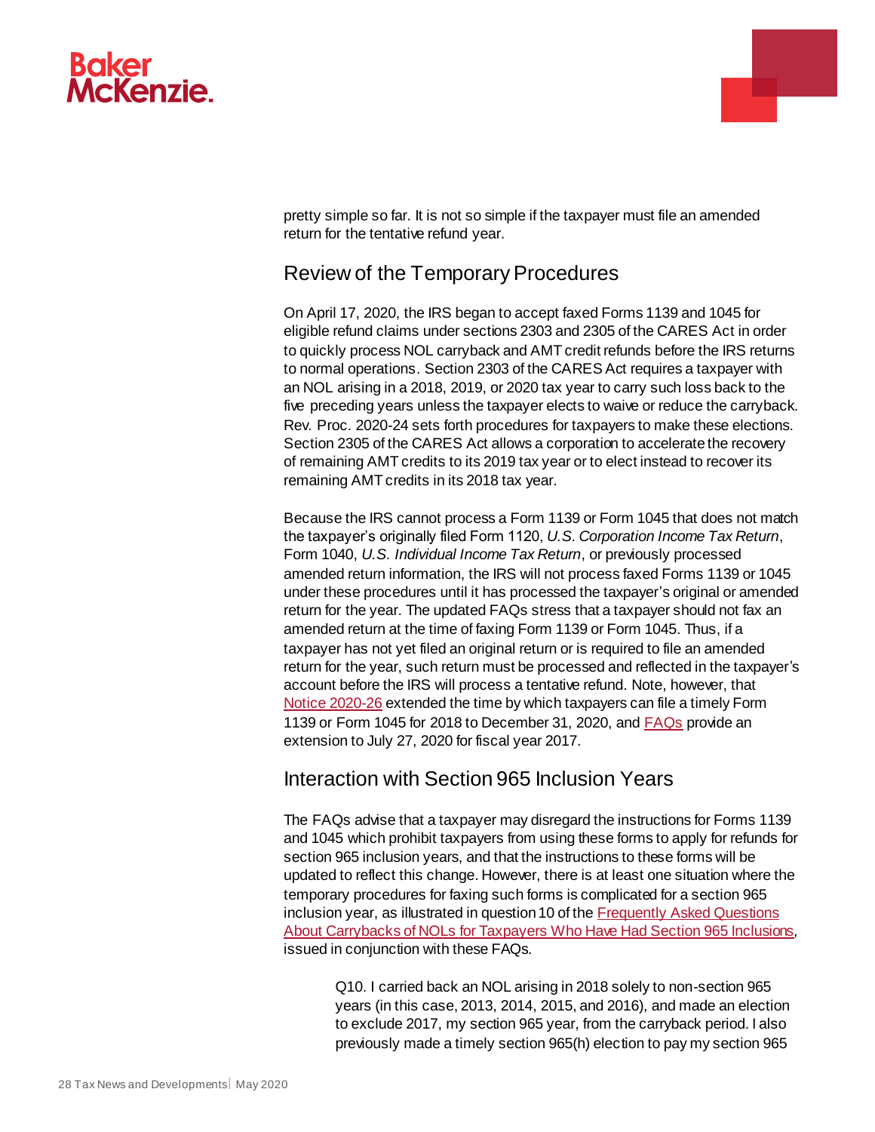

.

pretty simple so far. It is not so simple if the taxpayer must file an amended return for the tentative refund year.

## Review of the Temporary Procedures

On April 17, 2020, the IRS began to accept faxed Forms 1139 and 1045 for eligible refund claims under sections 2303 and 2305 of the CARES Act in order to quickly process NOL carryback and AMT credit refunds before the IRS returns to normal operations. Section 2303 of the CARES Act requires a taxpayer with an NOL arising in a 2018, 2019, or 2020 tax year to carry such loss back to the five preceding years unless the taxpayer elects to waive or reduce the carryback. Rev. Proc. 2020-24 sets forth procedures for taxpayers to make these elections. Section 2305 of the CARES Act allows a corporation to accelerate the recovery of remaining AMT credits to its 2019 tax year or to elect instead to recover its remaining AMT credits in its 2018 tax year.

Because the IRS cannot process a Form 1139 or Form 1045 that does not match the taxpayer's originally filed Form 1120, *U.S. Corporation Income Tax Return*, Form 1040, *U.S. Individual Income Tax Return*, or previously processed amended return information, the IRS will not process faxed Forms 1139 or 1045 under these procedures until it has processed the taxpayer's original or amended return for the year. The updated FAQs stress that a taxpayer should not fax an amended return at the time of faxing Form 1139 or Form 1045. Thus, if a taxpayer has not yet filed an original return or is required to file an amended return for the year, such return must be processed and reflected in the taxpayer's account before the IRS will process a tentative refund. Note, however, that [Notice 2020-26](https://www.irs.gov/pub/irs-drop/n-20-26.pdf) extended the time by which taxpayers can file a timely Form 1139 or Form 1045 for 2018 to December 31, 2020, an[d FAQs](https://www.irs.gov/newsroom/frequently-asked-questions-about-carrybacks-of-nols-for-taxpayers-who-have-had-section-965-inclusions) provide an extension to July 27, 2020 for fiscal year 2017.

## Interaction with Section 965 Inclusion Years

The FAQs advise that a taxpayer may disregard the instructions for Forms 1139 and 1045 which prohibit taxpayers from using these forms to apply for refunds for section 965 inclusion years, and that the instructions to these forms will be updated to reflect this change. However, there is at least one situation where the temporary procedures for faxing such forms is complicated for a section 965 inclusion year, as illustrated in question 10 of th[e Frequently Asked Questions](https://www.irs.gov/newsroom/frequently-asked-questions-about-carrybacks-of-nols-for-taxpayers-who-have-had-section-965-inclusions)  [About Carrybacks of NOLs for Taxpayers Who Have Had Section 965 Inclusions](https://www.irs.gov/newsroom/frequently-asked-questions-about-carrybacks-of-nols-for-taxpayers-who-have-had-section-965-inclusions)*,*  issued in conjunction with these FAQs.

Q10. I carried back an NOL arising in 2018 solely to non-section 965 years (in this case, 2013, 2014, 2015, and 2016), and made an election to exclude 2017, my section 965 year, from the carryback period. I also previously made a timely section 965(h) election to pay my section 965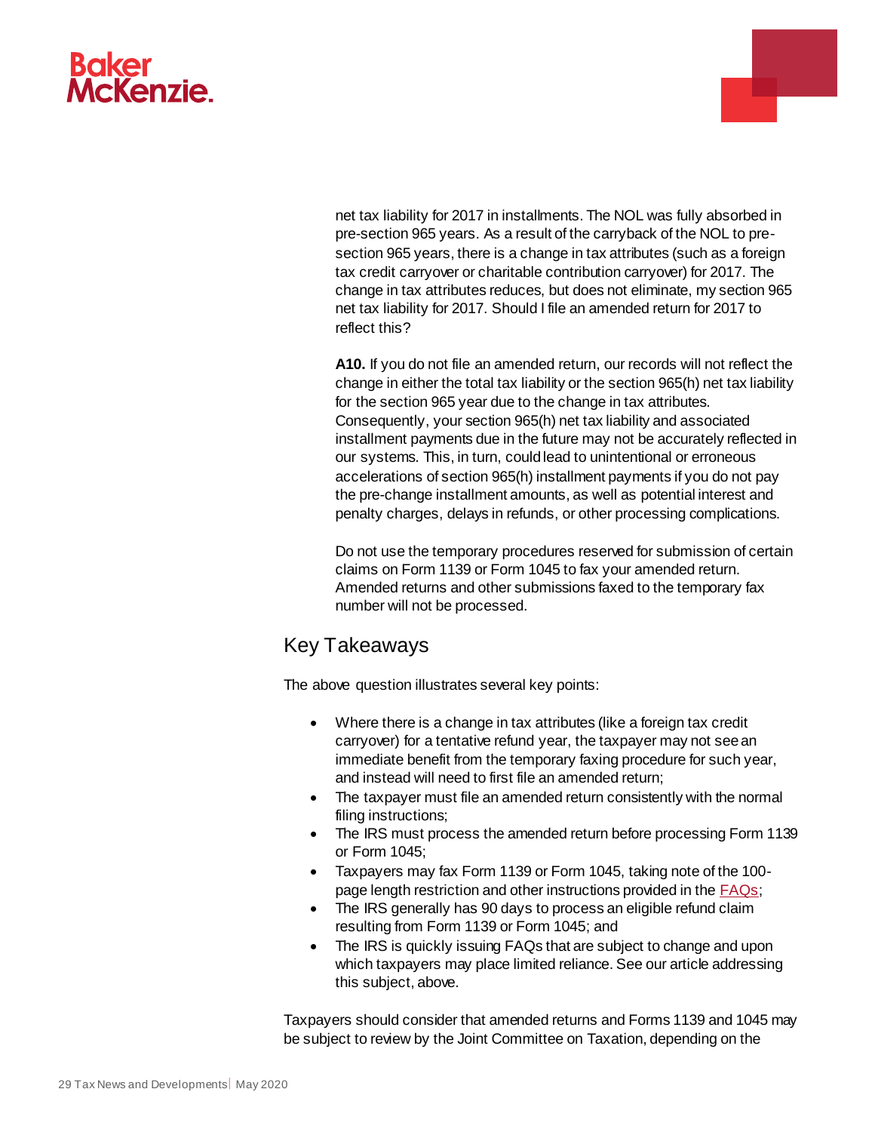

net tax liability for 2017 in installments. The NOL was fully absorbed in pre-section 965 years. As a result of the carryback of the NOL to presection 965 years, there is a change in tax attributes (such as a foreign tax credit carryover or charitable contribution carryover) for 2017. The change in tax attributes reduces, but does not eliminate, my section 965 net tax liability for 2017. Should I file an amended return for 2017 to reflect this?

**A10.** If you do not file an amended return, our records will not reflect the change in either the total tax liability or the section 965(h) net tax liability for the section 965 year due to the change in tax attributes. Consequently, your section 965(h) net tax liability and associated installment payments due in the future may not be accurately reflected in our systems. This, in turn, could lead to unintentional or erroneous accelerations of section 965(h) installment payments if you do not pay the pre-change installment amounts, as well as potential interest and penalty charges, delays in refunds, or other processing complications.

Do not use the temporary procedures reserved for submission of certain claims on Form 1139 or Form 1045 to fax your amended return. Amended returns and other submissions faxed to the temporary fax number will not be processed.

## Key Takeaways

The above question illustrates several key points:

- Where there is a change in tax attributes (like a foreign tax credit carryover) for a tentative refund year, the taxpayer may not see an immediate benefit from the temporary faxing procedure for such year, and instead will need to first file an amended return;
- The taxpayer must file an amended return consistently with the normal filing instructions;
- The IRS must process the amended return before processing Form 1139 or Form 1045;
- Taxpayers may fax Form 1139 or Form 1045, taking note of the 100 page length restriction and other instructions provided in the [FAQs](https://www.irs.gov/newsroom/temporary-procedures-to-fax-certain-forms-1139-and-1045-due-to-covid-19);
- The IRS generally has 90 days to process an eligible refund claim resulting from Form 1139 or Form 1045; and
- The IRS is quickly issuing FAQs that are subject to change and upon which taxpayers may place limited reliance. See our article addressing this subject, above.

Taxpayers should consider that amended returns and Forms 1139 and 1045 may be subject to review by the Joint Committee on Taxation, depending on the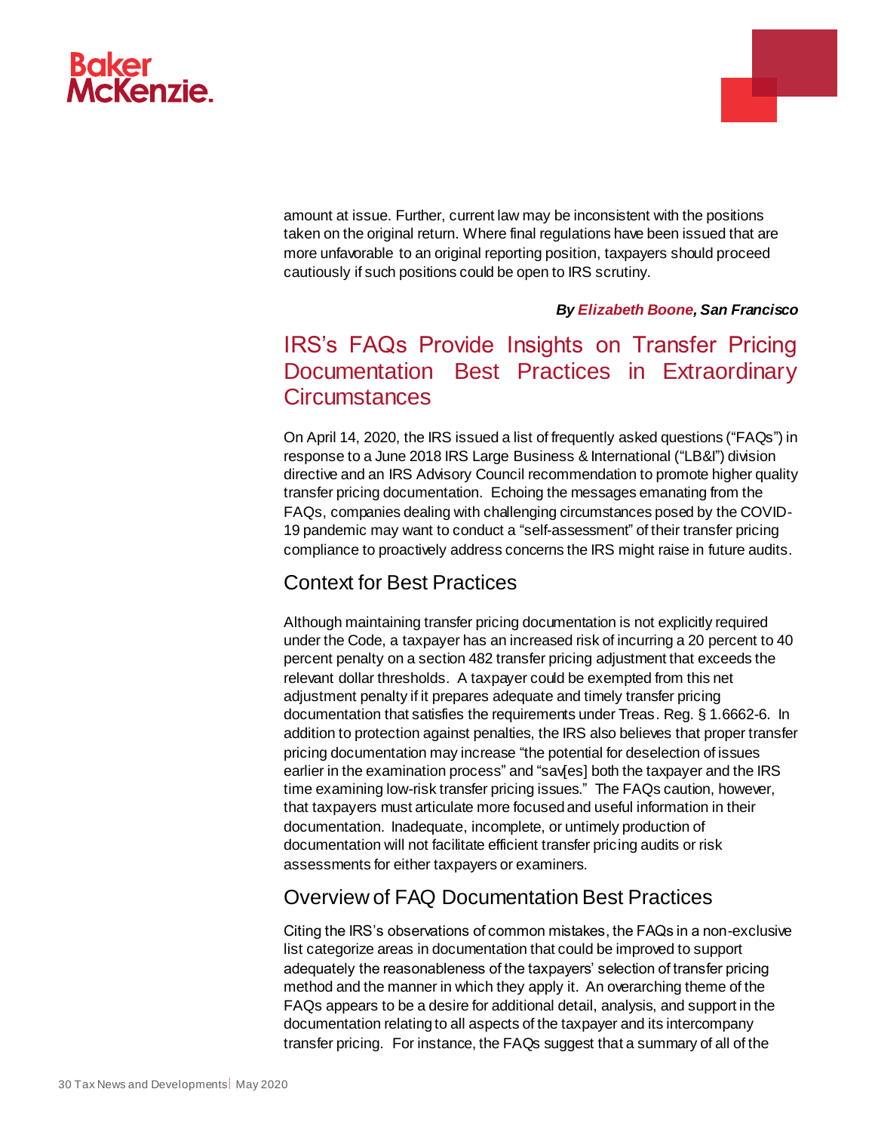

amount at issue. Further, current law may be inconsistent with the positions taken on the original return. Where final regulations have been issued that are more unfavorable to an original reporting position, taxpayers should proceed cautiously if such positions could be open to IRS scrutiny.

#### *By Elizabeth Boone, San Francisco*

÷

# <span id="page-29-0"></span>IRS's FAQs Provide Insights on Transfer Pricing Documentation Best Practices in Extraordinary **Circumstances**

On April 14, 2020, the IRS issued a list of frequently asked questions ("FAQs") in response to a June 2018 IRS Large Business & International ("LB&I") division directive and an IRS Advisory Council recommendation to promote higher quality transfer pricing documentation. Echoing the messages emanating from the FAQs, companies dealing with challenging circumstances posed by the COVID-19 pandemic may want to conduct a "self-assessment" of their transfer pricing compliance to proactively address concerns the IRS might raise in future audits.

#### Context for Best Practices

Although maintaining transfer pricing documentation is not explicitly required under the Code, a taxpayer has an increased risk of incurring a 20 percent to 40 percent penalty on a section 482 transfer pricing adjustment that exceeds the relevant dollar thresholds. A taxpayer could be exempted from this net adjustment penalty if it prepares adequate and timely transfer pricing documentation that satisfies the requirements under Treas. Reg. § 1.6662-6. In addition to protection against penalties, the IRS also believes that proper transfer pricing documentation may increase "the potential for deselection of issues earlier in the examination process" and "sav[es] both the taxpayer and the IRS time examining low-risk transfer pricing issues." The FAQs caution, however, that taxpayers must articulate more focused and useful information in their documentation. Inadequate, incomplete, or untimely production of documentation will not facilitate efficient transfer pricing audits or risk assessments for either taxpayers or examiners.

#### Overview of FAQ Documentation Best Practices

Citing the IRS's observations of common mistakes, the FAQs in a non-exclusive list categorize areas in documentation that could be improved to support adequately the reasonableness of the taxpayers' selection of transfer pricing method and the manner in which they apply it. An overarching theme of the FAQs appears to be a desire for additional detail, analysis, and support in the documentation relating to all aspects of the taxpayer and its intercompany transfer pricing. For instance, the FAQs suggest that a summary of all of the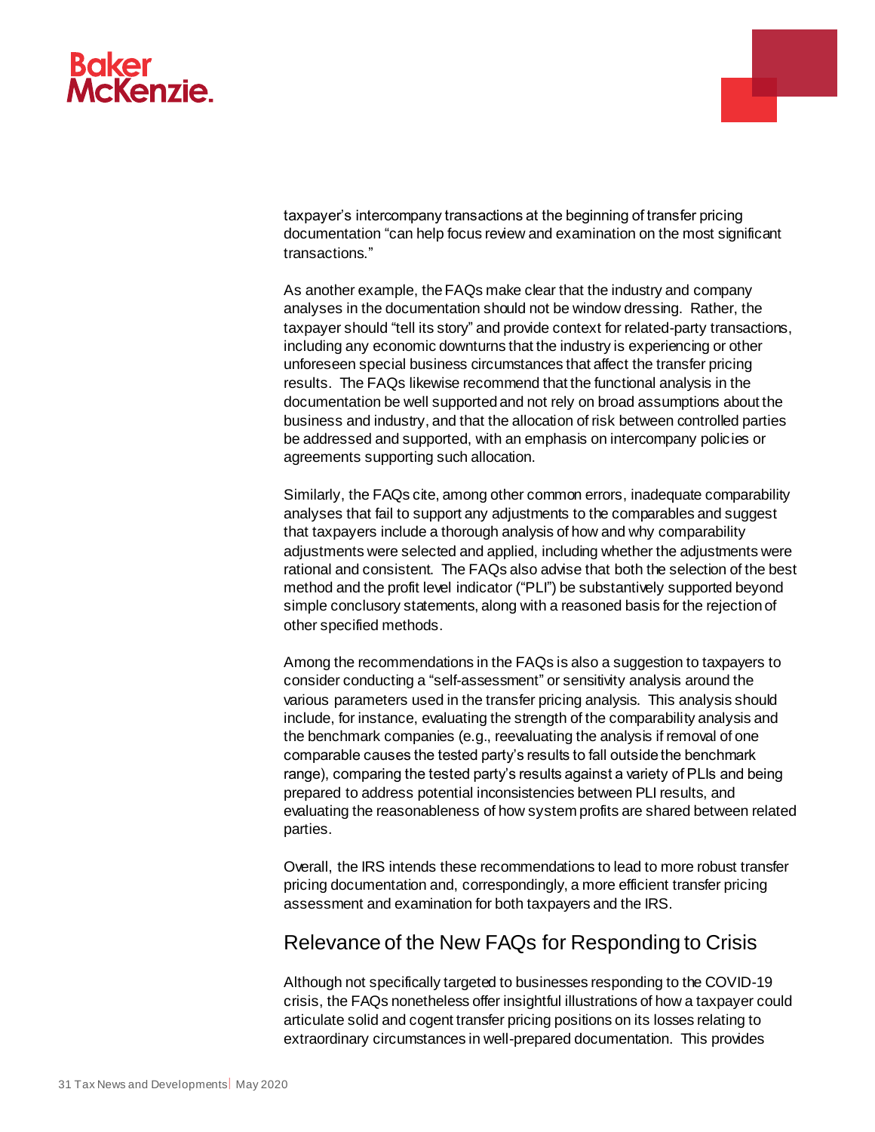

taxpayer's intercompany transactions at the beginning of transfer pricing documentation "can help focus review and examination on the most significant transactions."

L.

As another example, the FAQs make clear that the industry and company analyses in the documentation should not be window dressing. Rather, the taxpayer should "tell its story" and provide context for related-party transactions, including any economic downturns that the industry is experiencing or other unforeseen special business circumstances that affect the transfer pricing results. The FAQs likewise recommend that the functional analysis in the documentation be well supported and not rely on broad assumptions about the business and industry, and that the allocation of risk between controlled parties be addressed and supported, with an emphasis on intercompany policies or agreements supporting such allocation.

Similarly, the FAQs cite, among other common errors, inadequate comparability analyses that fail to support any adjustments to the comparables and suggest that taxpayers include a thorough analysis of how and why comparability adjustments were selected and applied, including whether the adjustments were rational and consistent. The FAQs also advise that both the selection of the best method and the profit level indicator ("PLI") be substantively supported beyond simple conclusory statements, along with a reasoned basis for the rejection of other specified methods.

Among the recommendations in the FAQs is also a suggestion to taxpayers to consider conducting a "self-assessment" or sensitivity analysis around the various parameters used in the transfer pricing analysis. This analysis should include, for instance, evaluating the strength of the comparability analysis and the benchmark companies (e.g., reevaluating the analysis if removal of one comparable causes the tested party's results to fall outside the benchmark range), comparing the tested party's results against a variety of PLIs and being prepared to address potential inconsistencies between PLI results, and evaluating the reasonableness of how system profits are shared between related parties.

Overall, the IRS intends these recommendations to lead to more robust transfer pricing documentation and, correspondingly, a more efficient transfer pricing assessment and examination for both taxpayers and the IRS.

#### Relevance of the New FAQs for Responding to Crisis

Although not specifically targeted to businesses responding to the COVID-19 crisis, the FAQs nonetheless offer insightful illustrations of how a taxpayer could articulate solid and cogent transfer pricing positions on its losses relating to extraordinary circumstances in well-prepared documentation. This provides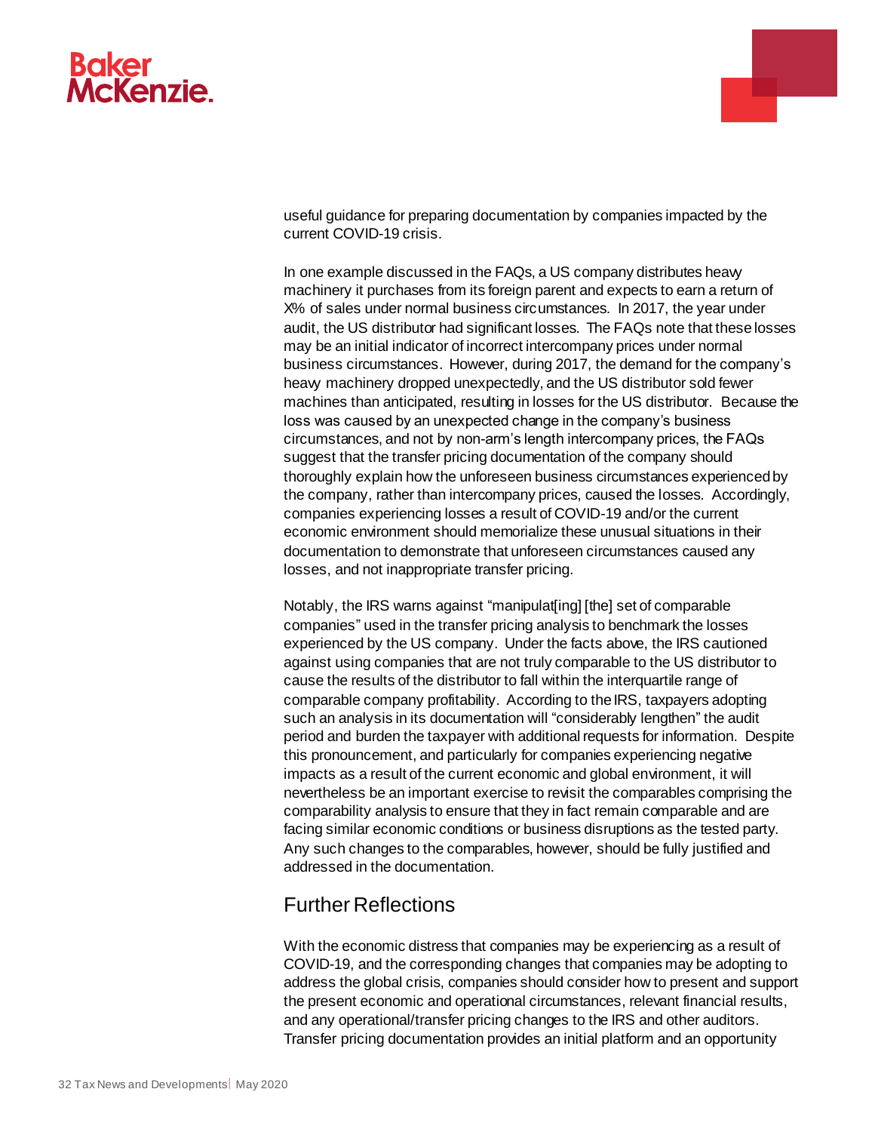

useful guidance for preparing documentation by companies impacted by the current COVID-19 crisis.

In one example discussed in the FAQs, a US company distributes heavy machinery it purchases from its foreign parent and expects to earn a return of X% of sales under normal business circumstances. In 2017, the year under audit, the US distributor had significant losses. The FAQs note that these losses may be an initial indicator of incorrect intercompany prices under normal business circumstances. However, during 2017, the demand for the company's heavy machinery dropped unexpectedly, and the US distributor sold fewer machines than anticipated, resulting in losses for the US distributor. Because the loss was caused by an unexpected change in the company's business circumstances, and not by non-arm's length intercompany prices, the FAQs suggest that the transfer pricing documentation of the company should thoroughly explain how the unforeseen business circumstances experienced by the company, rather than intercompany prices, caused the losses. Accordingly, companies experiencing losses a result of COVID-19 and/or the current economic environment should memorialize these unusual situations in their documentation to demonstrate that unforeseen circumstances caused any losses, and not inappropriate transfer pricing.

Notably, the IRS warns against "manipulat[ing] [the] set of comparable companies" used in the transfer pricing analysis to benchmark the losses experienced by the US company. Under the facts above, the IRS cautioned against using companies that are not truly comparable to the US distributor to cause the results of the distributor to fall within the interquartile range of comparable company profitability. According to the IRS, taxpayers adopting such an analysis in its documentation will "considerably lengthen" the audit period and burden the taxpayer with additional requests for information. Despite this pronouncement, and particularly for companies experiencing negative impacts as a result of the current economic and global environment, it will nevertheless be an important exercise to revisit the comparables comprising the comparability analysis to ensure that they in fact remain comparable and are facing similar economic conditions or business disruptions as the tested party. Any such changes to the comparables, however, should be fully justified and addressed in the documentation.

## Further Reflections

With the economic distress that companies may be experiencing as a result of COVID-19, and the corresponding changes that companies may be adopting to address the global crisis, companies should consider how to present and support the present economic and operational circumstances, relevant financial results, and any operational/transfer pricing changes to the IRS and other auditors. Transfer pricing documentation provides an initial platform and an opportunity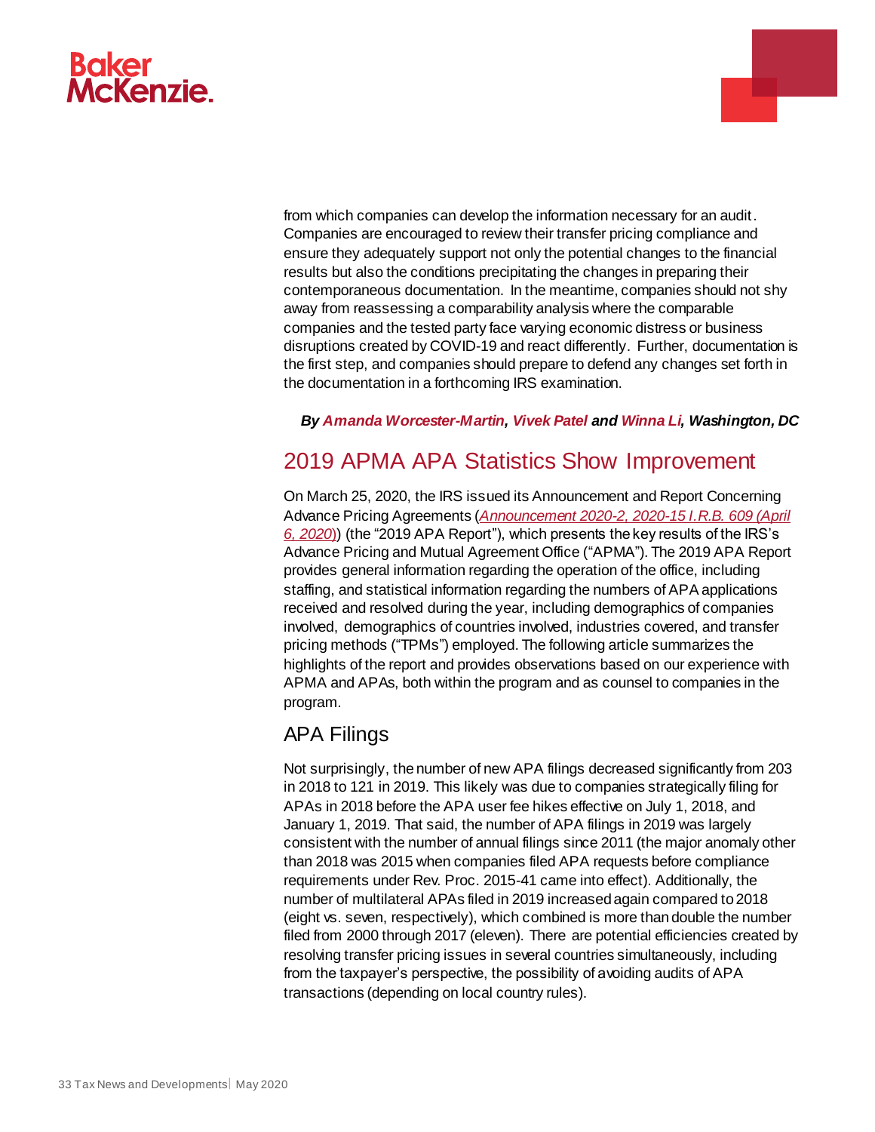

from which companies can develop the information necessary for an audit. Companies are encouraged to review their transfer pricing compliance and ensure they adequately support not only the potential changes to the financial results but also the conditions precipitating the changes in preparing their contemporaneous documentation. In the meantime, companies should not shy away from reassessing a comparability analysis where the comparable companies and the tested party face varying economic distress or business disruptions created by COVID-19 and react differently. Further, documentation is the first step, and companies should prepare to defend any changes set forth in the documentation in a forthcoming IRS examination.

#### *By [Amanda Worcester-Martin](https://www.bakermckenzie.com/en/people/w/worcester-amanda-h)[, Vivek Patel](https://www.bakermckenzie.com/en/people/p/patel-vivek-a) an[d Winna Li,](https://www.bakermckenzie.com/en/people/l/li-winna) Washington, DC*

## <span id="page-32-0"></span>2019 APMA APA Statistics Show Improvement

On March 25, 2020, the IRS issued its Announcement and Report Concerning Advance Pricing Agreements (*[Announcement 2020-2, 2020-15 I.R.B. 609 \(April](https://www.irs.gov/irb/2020-15_IRB)  [6, 2020](https://www.irs.gov/irb/2020-15_IRB)*)) (the "2019 APA Report"), which presents the key results of the IRS's Advance Pricing and Mutual Agreement Office ("APMA"). The 2019 APA Report provides general information regarding the operation of the office, including staffing, and statistical information regarding the numbers of APA applications received and resolved during the year, including demographics of companies involved, demographics of countries involved, industries covered, and transfer pricing methods ("TPMs") employed. The following article summarizes the highlights of the report and provides observations based on our experience with APMA and APAs, both within the program and as counsel to companies in the program.

## APA Filings

Not surprisingly, the number of new APA filings decreased significantly from 203 in 2018 to 121 in 2019. This likely was due to companies strategically filing for APAs in 2018 before the APA user fee hikes effective on July 1, 2018, and January 1, 2019. That said, the number of APA filings in 2019 was largely consistent with the number of annual filings since 2011 (the major anomaly other than 2018 was 2015 when companies filed APA requests before compliance requirements under Rev. Proc. 2015-41 came into effect). Additionally, the number of multilateral APAs filed in 2019 increased again compared to 2018 (eight vs. seven, respectively), which combined is more than double the number filed from 2000 through 2017 (eleven). There are potential efficiencies created by resolving transfer pricing issues in several countries simultaneously, including from the taxpayer's perspective, the possibility of avoiding audits of APA transactions (depending on local country rules).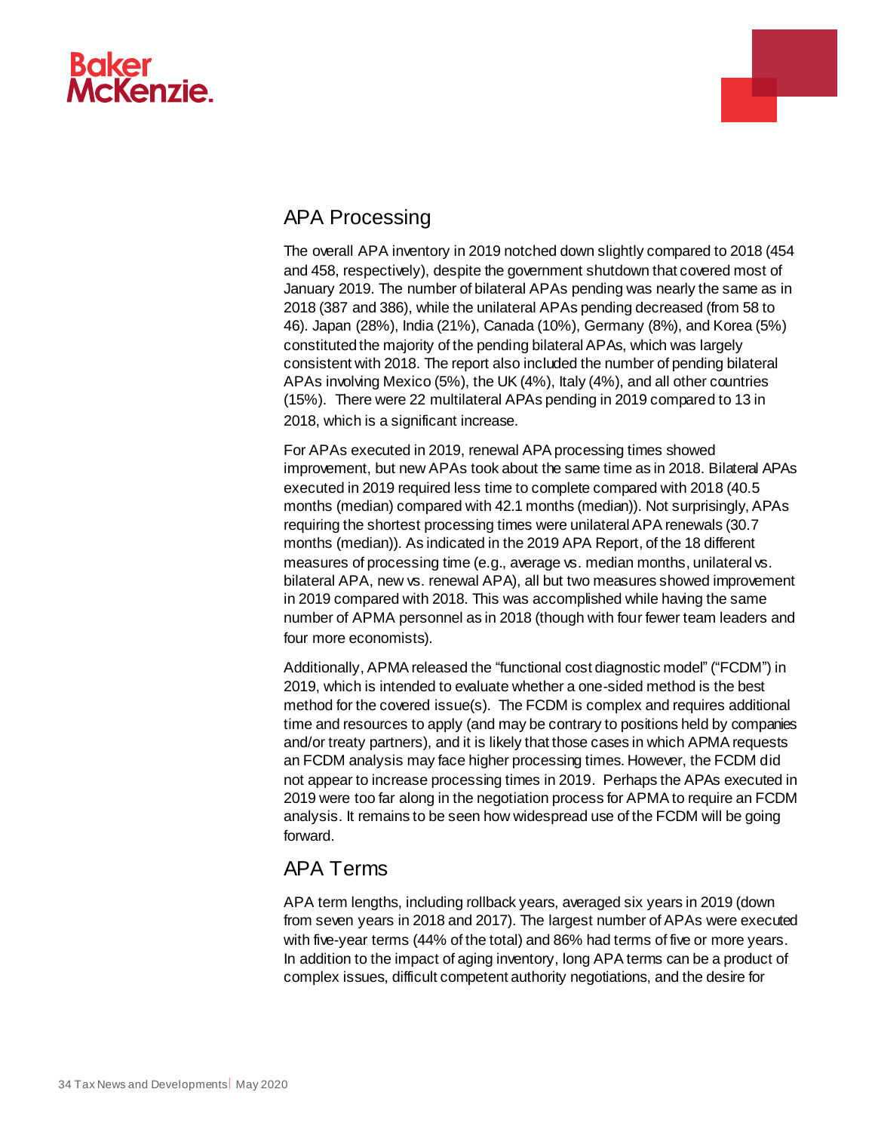# **Baker McKenzie**



# APA Processing

The overall APA inventory in 2019 notched down slightly compared to 2018 (454 and 458, respectively), despite the government shutdown that covered most of January 2019. The number of bilateral APAs pending was nearly the same as in 2018 (387 and 386), while the unilateral APAs pending decreased (from 58 to 46). Japan (28%), India (21%), Canada (10%), Germany (8%), and Korea (5%) constituted the majority of the pending bilateral APAs, which was largely consistent with 2018. The report also included the number of pending bilateral APAs involving Mexico (5%), the UK (4%), Italy (4%), and all other countries (15%). There were 22 multilateral APAs pending in 2019 compared to 13 in 2018, which is a significant increase.

For APAs executed in 2019, renewal APA processing times showed improvement, but new APAs took about the same time as in 2018. Bilateral APAs executed in 2019 required less time to complete compared with 2018 (40.5 months (median) compared with 42.1 months (median)). Not surprisingly, APAs requiring the shortest processing times were unilateral APA renewals (30.7 months (median)). As indicated in the 2019 APA Report, of the 18 different measures of processing time (e.g., average vs. median months, unilateral vs. bilateral APA, new vs. renewal APA), all but two measures showed improvement in 2019 compared with 2018. This was accomplished while having the same number of APMA personnel as in 2018 (though with four fewer team leaders and four more economists).

Additionally, APMA released the "functional cost diagnostic model" ("FCDM") in 2019, which is intended to evaluate whether a one-sided method is the best method for the covered issue(s). The FCDM is complex and requires additional time and resources to apply (and may be contrary to positions held by companies and/or treaty partners), and it is likely that those cases in which APMA requests an FCDM analysis may face higher processing times. However, the FCDM did not appear to increase processing times in 2019. Perhaps the APAs executed in 2019 were too far along in the negotiation process for APMA to require an FCDM analysis. It remains to be seen how widespread use of the FCDM will be going forward.

## APA Terms

APA term lengths, including rollback years, averaged six years in 2019 (down from seven years in 2018 and 2017). The largest number of APAs were executed with five-year terms (44% of the total) and 86% had terms of five or more years. In addition to the impact of aging inventory, long APA terms can be a product of complex issues, difficult competent authority negotiations, and the desire for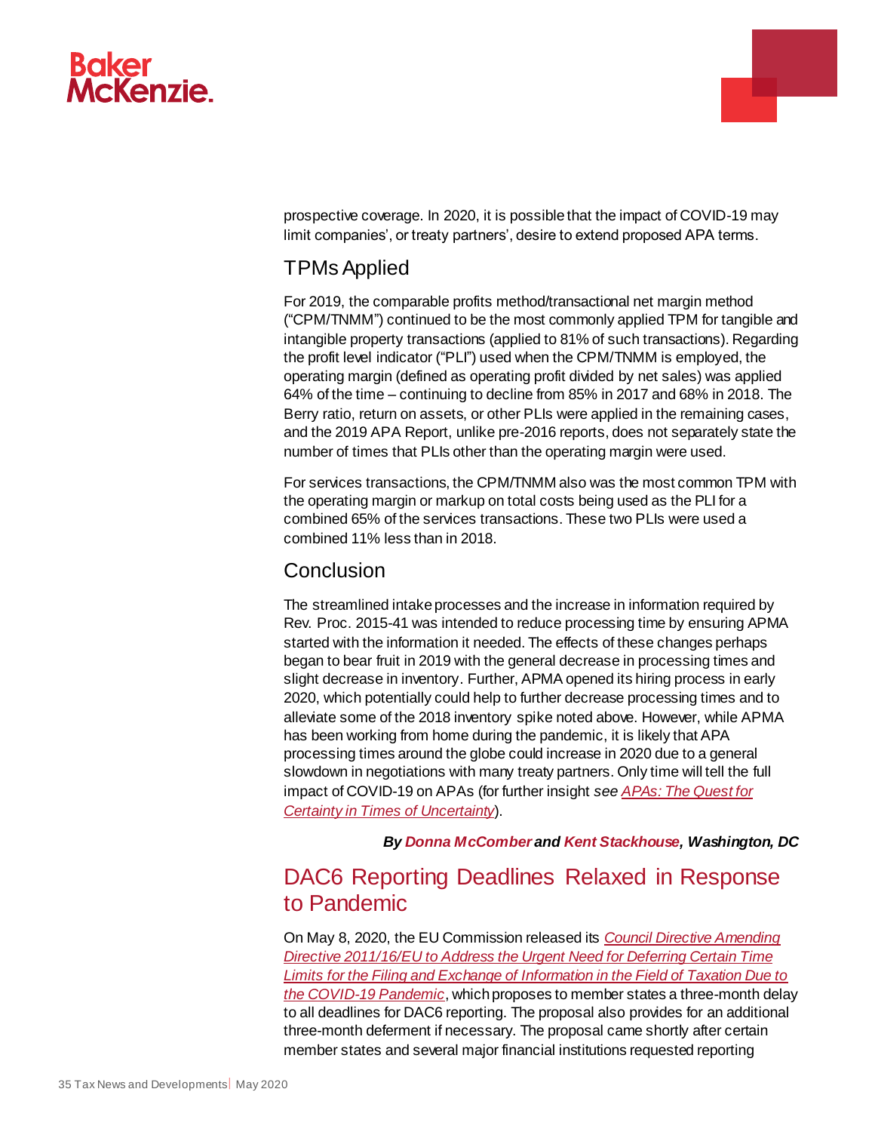

prospective coverage. In 2020, it is possible that the impact of COVID-19 may limit companies', or treaty partners', desire to extend proposed APA terms.

a.

## TPMs Applied

For 2019, the comparable profits method/transactional net margin method ("CPM/TNMM") continued to be the most commonly applied TPM for tangible and intangible property transactions (applied to 81% of such transactions). Regarding the profit level indicator ("PLI") used when the CPM/TNMM is employed, the operating margin (defined as operating profit divided by net sales) was applied 64% of the time – continuing to decline from 85% in 2017 and 68% in 2018. The Berry ratio, return on assets, or other PLIs were applied in the remaining cases, and the 2019 APA Report, unlike pre-2016 reports, does not separately state the number of times that PLIs other than the operating margin were used.

For services transactions, the CPM/TNMM also was the most common TPM with the operating margin or markup on total costs being used as the PLI for a combined 65% of the services transactions. These two PLIs were used a combined 11% less than in 2018.

#### **Conclusion**

The streamlined intake processes and the increase in information required by Rev. Proc. 2015-41 was intended to reduce processing time by ensuring APMA started with the information it needed. The effects of these changes perhaps began to bear fruit in 2019 with the general decrease in processing times and slight decrease in inventory. Further, APMA opened its hiring process in early 2020, which potentially could help to further decrease processing times and to alleviate some of the 2018 inventory spike noted above. However, while APMA has been working from home during the pandemic, it is likely that APA processing times around the globe could increase in 2020 due to a general slowdown in negotiations with many treaty partners. Only time will tell the full impact of COVID-19 on APAs (for further insight *see [APAs: The Quest for](https://www.bakermckenzie.com/en/insight/publications/2020/04/tax-apa-quest-for-certainty)  [Certainty in Times of Uncertainty](https://www.bakermckenzie.com/en/insight/publications/2020/04/tax-apa-quest-for-certainty)*).

*By [Donna McComber](https://www.bakermckenzie.com/en/people/m/mccomber-donna) an[d Kent Stackhouse,](https://www.bakermckenzie.com/en/people/s/stackhouse-kent-p) Washington, DC*

# <span id="page-34-0"></span>DAC6 Reporting Deadlines Relaxed in Response to Pandemic

On May 8, 2020, the EU Commission released its *[Council Directive Amending](https://ec.europa.eu/taxation_customs/sites/taxation/files/08-05-2020-proposal_for_a_council_directive_amending_directive_201116eu.pdf)  Directive 2011/16/EU to Address [the Urgent Need for Deferring Certain Time](https://ec.europa.eu/taxation_customs/sites/taxation/files/08-05-2020-proposal_for_a_council_directive_amending_directive_201116eu.pdf)  [Limits for the Filing and Exchange of Information in the Field of Taxation Due to](https://ec.europa.eu/taxation_customs/sites/taxation/files/08-05-2020-proposal_for_a_council_directive_amending_directive_201116eu.pdf)  [the COVID-19 Pandemic](https://ec.europa.eu/taxation_customs/sites/taxation/files/08-05-2020-proposal_for_a_council_directive_amending_directive_201116eu.pdf)*, which proposes to member states a three-month delay to all deadlines for DAC6 reporting. The proposal also provides for an additional three-month deferment if necessary. The proposal came shortly after certain member states and several major financial institutions requested reporting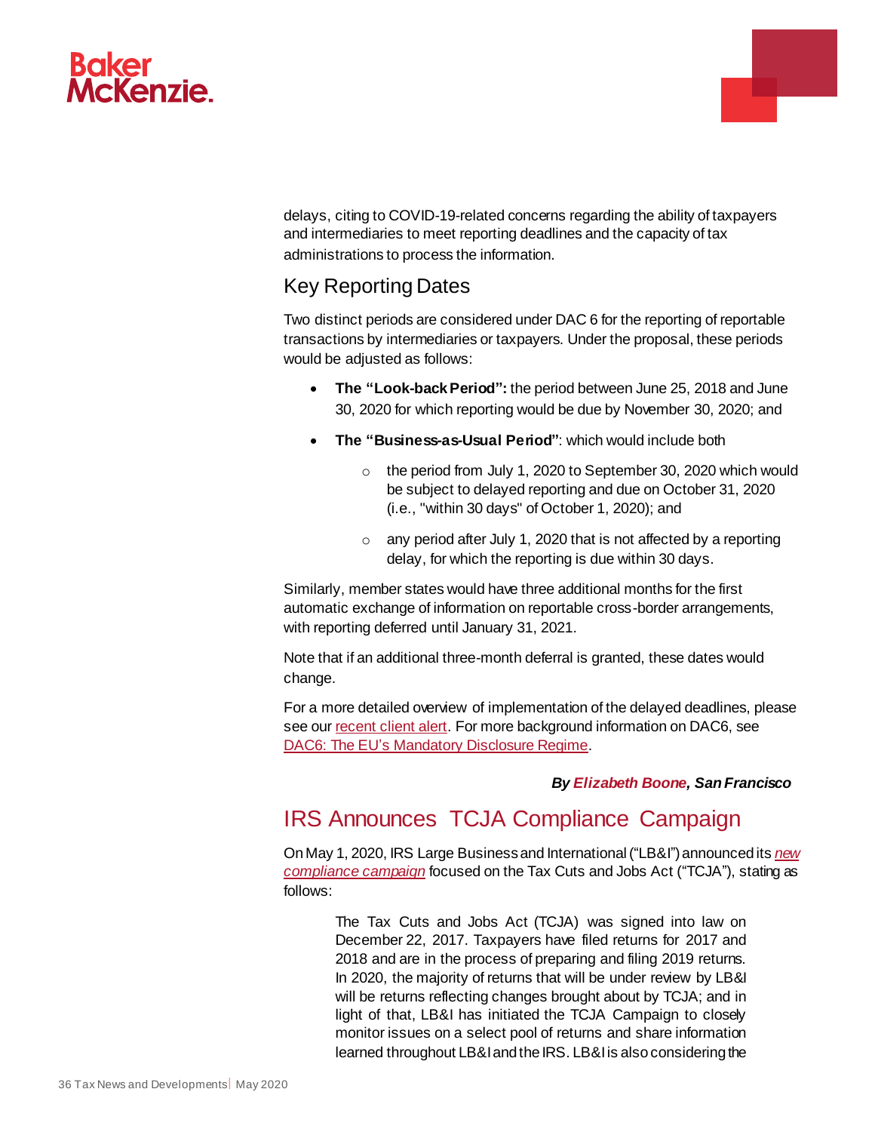

delays, citing to COVID-19-related concerns regarding the ability of taxpayers and intermediaries to meet reporting deadlines and the capacity of tax administrations to process the information.

## Key Reporting Dates

Two distinct periods are considered under DAC 6 for the reporting of reportable transactions by intermediaries or taxpayers. Under the proposal, these periods would be adjusted as follows:

- **The "Look-back Period":** the period between June 25, 2018 and June 30, 2020 for which reporting would be due by November 30, 2020; and
- **The "Business-as-Usual Period"**: which would include both
	- o the period from July 1, 2020 to September 30, 2020 which would be subject to delayed reporting and due on October 31, 2020 (i.e., "within 30 days" of October 1, 2020); and
	- $\circ$  any period after July 1, 2020 that is not affected by a reporting delay, for which the reporting is due within 30 days.

Similarly, member states would have three additional months for the first automatic exchange of information on reportable cross-border arrangements, with reporting deferred until January 31, 2021.

Note that if an additional three-month deferral is granted, these dates would change.

For a more detailed overview of implementation of the delayed deadlines, please see ou[r recent client alert](https://insightplus.bakermckenzie.com/bm/tax/eu-european-commission-proposes-delay-to-reporting-under-new-dac6-mandatory-disclosure-regime-due-to-covid-19-disruption). For more background information on DAC6, see [DAC6: The EU's Mandatory Disclosure Regime](https://www.bakermckenzie.com/en/insight/publications/2020/02/dac6-the-eus-mandatory-disclosure-regime).

#### *By Elizabeth Boone, San Francisco*

a.

# <span id="page-35-0"></span>IRS Announces TCJA Compliance Campaign

On May 1, 2020, IRS Large Business and International ("LB&I") announced its *[new](https://www.irs.gov/businesses/corporations/irs-lbi-compliance-campaign-may-1-2020)  [compliance campaign](https://www.irs.gov/businesses/corporations/irs-lbi-compliance-campaign-may-1-2020)* focused on the Tax Cuts and Jobs Act ("TCJA"), stating as follows:

The Tax Cuts and Jobs Act (TCJA) was signed into law on December 22, 2017. Taxpayers have filed returns for 2017 and 2018 and are in the process of preparing and filing 2019 returns. In 2020, the majority of returns that will be under review by LB&I will be returns reflecting changes brought about by TCJA; and in light of that, LB&I has initiated the TCJA Campaign to closely monitor issues on a select pool of returns and share information learned throughout LB&I and the IRS. LB&I is also considering the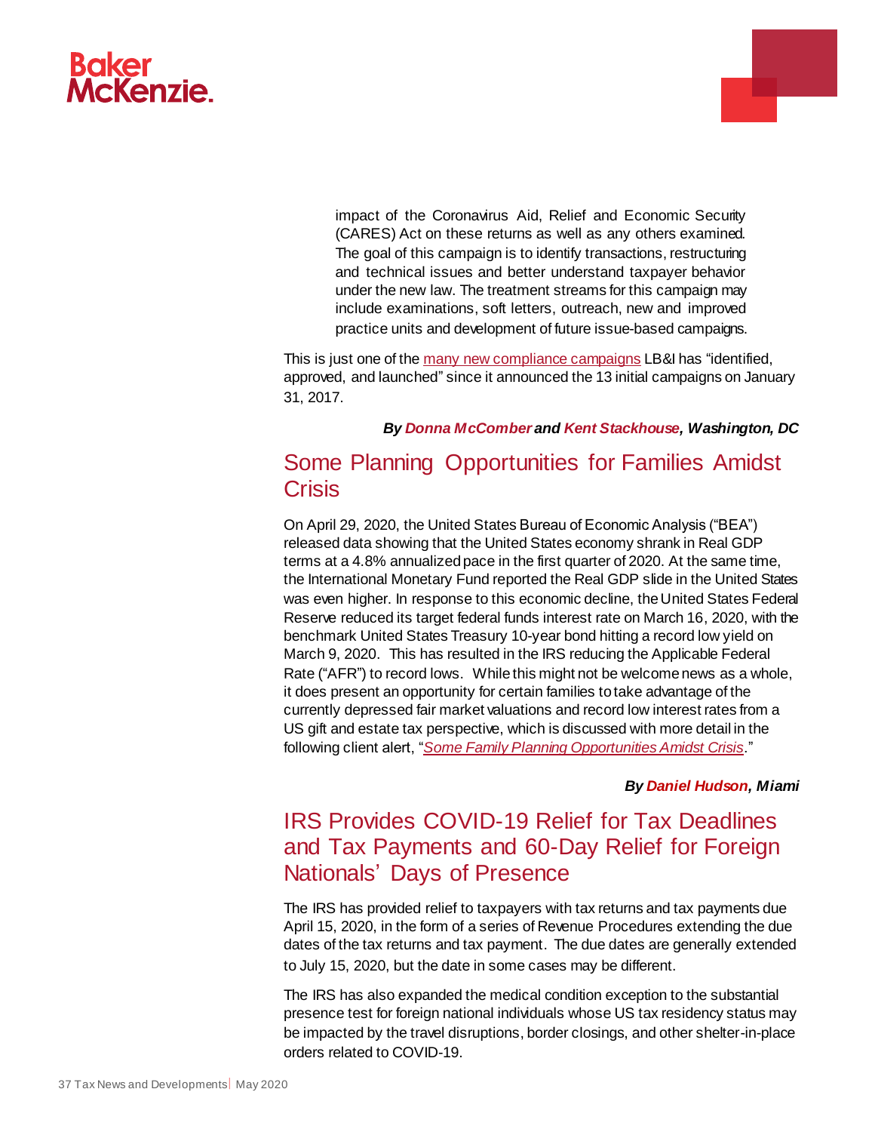

impact of the Coronavirus Aid, Relief and Economic Security (CARES) Act on these returns as well as any others examined. The goal of this campaign is to identify transactions, restructuring and technical issues and better understand taxpayer behavior under the new law. The treatment streams for this campaign may include examinations, soft letters, outreach, new and improved practice units and development of future issue-based campaigns.

This is just one of th[e many new compliance campaigns](https://www.irs.gov/businesses/large-business-and-international-compliance-campaigns) LB&I has "identified, approved, and launched" since it announced the 13 initial campaigns on January 31, 2017.

#### *By [Donna McComber](https://www.bakermckenzie.com/en/people/m/mccomber-donna) an[d Kent Stackhouse,](https://www.bakermckenzie.com/en/people/s/stackhouse-kent-p) Washington, DC*

# <span id="page-36-0"></span>Some Planning Opportunities for Families Amidst **Crisis**

On April 29, 2020, the United States Bureau of Economic Analysis ("BEA") released data showing that the United States economy shrank in Real GDP terms at a 4.8% annualized pace in the first quarter of 2020. At the same time, the International Monetary Fund reported the Real GDP slide in the United States was even higher. In response to this economic decline, the United States Federal Reserve reduced its target federal funds interest rate on March 16, 2020, with the benchmark United States Treasury 10-year bond hitting a record low yield on March 9, 2020. This has resulted in the IRS reducing the Applicable Federal Rate ("AFR") to record lows. While this might not be welcome news as a whole, it does present an opportunity for certain families to take advantage of the currently depressed fair market valuations and record low interest rates from a US gift and estate tax perspective, which is discussed with more detail in the following client alert, "*[Some Family Planning Opportunities Amidst Crisis](https://www.bakermckenzie.com/en/insight/publications/2020/05/us-some-family-planning-opportunities)*."

#### *By [Daniel Hudson,](https://www.bakermckenzie.com/en/people/h/hudson-daniel-w) Miami*

# <span id="page-36-1"></span>IRS Provides COVID-19 Relief for Tax Deadlines and Tax Payments and 60-Day Relief for Foreign Nationals' Days of Presence

The IRS has provided relief to taxpayers with tax returns and tax payments due April 15, 2020, in the form of a series of Revenue Procedures extending the due dates of the tax returns and tax payment. The due dates are generally extended to July 15, 2020, but the date in some cases may be different.

The IRS has also expanded the medical condition exception to the substantial presence test for foreign national individuals whose US tax residency status may be impacted by the travel disruptions, border closings, and other shelter-in-place orders related to COVID-19.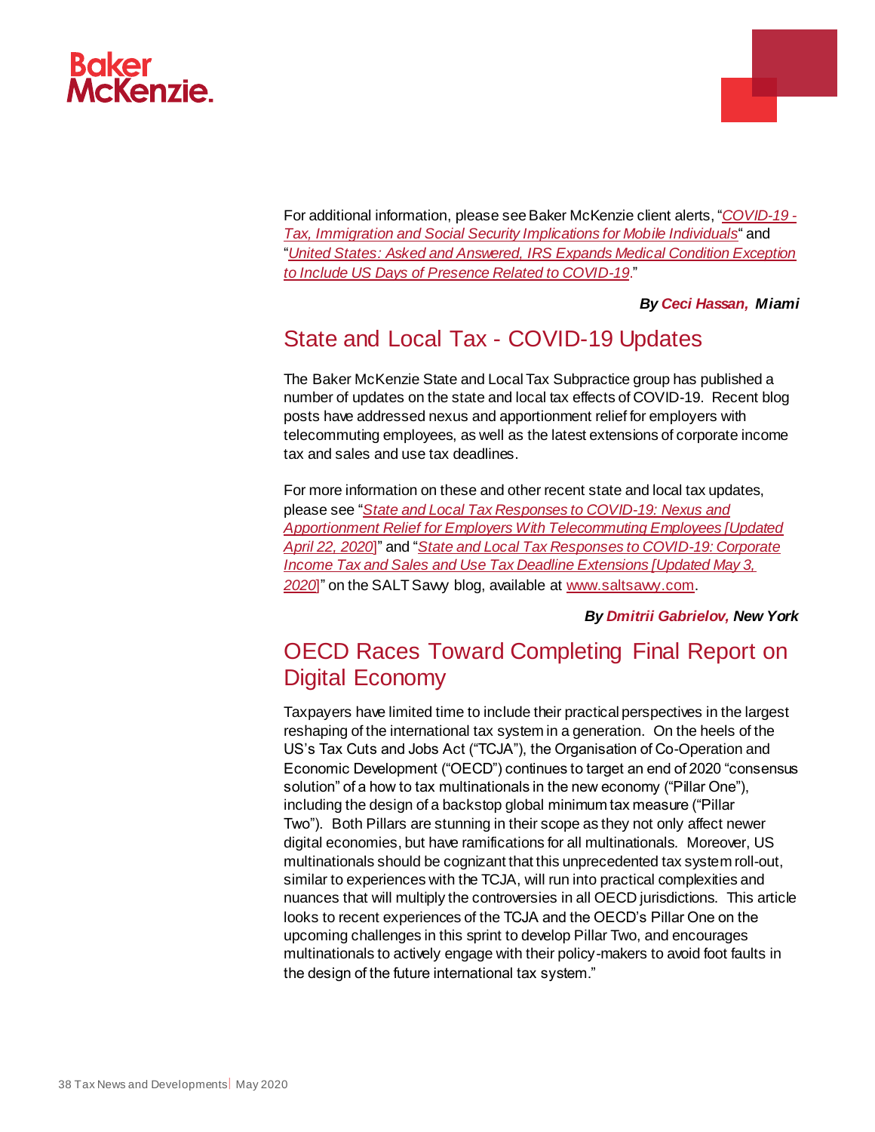

For additional information, please see Baker McKenzie client alerts, "*[COVID-19 -](https://insightplus.bakermckenzie.com/bm/resilience-recovery-renewal/international-covid-19-tax-immigration-and-social-security-implications-for-mobile-individuals_2) [Tax, Immigration and Social Security Implications for Mobile Individuals](https://insightplus.bakermckenzie.com/bm/resilience-recovery-renewal/international-covid-19-tax-immigration-and-social-security-implications-for-mobile-individuals_2)*" and "*[United States: Asked and Answered, IRS Expands Medical Condition Exception](https://insightplus.bakermckenzie.com/bm/tax/united-states-asked-and-answered-irs-expands-medical-condition-exception-to-include-us-days-of-presence-related-to-covid-19)  [to Include US Days of Presence Related to COVID-19](https://insightplus.bakermckenzie.com/bm/tax/united-states-asked-and-answered-irs-expands-medical-condition-exception-to-include-us-days-of-presence-related-to-covid-19)*."

#### *By [Ceci Hassan,](https://www.bakermckenzie.com/en/people/h/hassan-cecilia-b) Miami*

# <span id="page-37-0"></span>State and Local Tax - COVID-19 Updates

The Baker McKenzie State and Local Tax Subpractice group has published a number of updates on the state and local tax effects of COVID-19. Recent blog posts have addressed nexus and apportionment relief for employers with telecommuting employees, as well as the latest extensions of corporate income tax and sales and use tax deadlines.

For more information on these and other recent state and local tax updates, please see "*[State and Local Tax Responses to COVID-19: Nexus and](https://insightplus.bakermckenzie.com/bm/tax/north-america-state-and-local-tax-responses-to-covid-19-nexus-and-apportionment-relief-for-employers-with-telecommuting-employees)  [Apportionment Relief for Employers With Telecommuting Employees \[Updated](https://insightplus.bakermckenzie.com/bm/tax/north-america-state-and-local-tax-responses-to-covid-19-nexus-and-apportionment-relief-for-employers-with-telecommuting-employees)  [April 22, 2020](https://insightplus.bakermckenzie.com/bm/tax/north-america-state-and-local-tax-responses-to-covid-19-nexus-and-apportionment-relief-for-employers-with-telecommuting-employees)*]" and "*[State and Local Tax Responses to COVID-19: Corporate](https://insightplus.bakermckenzie.com/bm/tax/north-america-state-and-local-tax-responses-to-covid-19-corporate-income-tax-and-sales-and-use-tax-deadline-extensions-updated-may-3-2020)  Income [Tax and Sales and Use Tax Deadline Extensions \[Updated May 3,](https://insightplus.bakermckenzie.com/bm/tax/north-america-state-and-local-tax-responses-to-covid-19-corporate-income-tax-and-sales-and-use-tax-deadline-extensions-updated-may-3-2020)*  [2020](https://insightplus.bakermckenzie.com/bm/tax/north-america-state-and-local-tax-responses-to-covid-19-corporate-income-tax-and-sales-and-use-tax-deadline-extensions-updated-may-3-2020)]" on the SALT Sawy blog, available at www.saltsawy.com.

#### *By [Dmitrii Gabrielov,](https://www.bakermckenzie.com/en/people/g/gabrielov-dmitrii) New York*

# <span id="page-37-1"></span>OECD Races Toward Completing Final Report on Digital Economy

Taxpayers have limited time to include their practical perspectives in the largest reshaping of the international tax system in a generation. On the heels of the US's Tax Cuts and Jobs Act ("TCJA"), the Organisation of Co-Operation and Economic Development ("OECD") continues to target an end of 2020 "consensus solution" of a how to tax multinationals in the new economy ("Pillar One"), including the design of a backstop global minimum tax measure ("Pillar Two"). Both Pillars are stunning in their scope as they not only affect newer digital economies, but have ramifications for all multinationals. Moreover, US multinationals should be cognizant that this unprecedented tax system roll-out, similar to experiences with the TCJA, will run into practical complexities and nuances that will multiply the controversies in all OECD jurisdictions. This article looks to recent experiences of the TCJA and the OECD's Pillar One on the upcoming challenges in this sprint to develop Pillar Two, and encourages multinationals to actively engage with their policy-makers to avoid foot faults in the design of the future international tax system."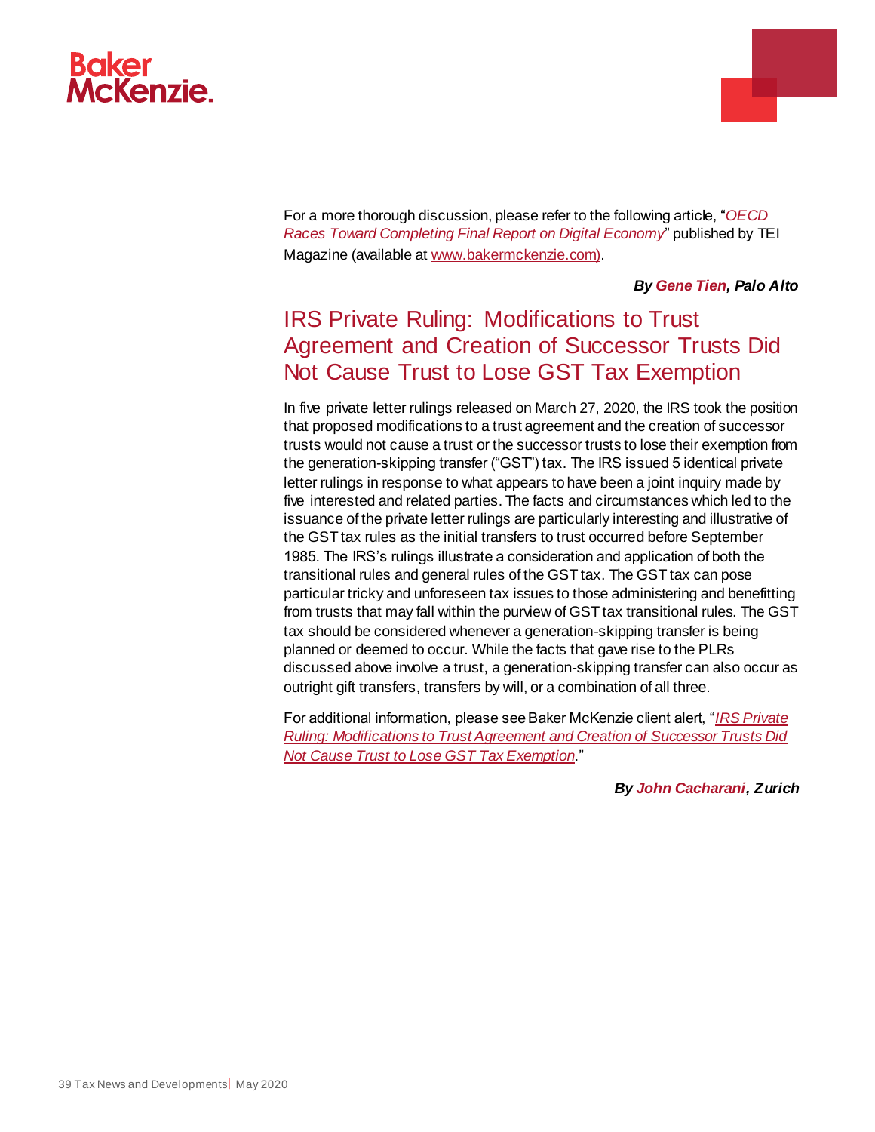

For a more thorough discussion, please refer to the following article, "*OECD Races Toward Completing Final Report on Digital Economy*" published by TEI Magazine (available a[t www.bakermckenzie.com\)](https://insightplus.bakermckenzie.com/bm/tax/all-north-america-oecd-races-toward-completing-final-report-on-digital-economy).

#### *By [Gene Tien,](https://www.bakermckenzie.com/en/people/t/tien-gene) Palo Alto*

# <span id="page-38-0"></span>IRS Private Ruling: Modifications to Trust Agreement and Creation of Successor Trusts Did Not Cause Trust to Lose GST Tax Exemption

In five private letter rulings released on March 27, 2020, the IRS took the position that proposed modifications to a trust agreement and the creation of successor trusts would not cause a trust or the successor trusts to lose their exemption from the generation-skipping transfer ("GST") tax. The IRS issued 5 identical private letter rulings in response to what appears to have been a joint inquiry made by five interested and related parties. The facts and circumstances which led to the issuance of the private letter rulings are particularly interesting and illustrative of the GST tax rules as the initial transfers to trust occurred before September 1985. The IRS's rulings illustrate a consideration and application of both the transitional rules and general rules of the GST tax. The GST tax can pose particular tricky and unforeseen tax issues to those administering and benefitting from trusts that may fall within the purview of GST tax transitional rules. The GST tax should be considered whenever a generation-skipping transfer is being planned or deemed to occur. While the facts that gave rise to the PLRs discussed above involve a trust, a generation-skipping transfer can also occur as outright gift transfers, transfers by will, or a combination of all three.

For additional information, please see Baker McKenzie client alert, "*[IRS Private](https://insightplus.bakermckenzie.com/bm/tax/switzerland-us-irs-private-ruling-modifications-to-trust-agreement-and-creation-of-successor-trusts-did-not-cause-unfavorable-tax-treatment-for-trust)  [Ruling: Modifications to Trust Agreement and Creation of Successor Trusts Did](https://insightplus.bakermckenzie.com/bm/tax/switzerland-us-irs-private-ruling-modifications-to-trust-agreement-and-creation-of-successor-trusts-did-not-cause-unfavorable-tax-treatment-for-trust)  [Not Cause Trust to Lose GST Tax Exemption](https://insightplus.bakermckenzie.com/bm/tax/switzerland-us-irs-private-ruling-modifications-to-trust-agreement-and-creation-of-successor-trusts-did-not-cause-unfavorable-tax-treatment-for-trust)*."

*By [John Cacharani,](https://www.bakermckenzie.com/en/people/c/cacharani-john-richard) Zurich*